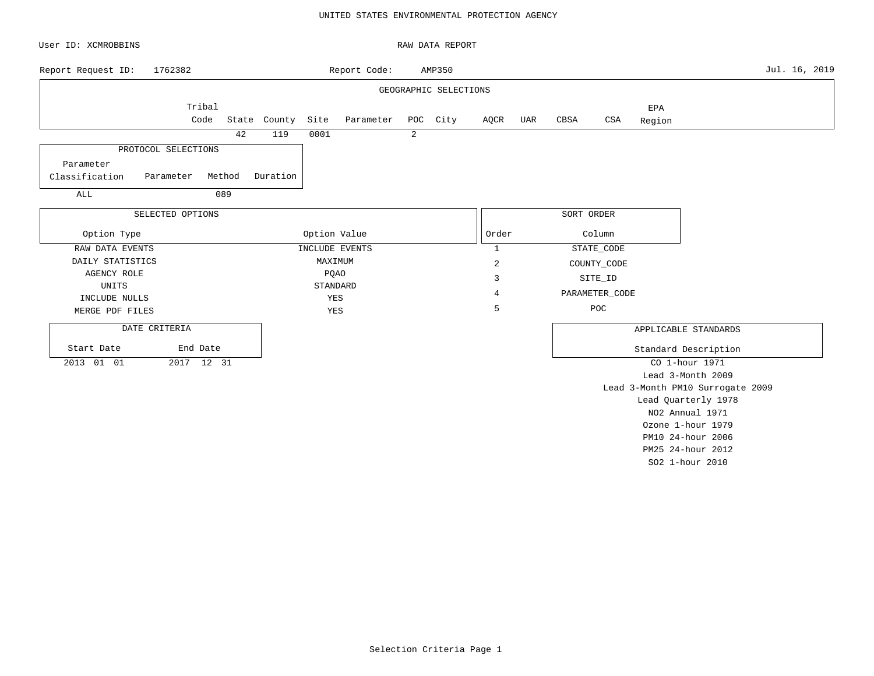### UNITED STATES ENVIRONMENTAL PROTECTION AGENCY

| User ID: XCMROBBINS              |                     |        |              |              |                |   | RAW DATA REPORT       |                |     |            |                |               |                                  |               |
|----------------------------------|---------------------|--------|--------------|--------------|----------------|---|-----------------------|----------------|-----|------------|----------------|---------------|----------------------------------|---------------|
| Report Request ID:               | 1762382             |        |              |              | Report Code:   |   | AMP350                |                |     |            |                |               |                                  | Jul. 16, 2019 |
|                                  |                     |        |              |              |                |   | GEOGRAPHIC SELECTIONS |                |     |            |                |               |                                  |               |
|                                  | Tribal<br>Code      |        | State County | Site         | Parameter      |   | POC City              | AQCR           | UAR | CBSA       | $_{\tt CSA}$   | EPA<br>Region |                                  |               |
|                                  |                     | 42     | 119          | 0001         |                | 2 |                       |                |     |            |                |               |                                  |               |
|                                  | PROTOCOL SELECTIONS |        |              |              |                |   |                       |                |     |            |                |               |                                  |               |
| Parameter                        |                     |        |              |              |                |   |                       |                |     |            |                |               |                                  |               |
| Classification                   | Parameter           | Method | Duration     |              |                |   |                       |                |     |            |                |               |                                  |               |
| ALL                              |                     | 089    |              |              |                |   |                       |                |     |            |                |               |                                  |               |
|                                  | SELECTED OPTIONS    |        |              |              |                |   |                       |                |     | SORT ORDER |                |               |                                  |               |
| Option Type                      |                     |        |              | Option Value |                |   |                       | Order          |     |            | Column         |               |                                  |               |
| RAW DATA EVENTS                  |                     |        |              |              | INCLUDE EVENTS |   |                       | $\mathbf{1}$   |     |            | STATE_CODE     |               |                                  |               |
| DAILY STATISTICS                 |                     |        |              | MAXIMUM      |                |   |                       | $\overline{c}$ |     |            | COUNTY_CODE    |               |                                  |               |
| <b>AGENCY ROLE</b>               |                     |        |              | <b>PQAO</b>  |                |   |                       | 3              |     |            | SITE_ID        |               |                                  |               |
| UNITS                            |                     |        |              | STANDARD     |                |   |                       | $\overline{4}$ |     |            | PARAMETER_CODE |               |                                  |               |
| INCLUDE NULLS<br>MERGE PDF FILES |                     |        |              | YES<br>YES   |                |   |                       | 5              |     |            | POC            |               |                                  |               |
|                                  |                     |        |              |              |                |   |                       |                |     |            |                |               |                                  |               |
| DATE CRITERIA                    |                     |        |              |              |                |   |                       |                |     |            |                |               | APPLICABLE STANDARDS             |               |
| Start Date                       | End Date            |        |              |              |                |   |                       |                |     |            |                |               | Standard Description             |               |
| 2013 01 01                       | 2017 12 31          |        |              |              |                |   |                       |                |     |            |                |               | CO 1-hour 1971                   |               |
|                                  |                     |        |              |              |                |   |                       |                |     |            |                |               | Lead 3-Month 2009                |               |
|                                  |                     |        |              |              |                |   |                       |                |     |            |                |               | Lead 3-Month PM10 Surrogate 2009 |               |
|                                  |                     |        |              |              |                |   |                       |                |     |            |                |               | Lead Quarterly 1978              |               |
|                                  |                     |        |              |              |                |   |                       |                |     |            |                |               | NO2 Annual 1971                  |               |
|                                  |                     |        |              |              |                |   |                       |                |     |            |                |               | Ozone 1-hour 1979                |               |
|                                  |                     |        |              |              |                |   |                       |                |     |            |                |               | PM10 24-hour 2006                |               |

Selection Criteria Page 1

PM25 24-hour 2012 SO2 1-hour 2010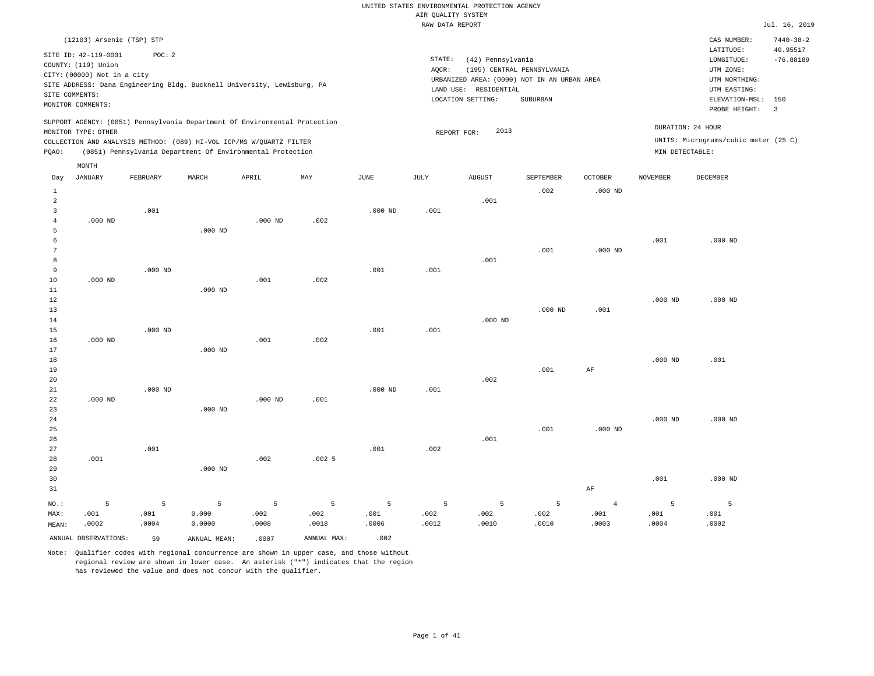|                      |                                                                                                 |               |                                                                            |               |               |               | RAW DATA REPORT |                                                                                                                |                                        |                |                 |                                                                                                              | Jul. 16, 2019                             |
|----------------------|-------------------------------------------------------------------------------------------------|---------------|----------------------------------------------------------------------------|---------------|---------------|---------------|-----------------|----------------------------------------------------------------------------------------------------------------|----------------------------------------|----------------|-----------------|--------------------------------------------------------------------------------------------------------------|-------------------------------------------|
|                      | (12103) Arsenic (TSP) STP                                                                       |               |                                                                            |               |               |               |                 |                                                                                                                |                                        |                |                 | CAS NUMBER:                                                                                                  | $7440 - 38 - 2$                           |
| SITE COMMENTS:       | SITE ID: 42-119-0001<br>COUNTY: (119) Union<br>CITY: (00000) Not in a city<br>MONITOR COMMENTS: | POC: 2        | SITE ADDRESS: Dana Engineering Bldg. Bucknell University, Lewisburg, PA    |               |               |               | STATE:<br>AQCR: | (42) Pennsylvania<br>URBANIZED AREA: (0000) NOT IN AN URBAN AREA<br>LAND USE: RESIDENTIAL<br>LOCATION SETTING: | (195) CENTRAL PENNSYLVANIA<br>SUBURBAN |                |                 | LATITUDE:<br>LONGITUDE:<br>UTM ZONE:<br>UTM NORTHING:<br>UTM EASTING:<br>ELEVATION-MSL: 150<br>PROBE HEIGHT: | 40.95517<br>$-76.88189$<br>$\overline{3}$ |
|                      |                                                                                                 |               | SUPPORT AGENCY: (0851) Pennsylvania Department Of Environmental Protection |               |               |               |                 |                                                                                                                |                                        |                |                 | DURATION: 24 HOUR                                                                                            |                                           |
|                      | MONITOR TYPE: OTHER                                                                             |               | COLLECTION AND ANALYSIS METHOD: (089) HI-VOL ICP/MS W/OUARTZ FILTER        |               |               |               |                 | 2013<br>REPORT FOR:                                                                                            |                                        |                |                 | UNITS: Micrograms/cubic meter (25 C)                                                                         |                                           |
| PQAO:                |                                                                                                 |               | (0851) Pennsylvania Department Of Environmental Protection                 |               |               |               |                 |                                                                                                                |                                        |                | MIN DETECTABLE: |                                                                                                              |                                           |
|                      | MONTH                                                                                           |               |                                                                            |               |               |               |                 |                                                                                                                |                                        |                |                 |                                                                                                              |                                           |
| Day                  | <b>JANUARY</b>                                                                                  | FEBRUARY      | MARCH                                                                      | APRIL         | MAY           | <b>JUNE</b>   | <b>JULY</b>     | ${\tt AUGUST}$                                                                                                 | SEPTEMBER                              | <b>OCTOBER</b> | <b>NOVEMBER</b> | <b>DECEMBER</b>                                                                                              |                                           |
| $\mathbf{1}$         |                                                                                                 |               |                                                                            |               |               |               |                 |                                                                                                                | .002                                   | $.000$ ND      |                 |                                                                                                              |                                           |
| $\overline{a}$       |                                                                                                 |               |                                                                            |               |               |               |                 | .001                                                                                                           |                                        |                |                 |                                                                                                              |                                           |
| $\overline{3}$       |                                                                                                 | .001          |                                                                            |               |               | $.000$ ND     | .001            |                                                                                                                |                                        |                |                 |                                                                                                              |                                           |
| $\overline{4}$       | $.000$ ND                                                                                       |               |                                                                            | $.000$ ND     | .002          |               |                 |                                                                                                                |                                        |                |                 |                                                                                                              |                                           |
| 5                    |                                                                                                 |               | $.000$ ND                                                                  |               |               |               |                 |                                                                                                                |                                        |                |                 |                                                                                                              |                                           |
| 6<br>$7\phantom{.0}$ |                                                                                                 |               |                                                                            |               |               |               |                 |                                                                                                                |                                        |                | .001            | $.000$ ND                                                                                                    |                                           |
| 8                    |                                                                                                 |               |                                                                            |               |               |               |                 | .001                                                                                                           | .001                                   | $.000$ ND      |                 |                                                                                                              |                                           |
| 9                    |                                                                                                 | $.000$ ND     |                                                                            |               |               | .001          | .001            |                                                                                                                |                                        |                |                 |                                                                                                              |                                           |
| 10                   | $.000$ ND                                                                                       |               |                                                                            | .001          | .002          |               |                 |                                                                                                                |                                        |                |                 |                                                                                                              |                                           |
| $11\,$               |                                                                                                 |               | $.000$ ND                                                                  |               |               |               |                 |                                                                                                                |                                        |                |                 |                                                                                                              |                                           |
| 12                   |                                                                                                 |               |                                                                            |               |               |               |                 |                                                                                                                |                                        |                | $.000$ ND       | $.000$ ND                                                                                                    |                                           |
| 13                   |                                                                                                 |               |                                                                            |               |               |               |                 |                                                                                                                | $.000$ ND                              | .001           |                 |                                                                                                              |                                           |
| 14                   |                                                                                                 |               |                                                                            |               |               |               |                 | $.000$ ND                                                                                                      |                                        |                |                 |                                                                                                              |                                           |
| 15                   |                                                                                                 | $.000$ ND     |                                                                            |               |               | .001          | .001            |                                                                                                                |                                        |                |                 |                                                                                                              |                                           |
| 16                   | $.000$ ND                                                                                       |               |                                                                            | .001          | .002          |               |                 |                                                                                                                |                                        |                |                 |                                                                                                              |                                           |
| 17                   |                                                                                                 |               | $.000$ ND                                                                  |               |               |               |                 |                                                                                                                |                                        |                |                 |                                                                                                              |                                           |
| 18<br>19             |                                                                                                 |               |                                                                            |               |               |               |                 |                                                                                                                | .001                                   | $\rm{AF}$      | $.000$ ND       | .001                                                                                                         |                                           |
| 20                   |                                                                                                 |               |                                                                            |               |               |               |                 | .002                                                                                                           |                                        |                |                 |                                                                                                              |                                           |
| 21                   |                                                                                                 | $.000$ ND     |                                                                            |               |               | $.000$ ND     | .001            |                                                                                                                |                                        |                |                 |                                                                                                              |                                           |
| 22                   | $.000$ ND                                                                                       |               |                                                                            | $.000$ ND     | .001          |               |                 |                                                                                                                |                                        |                |                 |                                                                                                              |                                           |
| 23                   |                                                                                                 |               | $.000$ ND                                                                  |               |               |               |                 |                                                                                                                |                                        |                |                 |                                                                                                              |                                           |
| 24                   |                                                                                                 |               |                                                                            |               |               |               |                 |                                                                                                                |                                        |                | $.000$ ND       | $.000$ ND                                                                                                    |                                           |
| 25                   |                                                                                                 |               |                                                                            |               |               |               |                 |                                                                                                                | .001                                   | $.000$ ND      |                 |                                                                                                              |                                           |
| 26                   |                                                                                                 |               |                                                                            |               |               |               |                 | .001                                                                                                           |                                        |                |                 |                                                                                                              |                                           |
| 27                   | .001                                                                                            | .001          |                                                                            |               |               | .001          | .002            |                                                                                                                |                                        |                |                 |                                                                                                              |                                           |
| 28<br>29             |                                                                                                 |               | $.000$ ND                                                                  | .002          | .0025         |               |                 |                                                                                                                |                                        |                |                 |                                                                                                              |                                           |
| 30                   |                                                                                                 |               |                                                                            |               |               |               |                 |                                                                                                                |                                        |                | .001            | $.000$ ND                                                                                                    |                                           |
| 31                   |                                                                                                 |               |                                                                            |               |               |               |                 |                                                                                                                |                                        | $\rm{AF}$      |                 |                                                                                                              |                                           |
|                      |                                                                                                 |               |                                                                            |               |               |               |                 |                                                                                                                |                                        |                |                 |                                                                                                              |                                           |
| NO.:                 | 5                                                                                               | 5             | $\overline{5}$                                                             | 5             | 5             | 5             | 5               | 5                                                                                                              | 5                                      | $\overline{4}$ | 5               | 5                                                                                                            |                                           |
| MAX:                 | .001<br>.0002                                                                                   | .001<br>.0004 | 0.000<br>0.0000                                                            | .002<br>.0008 | .002<br>.0018 | .001<br>.0006 | .002<br>.0012   | .002<br>.0010                                                                                                  | .002<br>.0010                          | .001<br>.0003  | .001<br>.0004   | .001<br>.0002                                                                                                |                                           |
| MEAN:                |                                                                                                 |               |                                                                            |               |               |               |                 |                                                                                                                |                                        |                |                 |                                                                                                              |                                           |
|                      | ANNUAL OBSERVATIONS:                                                                            | 59            | ANNUAL MEAN:                                                               | .0007         | ANNUAL MAX:   | .002          |                 |                                                                                                                |                                        |                |                 |                                                                                                              |                                           |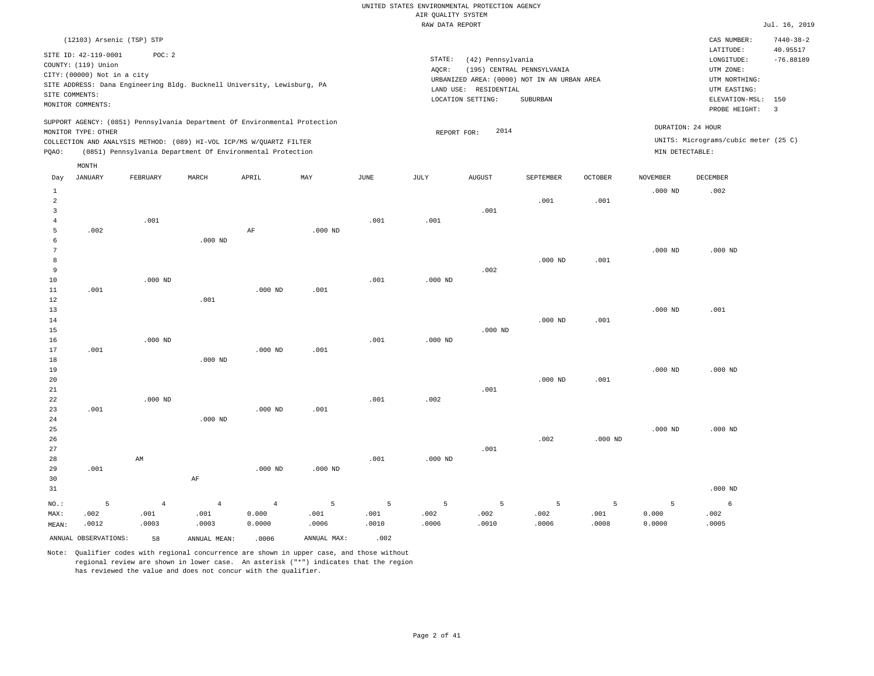|                     |                                                                                                 |                |                                                                            |                |                |                | RAW DATA REPORT |                                                                 |                                                                                       |                |                 |                                                                                                              | Jul. 16, 2019                             |
|---------------------|-------------------------------------------------------------------------------------------------|----------------|----------------------------------------------------------------------------|----------------|----------------|----------------|-----------------|-----------------------------------------------------------------|---------------------------------------------------------------------------------------|----------------|-----------------|--------------------------------------------------------------------------------------------------------------|-------------------------------------------|
|                     | (12103) Arsenic (TSP) STP                                                                       |                |                                                                            |                |                |                |                 |                                                                 |                                                                                       |                |                 | CAS NUMBER:                                                                                                  | $7440 - 38 - 2$                           |
| SITE COMMENTS:      | SITE ID: 42-119-0001<br>COUNTY: (119) Union<br>CITY: (00000) Not in a city<br>MONITOR COMMENTS: | POC: 2         | SITE ADDRESS: Dana Engineering Bldg. Bucknell University, Lewisburg, PA    |                |                |                | STATE:<br>AQCR: | (42) Pennsylvania<br>LAND USE: RESIDENTIAL<br>LOCATION SETTING: | (195) CENTRAL PENNSYLVANIA<br>URBANIZED AREA: (0000) NOT IN AN URBAN AREA<br>SUBURBAN |                |                 | LATITUDE:<br>LONGITUDE:<br>UTM ZONE:<br>UTM NORTHING:<br>UTM EASTING:<br>ELEVATION-MSL: 150<br>PROBE HEIGHT: | 40.95517<br>$-76.88189$<br>$\overline{3}$ |
|                     |                                                                                                 |                | SUPPORT AGENCY: (0851) Pennsylvania Department Of Environmental Protection |                |                |                |                 |                                                                 |                                                                                       |                |                 | DURATION: 24 HOUR                                                                                            |                                           |
|                     | MONITOR TYPE: OTHER                                                                             |                | COLLECTION AND ANALYSIS METHOD: (089) HI-VOL ICP/MS W/QUARTZ FILTER        |                |                |                | REPORT FOR:     | 2014                                                            |                                                                                       |                |                 | UNITS: Micrograms/cubic meter (25 C)                                                                         |                                           |
| PQAO:               |                                                                                                 |                | (0851) Pennsylvania Department Of Environmental Protection                 |                |                |                |                 |                                                                 |                                                                                       |                | MIN DETECTABLE: |                                                                                                              |                                           |
|                     |                                                                                                 |                |                                                                            |                |                |                |                 |                                                                 |                                                                                       |                |                 |                                                                                                              |                                           |
| Day                 | MONTH<br><b>JANUARY</b>                                                                         | FEBRUARY       | MARCH                                                                      | APRIL          | MAY            | JUNE           | JULY            | <b>AUGUST</b>                                                   | SEPTEMBER                                                                             | <b>OCTOBER</b> | <b>NOVEMBER</b> | DECEMBER                                                                                                     |                                           |
| $\mathbf{1}$        |                                                                                                 |                |                                                                            |                |                |                |                 |                                                                 |                                                                                       |                | $.000$ ND       | .002                                                                                                         |                                           |
| $\overline{a}$      |                                                                                                 |                |                                                                            |                |                |                |                 |                                                                 | .001                                                                                  | .001           |                 |                                                                                                              |                                           |
| $\overline{3}$      |                                                                                                 |                |                                                                            |                |                |                |                 | .001                                                            |                                                                                       |                |                 |                                                                                                              |                                           |
| $\overline{4}$<br>5 |                                                                                                 | .001           |                                                                            |                |                | .001           | .001            |                                                                 |                                                                                       |                |                 |                                                                                                              |                                           |
| 6                   | .002                                                                                            |                | $.000$ ND                                                                  | $\rm AF$       | $.000$ ND      |                |                 |                                                                 |                                                                                       |                |                 |                                                                                                              |                                           |
| 7                   |                                                                                                 |                |                                                                            |                |                |                |                 |                                                                 |                                                                                       |                | $.000$ ND       | $.000$ ND                                                                                                    |                                           |
| 8                   |                                                                                                 |                |                                                                            |                |                |                |                 |                                                                 | $.000$ ND                                                                             | .001           |                 |                                                                                                              |                                           |
| $\overline{9}$      |                                                                                                 |                |                                                                            |                |                |                |                 | .002                                                            |                                                                                       |                |                 |                                                                                                              |                                           |
| 10                  |                                                                                                 | $.000$ ND      |                                                                            |                |                | .001           | $.000$ ND       |                                                                 |                                                                                       |                |                 |                                                                                                              |                                           |
| $11\,$              | .001                                                                                            |                |                                                                            | $.000$ ND      | .001           |                |                 |                                                                 |                                                                                       |                |                 |                                                                                                              |                                           |
| $1\,2$              |                                                                                                 |                | .001                                                                       |                |                |                |                 |                                                                 |                                                                                       |                |                 |                                                                                                              |                                           |
| 13                  |                                                                                                 |                |                                                                            |                |                |                |                 |                                                                 |                                                                                       |                | $.000$ ND       | .001                                                                                                         |                                           |
| 14                  |                                                                                                 |                |                                                                            |                |                |                |                 |                                                                 | $.000$ ND                                                                             | .001           |                 |                                                                                                              |                                           |
| 15                  |                                                                                                 |                |                                                                            |                |                |                |                 | $.000$ ND                                                       |                                                                                       |                |                 |                                                                                                              |                                           |
| 16                  |                                                                                                 | $.000$ ND      |                                                                            |                |                | .001           | $.000$ ND       |                                                                 |                                                                                       |                |                 |                                                                                                              |                                           |
| 17                  | .001                                                                                            |                |                                                                            | $.000$ ND      | .001           |                |                 |                                                                 |                                                                                       |                |                 |                                                                                                              |                                           |
| 18<br>19            |                                                                                                 |                | $.000$ ND                                                                  |                |                |                |                 |                                                                 |                                                                                       |                | $.000$ ND       | $.000$ ND                                                                                                    |                                           |
| 20                  |                                                                                                 |                |                                                                            |                |                |                |                 |                                                                 | $.000$ ND                                                                             | .001           |                 |                                                                                                              |                                           |
| $21\,$              |                                                                                                 |                |                                                                            |                |                |                |                 | .001                                                            |                                                                                       |                |                 |                                                                                                              |                                           |
| 22                  |                                                                                                 | $.000$ ND      |                                                                            |                |                | .001           | .002            |                                                                 |                                                                                       |                |                 |                                                                                                              |                                           |
| 23                  | .001                                                                                            |                |                                                                            | $.000$ ND      | .001           |                |                 |                                                                 |                                                                                       |                |                 |                                                                                                              |                                           |
| 24                  |                                                                                                 |                | $.000$ ND                                                                  |                |                |                |                 |                                                                 |                                                                                       |                |                 |                                                                                                              |                                           |
| 25                  |                                                                                                 |                |                                                                            |                |                |                |                 |                                                                 |                                                                                       |                | $.000$ ND       | $.000$ ND                                                                                                    |                                           |
| 26                  |                                                                                                 |                |                                                                            |                |                |                |                 |                                                                 | .002                                                                                  | $.000$ ND      |                 |                                                                                                              |                                           |
| 27                  |                                                                                                 |                |                                                                            |                |                |                |                 | .001                                                            |                                                                                       |                |                 |                                                                                                              |                                           |
| 28                  |                                                                                                 | AM             |                                                                            |                |                | .001           | $.000$ ND       |                                                                 |                                                                                       |                |                 |                                                                                                              |                                           |
| 29                  | .001                                                                                            |                |                                                                            | $.000$ ND      | $.000$ ND      |                |                 |                                                                 |                                                                                       |                |                 |                                                                                                              |                                           |
| 30<br>31            |                                                                                                 |                | AF                                                                         |                |                |                |                 |                                                                 |                                                                                       |                |                 | $.000$ ND                                                                                                    |                                           |
|                     |                                                                                                 |                |                                                                            |                |                |                |                 |                                                                 |                                                                                       |                |                 |                                                                                                              |                                           |
| $NO.$ :             | 5                                                                                               | $\overline{4}$ | $\overline{4}$                                                             | $\overline{4}$ | $\overline{5}$ | $\overline{5}$ | 5               | 5                                                               | 5                                                                                     | 5              | 5               | 6                                                                                                            |                                           |
| MAX:                | .002                                                                                            | .001           | .001                                                                       | 0.000          | .001           | .001           | .002            | .002                                                            | .002                                                                                  | .001           | 0.000           | .002                                                                                                         |                                           |
| MEAN:               | .0012                                                                                           | .0003          | .0003                                                                      | 0.0000         | .0006          | .0010          | .0006           | .0010                                                           | .0006                                                                                 | .0008          | 0.0000          | .0005                                                                                                        |                                           |
|                     | ANNUAL OBSERVATIONS:                                                                            | 58             | ANNUAL MEAN:                                                               | .0006          | ANNUAL MAX:    | .002           |                 |                                                                 |                                                                                       |                |                 |                                                                                                              |                                           |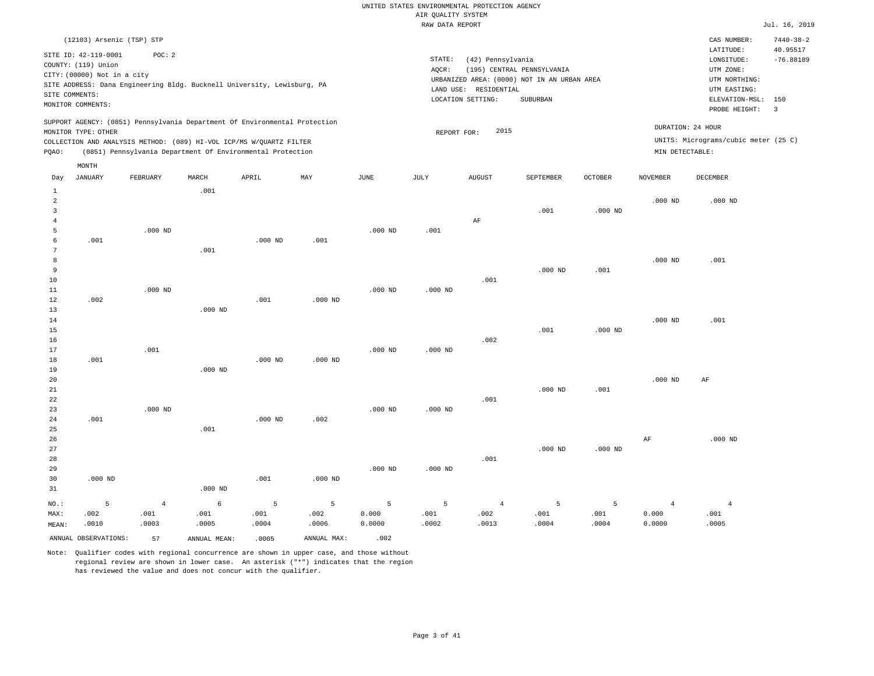|       | (12103) Arsenic (TSP) STP                                                                                         |          |       |                                                                                                                                   |                                                                            |      |       |                                                                                                                             |                                        |         |                 | CAS NUMBER:                                                                                 | $7440 - 38 - 2$         |
|-------|-------------------------------------------------------------------------------------------------------------------|----------|-------|-----------------------------------------------------------------------------------------------------------------------------------|----------------------------------------------------------------------------|------|-------|-----------------------------------------------------------------------------------------------------------------------------|----------------------------------------|---------|-----------------|---------------------------------------------------------------------------------------------|-------------------------|
|       | SITE ID: 42-119-0001<br>COUNTY: (119) Union<br>CITY: (00000) Not in a city<br>SITE COMMENTS:<br>MONITOR COMMENTS: | POC:2    |       | SITE ADDRESS: Dana Engineering Bldg. Bucknell University, Lewisburg, PA                                                           |                                                                            |      | AOCR: | STATE:<br>(42) Pennsylvania<br>URBANIZED AREA: (0000) NOT IN AN URBAN AREA<br>RESIDENTIAL<br>LAND USE:<br>LOCATION SETTING: | (195) CENTRAL PENNSYLVANIA<br>SUBURBAN |         |                 | LATITUDE:<br>LONGITUDE:<br>UTM ZONE:<br>UTM NORTHING:<br>UTM EASTING:<br>ELEVATION-MSL: 150 | 40.95517<br>$-76.88189$ |
|       |                                                                                                                   |          |       |                                                                                                                                   |                                                                            |      |       |                                                                                                                             |                                        |         |                 | PROBE HEIGHT:                                                                               | $\overline{\mathbf{3}}$ |
| POAO: | MONITOR TYPE: OTHER                                                                                               |          |       | COLLECTION AND ANALYSIS METHOD: (089) HI-VOL ICP/MS W/OUARTZ FILTER<br>(0851) Pennsylvania Department Of Environmental Protection | SUPPORT AGENCY: (0851) Pennsylvania Department Of Environmental Protection |      |       | 2015<br>REPORT FOR:                                                                                                         |                                        |         | MIN DETECTABLE: | DURATION: 24 HOUR<br>UNITS: Micrograms/cubic meter (25 C)                                   |                         |
|       | MONTH                                                                                                             |          |       |                                                                                                                                   |                                                                            |      |       |                                                                                                                             |                                        |         |                 |                                                                                             |                         |
| Day   | JANUARY                                                                                                           | FEBRUARY | MARCH | APRIL                                                                                                                             | MAY                                                                        | JUNE | JULY  | <b>AUGUST</b>                                                                                                               | SEPTEMBER                              | OCTOBER | <b>NOVEMBER</b> | DECEMBER                                                                                    |                         |

| $\mathbf{1}$   |           |                | .001      |           |            |             |                |                |           |           |                |                |
|----------------|-----------|----------------|-----------|-----------|------------|-------------|----------------|----------------|-----------|-----------|----------------|----------------|
| $\overline{a}$ |           |                |           |           |            |             |                |                |           |           | $.000$ ND      | $.000$ ND      |
| $\overline{3}$ |           |                |           |           |            |             |                |                | .001      | $.000$ ND |                |                |
| $\overline{4}$ |           |                |           |           |            |             |                | $\rm{AF}$      |           |           |                |                |
| 5              |           | $.000$ ND      |           |           |            | $.000$ ND   | .001           |                |           |           |                |                |
| 6              | .001      |                |           | $.000$ ND | .001       |             |                |                |           |           |                |                |
| 7              |           |                | .001      |           |            |             |                |                |           |           |                |                |
| 8              |           |                |           |           |            |             |                |                |           |           | $.000$ ND      | .001           |
| 9              |           |                |           |           |            |             |                |                | $.000$ ND | .001      |                |                |
| 10             |           |                |           |           |            |             |                | .001           |           |           |                |                |
| 11             |           | $.000$ ND      |           |           |            | $.000$ ND   | $.000$ ND      |                |           |           |                |                |
| 12             | .002      |                |           | .001      | $.000$ ND  |             |                |                |           |           |                |                |
| 13             |           |                | $.000$ ND |           |            |             |                |                |           |           |                |                |
| 14             |           |                |           |           |            |             |                |                |           |           | $.000$ ND      | .001           |
| 15             |           |                |           |           |            |             |                |                | .001      | $.000$ ND |                |                |
| 16             |           |                |           |           |            |             |                | .002           |           |           |                |                |
| 17             |           | .001           |           |           |            | $.000$ ND   | $.000$ ND      |                |           |           |                |                |
| 18             | .001      |                |           | $.000$ ND | $.000$ ND  |             |                |                |           |           |                |                |
| 19             |           |                | $.000$ ND |           |            |             |                |                |           |           |                |                |
| 20             |           |                |           |           |            |             |                |                |           |           | $.000$ ND      | AF             |
| 21             |           |                |           |           |            |             |                |                | $.000$ ND | .001      |                |                |
| 22             |           |                |           |           |            |             |                | .001           |           |           |                |                |
| 23             |           | $.000$ ND      |           |           |            | $.000$ ND   | $.000$ ND      |                |           |           |                |                |
| 24             | .001      |                |           | $.000$ ND | .002       |             |                |                |           |           |                |                |
| 25             |           |                | .001      |           |            |             |                |                |           |           |                |                |
| 26             |           |                |           |           |            |             |                |                |           |           | $\rm{AF}$      | $.000$ ND      |
| 27             |           |                |           |           |            |             |                |                | $.000$ ND | $.000$ ND |                |                |
| 28             |           |                |           |           |            |             |                | .001           |           |           |                |                |
| 29             |           |                |           |           |            | $.000$ ND   | $.000$ ND      |                |           |           |                |                |
| 30             | $.000$ ND |                |           | .001      | $.000$ ND  |             |                |                |           |           |                |                |
| 31             |           |                | $.000$ ND |           |            |             |                |                |           |           |                |                |
| $NO.$ :        | 5         | $\overline{4}$ | 6         | 5         | $\sqrt{5}$ | $\mathsf S$ | $\overline{5}$ | $\overline{4}$ | 5         | 5         | $\overline{4}$ | $\overline{4}$ |
| MAX:           | .002      | .001           | .001      | .001      | .002       | 0.000       | .001           | .002           | .001      | .001      | 0.000          | .001           |
| MEAN:          | .0010     | .0003          | .0005     | .0004     | .0006      | 0.0000      | .0002          | .0013          | .0004     | .0004     | 0.0000         | .0005          |

ANNUAL OBSERVATIONS: 57 ANNUAL MEAN: .0005 ANNUAL MAX: .002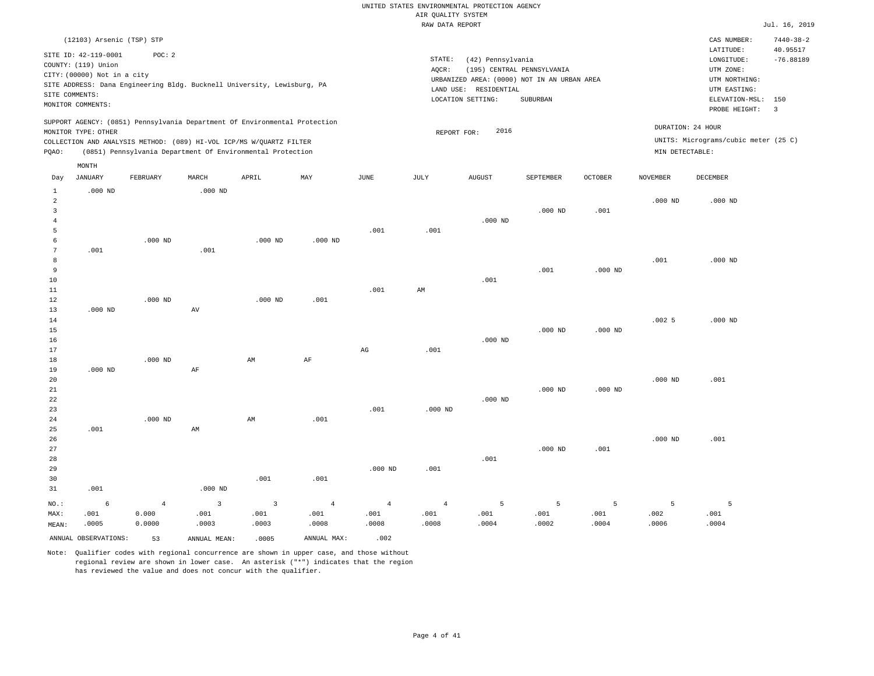|       | (12103) Arsenic (TSP) STP   |           |           |                                                                            |           |      |           |                                             |                            |         |                   | CAS NUMBER:                          | $7440 - 38 - 2$ |
|-------|-----------------------------|-----------|-----------|----------------------------------------------------------------------------|-----------|------|-----------|---------------------------------------------|----------------------------|---------|-------------------|--------------------------------------|-----------------|
|       | SITE ID: 42-119-0001        | POC:2     |           |                                                                            |           |      |           |                                             |                            |         |                   | LATITUDE:                            | 40.95517        |
|       | COUNTY: (119) Union         |           |           |                                                                            |           |      | STATE:    | (42) Pennsylvania                           |                            |         |                   | LONGITUDE:                           | $-76.88189$     |
|       | CITY: (00000) Not in a city |           |           |                                                                            |           |      | AOCR:     |                                             | (195) CENTRAL PENNSYLVANIA |         |                   | UTM ZONE:                            |                 |
|       |                             |           |           | SITE ADDRESS: Dana Engineering Bldg. Bucknell University, Lewisburg, PA    |           |      |           | URBANIZED AREA: (0000) NOT IN AN URBAN AREA |                            |         |                   | UTM NORTHING:                        |                 |
|       | SITE COMMENTS:              |           |           |                                                                            |           |      | LAND USE: | RESIDENTIAL                                 |                            |         |                   | UTM EASTING:                         |                 |
|       | MONITOR COMMENTS:           |           |           |                                                                            |           |      |           | LOCATION SETTING:                           | SUBURBAN                   |         |                   | ELEVATION-MSL:                       | 150             |
|       |                             |           |           |                                                                            |           |      |           |                                             |                            |         |                   | PROBE HEIGHT:                        | 3               |
|       | MONITOR TYPE: OTHER         |           |           | SUPPORT AGENCY: (0851) Pennsylvania Department Of Environmental Protection |           |      |           | 2016<br>REPORT FOR:                         |                            |         | DURATION: 24 HOUR |                                      |                 |
|       |                             |           |           | COLLECTION AND ANALYSIS METHOD: (089) HI-VOL ICP/MS W/OUARTZ FILTER        |           |      |           |                                             |                            |         |                   | UNITS: Micrograms/cubic meter (25 C) |                 |
| POAO: |                             |           |           | (0851) Pennsylvania Department Of Environmental Protection                 |           |      |           |                                             |                            |         | MIN DETECTABLE:   |                                      |                 |
|       | MONTH                       |           |           |                                                                            |           |      |           |                                             |                            |         |                   |                                      |                 |
| Day   | JANUARY                     | FEBRUARY  | MARCH     | APRIL                                                                      | MAY       | JUNE | JULY      | AUGUST                                      | SEPTEMBER                  | OCTOBER | <b>NOVEMBER</b>   | <b>DECEMBER</b>                      |                 |
|       | $.000$ ND                   |           | $.000$ ND |                                                                            |           |      |           |                                             |                            |         |                   |                                      |                 |
| 2     |                             |           |           |                                                                            |           |      |           |                                             |                            |         | $.000$ ND         | $.000$ ND                            |                 |
|       |                             |           |           |                                                                            |           |      |           |                                             | $.000$ ND                  | .001    |                   |                                      |                 |
|       |                             |           |           |                                                                            |           |      |           | $.000$ ND                                   |                            |         |                   |                                      |                 |
|       |                             |           |           |                                                                            |           | .001 | .001      |                                             |                            |         |                   |                                      |                 |
|       |                             | $.000$ ND |           | .000 <sub>ND</sub>                                                         | $.000$ ND |      |           |                                             |                            |         |                   |                                      |                 |
|       | .001                        |           | .001      |                                                                            |           |      |           |                                             |                            |         |                   |                                      |                 |

| 8  |           |           |           |      |      |      |           |           |           | .001  | $.000$ ND |
|----|-----------|-----------|-----------|------|------|------|-----------|-----------|-----------|-------|-----------|
|    |           |           |           |      |      |      |           |           |           |       |           |
| 9  |           |           |           |      |      |      |           | .001      | $.000$ ND |       |           |
| 10 |           |           |           |      |      |      | .001      |           |           |       |           |
| 11 |           |           |           |      | .001 | AM   |           |           |           |       |           |
| 12 |           | $.000$ ND | $.000$ ND | .001 |      |      |           |           |           |       |           |
| 13 | $.000$ ND | AV        |           |      |      |      |           |           |           |       |           |
| 14 |           |           |           |      |      |      |           |           |           | .0025 | $.000$ ND |
| 15 |           |           |           |      |      |      |           | $.000$ ND | $.000$ ND |       |           |
| 16 |           |           |           |      |      |      | $.000$ ND |           |           |       |           |
| 17 |           |           |           |      | AG   | .001 |           |           |           |       |           |
| 18 |           | $.000$ ND | AM        | AF   |      |      |           |           |           |       |           |

| 19 | $.000$ ND |           | AF |    |      |      |           |           |           |           |           |      |
|----|-----------|-----------|----|----|------|------|-----------|-----------|-----------|-----------|-----------|------|
| 20 |           |           |    |    |      |      |           |           |           |           | $.000$ ND | .001 |
| 21 |           |           |    |    |      |      |           |           | $.000$ ND | $.000$ ND |           |      |
| 22 |           |           |    |    |      |      |           | $.000$ ND |           |           |           |      |
| 23 |           |           |    |    |      | .001 | $.000$ ND |           |           |           |           |      |
| 24 |           | $.000$ ND |    | AM | .001 |      |           |           |           |           |           |      |
| 25 | .001      |           | AM |    |      |      |           |           |           |           |           |      |
| 26 |           |           |    |    |      |      |           |           |           |           | $.000$ ND | .001 |
| 27 |           |           |    |    |      |      |           |           | $.000$ ND | .001      |           |      |

| 28      |            |        |           |       |       |                |                | .001  |       |       |       |       |
|---------|------------|--------|-----------|-------|-------|----------------|----------------|-------|-------|-------|-------|-------|
| 29      |            |        |           |       |       | $.000$ ND      | .001           |       |       |       |       |       |
| 30      |            |        |           | .001  | .001  |                |                |       |       |       |       |       |
| 31      | .001       |        | $.000$ ND |       |       |                |                |       |       |       |       |       |
| $NO.$ : | $\epsilon$ |        |           |       |       | $\overline{4}$ | $\overline{4}$ | 5     | 5     |       |       |       |
| MAX:    | .001       | 0.000  | .001      | .001  | .001  | .001           | .001           | .001  | .001  | .001  | .002  | .001  |
| MEAN:   | .0005      | 0.0000 | .0003     | .0003 | .0008 | .0008          | .0008          | .0004 | .0002 | .0004 | .0006 | .0004 |
|         |            |        |           |       |       |                |                |       |       |       |       |       |

ANNUAL OBSERVATIONS: 53 ANNUAL MEAN: .0005 ANNUAL MAX: .002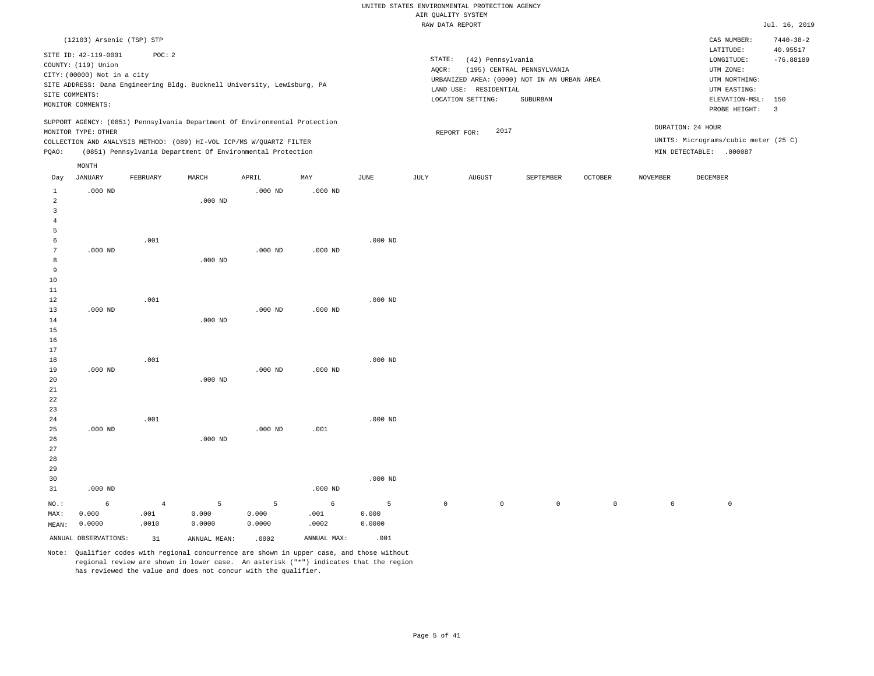|                |                                                                            |          |           |                                                                            |           |           | RAW DATA REPORT |                       |                                                                           |         |          |                                                       | Jul. 16, 2019           |
|----------------|----------------------------------------------------------------------------|----------|-----------|----------------------------------------------------------------------------|-----------|-----------|-----------------|-----------------------|---------------------------------------------------------------------------|---------|----------|-------------------------------------------------------|-------------------------|
|                | (12103) Arsenic (TSP) STP                                                  |          |           |                                                                            |           |           |                 |                       |                                                                           |         |          | CAS NUMBER:                                           | $7440 - 38 - 2$         |
|                | SITE ID: 42-119-0001<br>COUNTY: (119) Union<br>CITY: (00000) Not in a city | POC: 2   |           |                                                                            |           |           | STATE:<br>AQCR: | (42) Pennsylvania     | (195) CENTRAL PENNSYLVANIA<br>URBANIZED AREA: (0000) NOT IN AN URBAN AREA |         |          | LATITUDE:<br>LONGITUDE:<br>UTM ZONE:<br>UTM NORTHING: | 40.95517<br>$-76.88189$ |
|                |                                                                            |          |           | SITE ADDRESS: Dana Engineering Bldg. Bucknell University, Lewisburg, PA    |           |           |                 | LAND USE: RESIDENTIAL |                                                                           |         |          | UTM EASTING:                                          |                         |
|                | SITE COMMENTS:<br>MONITOR COMMENTS:                                        |          |           |                                                                            |           |           |                 | LOCATION SETTING:     | SUBURBAN                                                                  |         |          | ELEVATION-MSL:                                        | 150                     |
|                |                                                                            |          |           |                                                                            |           |           |                 |                       |                                                                           |         |          | PROBE HEIGHT:                                         | $\overline{\mathbf{3}}$ |
|                |                                                                            |          |           | SUPPORT AGENCY: (0851) Pennsylvania Department Of Environmental Protection |           |           |                 |                       |                                                                           |         |          | DURATION: 24 HOUR                                     |                         |
|                | MONITOR TYPE: OTHER                                                        |          |           |                                                                            |           |           |                 | 2017<br>REPORT FOR:   |                                                                           |         |          |                                                       |                         |
|                |                                                                            |          |           | COLLECTION AND ANALYSIS METHOD: (089) HI-VOL ICP/MS W/QUARTZ FILTER        |           |           |                 |                       |                                                                           |         |          | UNITS: Micrograms/cubic meter (25 C)                  |                         |
| PQAO:          |                                                                            |          |           | (0851) Pennsylvania Department Of Environmental Protection                 |           |           |                 |                       |                                                                           |         |          | MIN DETECTABLE: .000087                               |                         |
|                | MONTH                                                                      |          |           |                                                                            |           |           |                 |                       |                                                                           |         |          |                                                       |                         |
| Day            | <b>JANUARY</b>                                                             | FEBRUARY | MARCH     | APRIL                                                                      | MAY       | JUNE      | JULY            | <b>AUGUST</b>         | SEPTEMBER                                                                 | OCTOBER | NOVEMBER | <b>DECEMBER</b>                                       |                         |
| 1              | $.000$ ND                                                                  |          |           | $.000$ ND                                                                  | $.000$ ND |           |                 |                       |                                                                           |         |          |                                                       |                         |
| $\overline{a}$ |                                                                            |          | $.000$ ND |                                                                            |           |           |                 |                       |                                                                           |         |          |                                                       |                         |
| 3              |                                                                            |          |           |                                                                            |           |           |                 |                       |                                                                           |         |          |                                                       |                         |
| 4<br>5         |                                                                            |          |           |                                                                            |           |           |                 |                       |                                                                           |         |          |                                                       |                         |
| 6              |                                                                            | .001     |           |                                                                            |           | $.000$ ND |                 |                       |                                                                           |         |          |                                                       |                         |
| 7              | $.000$ ND                                                                  |          |           | $.000$ ND                                                                  | $.000$ ND |           |                 |                       |                                                                           |         |          |                                                       |                         |
| 8              |                                                                            |          | $.000$ ND |                                                                            |           |           |                 |                       |                                                                           |         |          |                                                       |                         |
| 9              |                                                                            |          |           |                                                                            |           |           |                 |                       |                                                                           |         |          |                                                       |                         |
| 10             |                                                                            |          |           |                                                                            |           |           |                 |                       |                                                                           |         |          |                                                       |                         |
| 11             |                                                                            |          |           |                                                                            |           |           |                 |                       |                                                                           |         |          |                                                       |                         |
| 12             |                                                                            | .001     |           |                                                                            |           | $.000$ ND |                 |                       |                                                                           |         |          |                                                       |                         |
| 13             | $.000$ ND                                                                  |          |           | $.000$ ND                                                                  | $.000$ ND |           |                 |                       |                                                                           |         |          |                                                       |                         |
| 14             |                                                                            |          | $.000$ ND |                                                                            |           |           |                 |                       |                                                                           |         |          |                                                       |                         |
| 15<br>16       |                                                                            |          |           |                                                                            |           |           |                 |                       |                                                                           |         |          |                                                       |                         |
| 17             |                                                                            |          |           |                                                                            |           |           |                 |                       |                                                                           |         |          |                                                       |                         |
| 18             |                                                                            | .001     |           |                                                                            |           | $.000$ ND |                 |                       |                                                                           |         |          |                                                       |                         |
| 19             | $.000$ ND                                                                  |          |           | $.000$ ND                                                                  | $.000$ ND |           |                 |                       |                                                                           |         |          |                                                       |                         |
| 20             |                                                                            |          | $.000$ ND |                                                                            |           |           |                 |                       |                                                                           |         |          |                                                       |                         |
| 21             |                                                                            |          |           |                                                                            |           |           |                 |                       |                                                                           |         |          |                                                       |                         |
| 22             |                                                                            |          |           |                                                                            |           |           |                 |                       |                                                                           |         |          |                                                       |                         |
| 23             |                                                                            |          |           |                                                                            |           |           |                 |                       |                                                                           |         |          |                                                       |                         |
| 24             |                                                                            | .001     |           |                                                                            |           | $.000$ ND |                 |                       |                                                                           |         |          |                                                       |                         |
| 25             | $.000$ ND                                                                  |          |           | $.000$ ND                                                                  | .001      |           |                 |                       |                                                                           |         |          |                                                       |                         |
| 26             |                                                                            |          | $.000$ ND |                                                                            |           |           |                 |                       |                                                                           |         |          |                                                       |                         |

29 30 31 .000 ND NO.: MAX: MEAN: 6 0.000 0.0000 .000 ND .000 ND 4 .001 .0010 5 0.000 0.0000 5 0.000 0.0000 6 .001 .0002 5 0.000 0.0000 0 0 0 0 0 0 ANNUAL OBSERVATIONS:  $31$  ANNUAL MEAN: .0002 ANNUAL MAX: .001

Note: Qualifier codes with regional concurrence are shown in upper case, and those without regional review are shown in lower case. An asterisk ("\*") indicates that the region has reviewed the value and does not concur with the qualifier.

27 28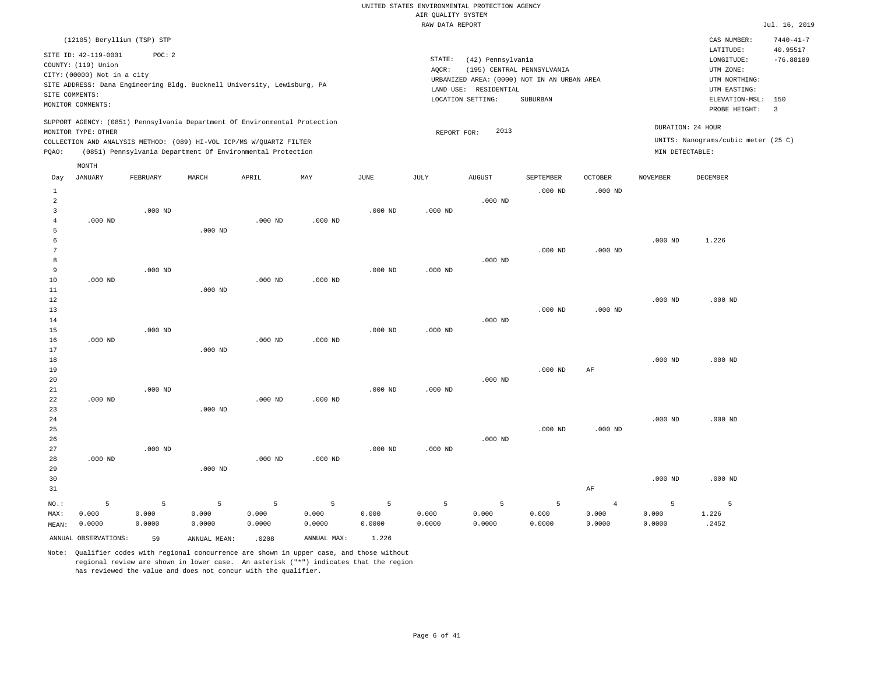|                |                             |           |                                                                            |           |             |             | RAW DATA REPORT |                       |                                             |                |                 |                                     | Jul. 16, 2019           |
|----------------|-----------------------------|-----------|----------------------------------------------------------------------------|-----------|-------------|-------------|-----------------|-----------------------|---------------------------------------------|----------------|-----------------|-------------------------------------|-------------------------|
|                | (12105) Beryllium (TSP) STP |           |                                                                            |           |             |             |                 |                       |                                             |                |                 | CAS NUMBER:                         | $7440 - 41 - 7$         |
|                | SITE ID: 42-119-0001        | POC: 2    |                                                                            |           |             |             |                 |                       |                                             |                |                 | LATITUDE:                           | 40.95517                |
|                | COUNTY: (119) Union         |           |                                                                            |           |             |             | STATE:          | (42) Pennsylvania     |                                             |                |                 | LONGITUDE:                          | $-76.88189$             |
|                | CITY: (00000) Not in a city |           |                                                                            |           |             |             | AQCR:           |                       | (195) CENTRAL PENNSYLVANIA                  |                |                 | UTM ZONE:                           |                         |
|                |                             |           | SITE ADDRESS: Dana Engineering Bldg. Bucknell University, Lewisburg, PA    |           |             |             |                 |                       | URBANIZED AREA: (0000) NOT IN AN URBAN AREA |                |                 | UTM NORTHING:                       |                         |
|                | SITE COMMENTS:              |           |                                                                            |           |             |             |                 | LAND USE: RESIDENTIAL |                                             |                |                 | UTM EASTING:                        |                         |
|                | MONITOR COMMENTS:           |           |                                                                            |           |             |             |                 | LOCATION SETTING:     | SUBURBAN                                    |                |                 | ELEVATION-MSL:                      | 150                     |
|                |                             |           |                                                                            |           |             |             |                 |                       |                                             |                |                 | PROBE HEIGHT:                       | $\overline{\mathbf{3}}$ |
|                |                             |           | SUPPORT AGENCY: (0851) Pennsylvania Department Of Environmental Protection |           |             |             |                 |                       |                                             |                |                 |                                     |                         |
|                | MONITOR TYPE: OTHER         |           |                                                                            |           |             |             | REPORT FOR:     | 2013                  |                                             |                |                 | DURATION: 24 HOUR                   |                         |
|                |                             |           | COLLECTION AND ANALYSIS METHOD: (089) HI-VOL ICP/MS W/QUARTZ FILTER        |           |             |             |                 |                       |                                             |                |                 | UNITS: Nanograms/cubic meter (25 C) |                         |
| PQAO:          |                             |           | (0851) Pennsylvania Department Of Environmental Protection                 |           |             |             |                 |                       |                                             |                | MIN DETECTABLE: |                                     |                         |
|                | MONTH                       |           |                                                                            |           |             |             |                 |                       |                                             |                |                 |                                     |                         |
| Day            | <b>JANUARY</b>              | FEBRUARY  | MARCH                                                                      | APRIL     | MAX         | <b>JUNE</b> | $\mathtt{JULY}$ | <b>AUGUST</b>         | SEPTEMBER                                   | <b>OCTOBER</b> | <b>NOVEMBER</b> | DECEMBER                            |                         |
| $\mathbf{1}$   |                             |           |                                                                            |           |             |             |                 |                       | $.000$ ND                                   | $.000$ ND      |                 |                                     |                         |
| $\overline{2}$ |                             |           |                                                                            |           |             |             |                 | $.000$ ND             |                                             |                |                 |                                     |                         |
| 3              |                             | $.000$ ND |                                                                            |           |             | $.000$ ND   | $.000$ ND       |                       |                                             |                |                 |                                     |                         |
| $\overline{4}$ | $.000$ ND                   |           |                                                                            | $.000$ ND | $.000$ ND   |             |                 |                       |                                             |                |                 |                                     |                         |
| 5              |                             |           | $.000$ ND                                                                  |           |             |             |                 |                       |                                             |                |                 |                                     |                         |
| 6              |                             |           |                                                                            |           |             |             |                 |                       |                                             |                | $.000$ ND       | 1.226                               |                         |
| $\overline{7}$ |                             |           |                                                                            |           |             |             |                 |                       | $.000$ ND                                   | $.000$ ND      |                 |                                     |                         |
| 8              |                             |           |                                                                            |           |             |             |                 | $.000$ ND             |                                             |                |                 |                                     |                         |
| 9              |                             | $.000$ ND |                                                                            |           |             | $.000$ ND   | $.000$ ND       |                       |                                             |                |                 |                                     |                         |
| $10$           | $.000$ ND                   |           |                                                                            | $.000$ ND | $.000$ ND   |             |                 |                       |                                             |                |                 |                                     |                         |
| 11             |                             |           | $.000$ ND                                                                  |           |             |             |                 |                       |                                             |                |                 |                                     |                         |
| 12             |                             |           |                                                                            |           |             |             |                 |                       |                                             |                | $.000$ ND       | $.000$ ND                           |                         |
| 13             |                             |           |                                                                            |           |             |             |                 |                       | $.000$ ND                                   | $.000$ ND      |                 |                                     |                         |
| 14             |                             |           |                                                                            |           |             |             |                 | $.000$ ND             |                                             |                |                 |                                     |                         |
| 15             |                             | $.000$ ND |                                                                            |           |             | $.000$ ND   | $.000$ ND       |                       |                                             |                |                 |                                     |                         |
| 16             | $.000$ ND                   |           |                                                                            | $.000$ ND | $.000$ ND   |             |                 |                       |                                             |                |                 |                                     |                         |
| 17             |                             |           | $.000$ ND                                                                  |           |             |             |                 |                       |                                             |                |                 |                                     |                         |
| 18             |                             |           |                                                                            |           |             |             |                 |                       |                                             |                | $.000$ ND       | $.000$ ND                           |                         |
| 19             |                             |           |                                                                            |           |             |             |                 |                       | $.000$ ND                                   | AF             |                 |                                     |                         |
| 20             |                             |           |                                                                            |           |             |             |                 | $.000$ ND             |                                             |                |                 |                                     |                         |
| 21             |                             | $.000$ ND |                                                                            |           |             | $.000$ ND   | $.000$ ND       |                       |                                             |                |                 |                                     |                         |
| 22<br>23       | $.000$ ND                   |           | $.000$ ND                                                                  | $.000$ ND | $.000$ ND   |             |                 |                       |                                             |                |                 |                                     |                         |
| 24             |                             |           |                                                                            |           |             |             |                 |                       |                                             |                | $.000$ ND       | $.000$ ND                           |                         |
| 25             |                             |           |                                                                            |           |             |             |                 |                       | $.000$ ND                                   | $.000$ ND      |                 |                                     |                         |
| 26             |                             |           |                                                                            |           |             |             |                 | $.000$ ND             |                                             |                |                 |                                     |                         |
| 27             |                             | $.000$ ND |                                                                            |           |             | $.000$ ND   | $.000$ ND       |                       |                                             |                |                 |                                     |                         |
| 28             | $.000$ ND                   |           |                                                                            | $.000$ ND | $.000$ ND   |             |                 |                       |                                             |                |                 |                                     |                         |
| 29             |                             |           | $.000$ ND                                                                  |           |             |             |                 |                       |                                             |                |                 |                                     |                         |
| 30             |                             |           |                                                                            |           |             |             |                 |                       |                                             |                | $.000$ ND       | $.000$ ND                           |                         |
| 31             |                             |           |                                                                            |           |             |             |                 |                       |                                             | AF             |                 |                                     |                         |
|                |                             |           |                                                                            |           |             |             |                 |                       |                                             |                |                 |                                     |                         |
| NO.:           | 5                           | 5         | 5                                                                          | 5         | 5           | 5           | 5               | 5                     | 5                                           | $\overline{4}$ | 5               | 5                                   |                         |
| MAX:           | 0.000                       | 0.000     | 0.000                                                                      | 0.000     | 0.000       | 0.000       | 0.000           | 0.000                 | 0.000                                       | 0.000          | 0.000           | 1.226                               |                         |
| MEAN:          | 0.0000                      | 0.0000    | 0.0000                                                                     | 0.0000    | 0.0000      | 0.0000      | 0.0000          | 0.0000                | 0.0000                                      | 0.0000         | 0.0000          | .2452                               |                         |
|                | ANNUAL OBSERVATIONS:        | 59        | ANNUAL MEAN:                                                               | .0208     | ANNUAL MAX: | 1.226       |                 |                       |                                             |                |                 |                                     |                         |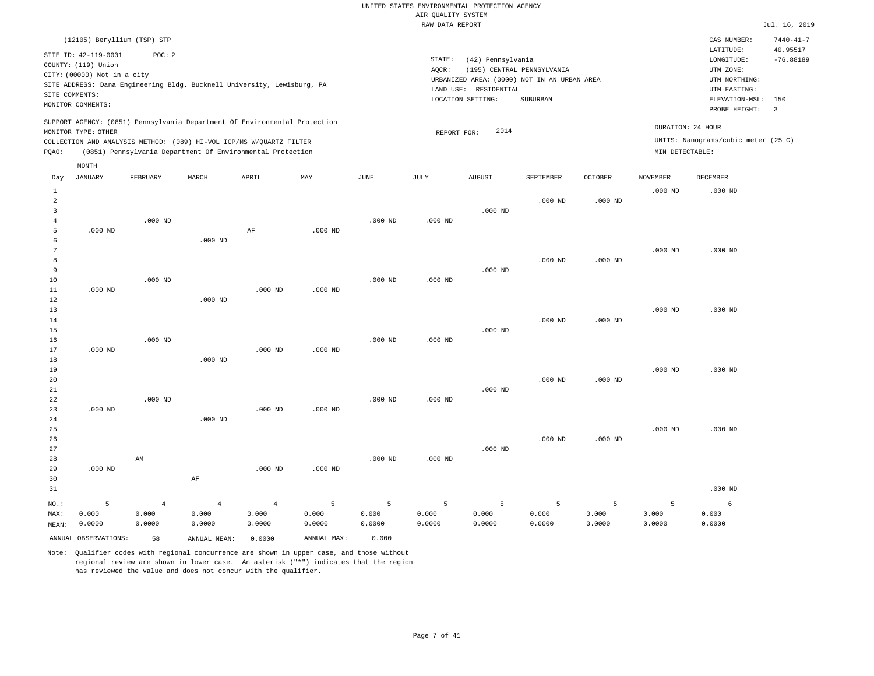|                                       |                                                                                                                   |                         |                                                                                                                                                   |                         |             |             | RAW DATA REPORT |                                                                 |                                                                                       |                |                 |                                                                                                          | Jul. 16, 2019                                    |
|---------------------------------------|-------------------------------------------------------------------------------------------------------------------|-------------------------|---------------------------------------------------------------------------------------------------------------------------------------------------|-------------------------|-------------|-------------|-----------------|-----------------------------------------------------------------|---------------------------------------------------------------------------------------|----------------|-----------------|----------------------------------------------------------------------------------------------------------|--------------------------------------------------|
|                                       | (12105) Beryllium (TSP) STP                                                                                       |                         |                                                                                                                                                   |                         |             |             |                 |                                                                 |                                                                                       |                |                 | CAS NUMBER:                                                                                              | $7440 - 41 - 7$                                  |
|                                       | SITE ID: 42-119-0001<br>COUNTY: (119) Union<br>CITY: (00000) Not in a city<br>SITE COMMENTS:<br>MONITOR COMMENTS: | POC: 2                  | SITE ADDRESS: Dana Engineering Bldg. Bucknell University, Lewisburg, PA                                                                           |                         |             |             | STATE:<br>AQCR: | (42) Pennsylvania<br>LAND USE: RESIDENTIAL<br>LOCATION SETTING: | (195) CENTRAL PENNSYLVANIA<br>URBANIZED AREA: (0000) NOT IN AN URBAN AREA<br>SUBURBAN |                |                 | LATITUDE:<br>LONGITUDE:<br>UTM ZONE:<br>UTM NORTHING:<br>UTM EASTING:<br>ELEVATION-MSL:<br>PROBE HEIGHT: | 40.95517<br>$-76.88189$<br>150<br>$\overline{3}$ |
|                                       | MONITOR TYPE: OTHER                                                                                               |                         | SUPPORT AGENCY: (0851) Pennsylvania Department Of Environmental Protection<br>COLLECTION AND ANALYSIS METHOD: (089) HI-VOL ICP/MS W/QUARTZ FILTER |                         |             |             | REPORT FOR:     | 2014                                                            |                                                                                       |                |                 | DURATION: 24 HOUR<br>UNITS: Nanograms/cubic meter (25 C)                                                 |                                                  |
| PQAO:                                 |                                                                                                                   |                         | (0851) Pennsylvania Department Of Environmental Protection                                                                                        |                         |             |             |                 |                                                                 |                                                                                       |                | MIN DETECTABLE: |                                                                                                          |                                                  |
| Day                                   | MONTH<br><b>JANUARY</b>                                                                                           | <b>FEBRUARY</b>         | MARCH                                                                                                                                             | APRIL                   | MAY         | <b>JUNE</b> | <b>JULY</b>     | <b>AUGUST</b>                                                   | SEPTEMBER                                                                             | <b>OCTOBER</b> | <b>NOVEMBER</b> | DECEMBER                                                                                                 |                                                  |
| 1                                     |                                                                                                                   |                         |                                                                                                                                                   |                         |             |             |                 |                                                                 |                                                                                       |                | $.000$ ND       | $.000$ ND                                                                                                |                                                  |
| $\overline{a}$<br>3<br>$\overline{4}$ |                                                                                                                   | $.000$ ND               |                                                                                                                                                   |                         |             | $.000$ ND   | $.000$ ND       | $.000$ ND                                                       | $.000$ ND                                                                             | $.000$ ND      |                 |                                                                                                          |                                                  |
| 5<br>6                                | $.000$ ND                                                                                                         |                         | $.000$ ND                                                                                                                                         | AF                      | $.000$ ND   |             |                 |                                                                 |                                                                                       |                |                 |                                                                                                          |                                                  |
| 7<br>8<br>9                           |                                                                                                                   |                         |                                                                                                                                                   |                         |             |             |                 | $.000$ ND                                                       | $.000$ ND                                                                             | $.000$ ND      | $.000$ ND       | $.000$ ND                                                                                                |                                                  |
| 10<br>11<br>12                        | $.000$ ND                                                                                                         | $.000$ ND               | $.000$ ND                                                                                                                                         | $.000$ ND               | $.000$ ND   | $.000$ ND   | $.000$ ND       |                                                                 |                                                                                       |                |                 |                                                                                                          |                                                  |
| 13<br>14<br>15                        |                                                                                                                   |                         |                                                                                                                                                   |                         |             |             |                 | $.000$ ND                                                       | $.000$ ND                                                                             | $.000$ ND      | $.000$ ND       | $.000$ ND                                                                                                |                                                  |
| 16<br>17<br>18                        | $.000$ ND                                                                                                         | $.000$ ND               | $.000$ ND                                                                                                                                         | $.000$ ND               | $.000$ ND   | $.000$ ND   | $.000$ ND       |                                                                 |                                                                                       |                |                 |                                                                                                          |                                                  |
| 19<br>20<br>$2\sqrt{1}$               |                                                                                                                   |                         |                                                                                                                                                   |                         |             |             |                 | $.000$ ND                                                       | $.000$ ND                                                                             | $.000$ ND      | $.000$ ND       | $.000$ ND                                                                                                |                                                  |
| 22<br>23<br>24<br>25                  | $.000$ ND                                                                                                         | $.000$ ND               | $.000$ ND                                                                                                                                         | $.000$ ND               | $.000$ ND   | $.000$ ND   | $.000$ ND       |                                                                 |                                                                                       |                | $.000$ ND       | $.000$ ND                                                                                                |                                                  |
| 26<br>27<br>28                        |                                                                                                                   | AM                      |                                                                                                                                                   |                         |             | $.000$ ND   | $.000$ ND       | $.000$ ND                                                       | $.000$ ND                                                                             | $.000$ ND      |                 |                                                                                                          |                                                  |
| 29<br>30<br>31                        | $.000$ ND                                                                                                         |                         | AF                                                                                                                                                | $.000$ ND               | $.000$ ND   |             |                 |                                                                 |                                                                                       |                |                 | $.000$ ND                                                                                                |                                                  |
| NO.:<br>MAX:                          | 5<br>0.000                                                                                                        | $\overline{4}$<br>0.000 | $\overline{4}$<br>0.000                                                                                                                           | $\overline{4}$<br>0.000 | 5<br>0.000  | 5<br>0.000  | 5<br>0.000      | 5<br>0.000                                                      | 5<br>0.000                                                                            | 5<br>0.000     | 5<br>0.000      | 6<br>0.000                                                                                               |                                                  |
| MEAN:                                 | 0.0000                                                                                                            | 0.0000                  | 0.0000                                                                                                                                            | 0.0000                  | 0.0000      | 0.0000      | 0.0000          | 0.0000                                                          | 0.0000                                                                                | 0.0000         | 0.0000          | 0.0000                                                                                                   |                                                  |
|                                       | ANNUAL OBSERVATIONS:                                                                                              | 58                      | ANNUAL MEAN:                                                                                                                                      | 0.0000                  | ANNUAL MAX: | 0.000       |                 |                                                                 |                                                                                       |                |                 |                                                                                                          |                                                  |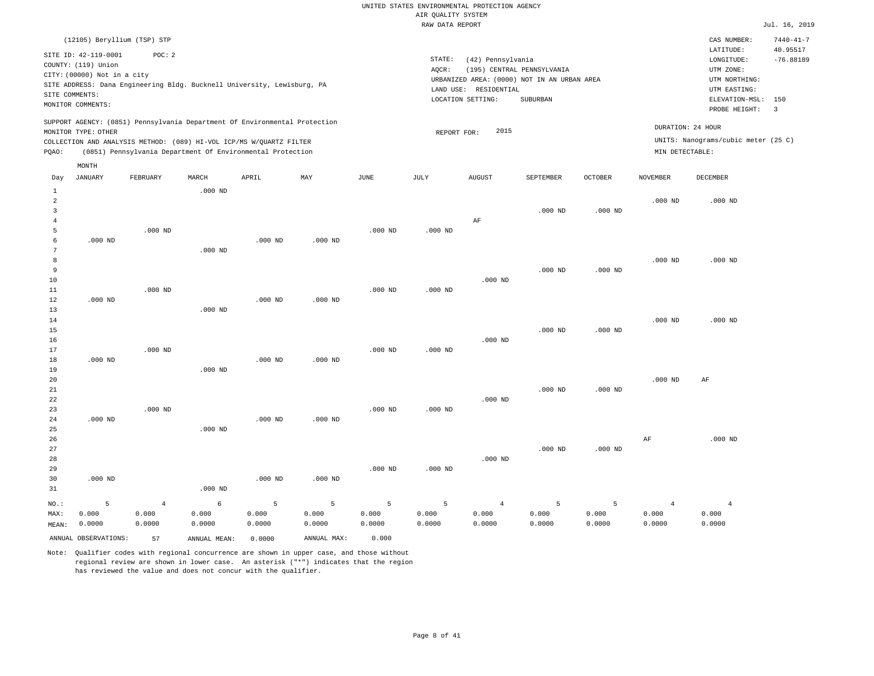|       |                             |                                                                                                                                                                                                                 |           |           |           |           | RAW DATA REPORT |                       |                                             |           |                 |                                                          | Jul. 16, 2019            |
|-------|-----------------------------|-----------------------------------------------------------------------------------------------------------------------------------------------------------------------------------------------------------------|-----------|-----------|-----------|-----------|-----------------|-----------------------|---------------------------------------------|-----------|-----------------|----------------------------------------------------------|--------------------------|
|       |                             | (12105) Beryllium (TSP) STP                                                                                                                                                                                     |           |           |           |           |                 |                       |                                             |           |                 | CAS NUMBER:                                              | $7440 - 41 - 7$          |
|       |                             |                                                                                                                                                                                                                 |           |           |           |           |                 |                       |                                             |           |                 | LATITUDE:                                                | 40.95517                 |
|       | SITE ID: 42-119-0001        | POC:2                                                                                                                                                                                                           |           |           |           |           | STATE:          | (42) Pennsylvania     |                                             |           |                 | LONGITUDE:                                               | $-76.88189$              |
|       | COUNTY: (119) Union         |                                                                                                                                                                                                                 |           |           |           |           | AOCR:           |                       | (195) CENTRAL PENNSYLVANIA                  |           |                 | UTM ZONE:                                                |                          |
|       | CITY: (00000) Not in a city |                                                                                                                                                                                                                 |           |           |           |           |                 |                       | URBANIZED AREA: (0000) NOT IN AN URBAN AREA |           |                 | UTM NORTHING:                                            |                          |
|       |                             | SITE ADDRESS: Dana Engineering Bldg. Bucknell University, Lewisburg, PA                                                                                                                                         |           |           |           |           |                 | LAND USE: RESIDENTIAL |                                             |           |                 | UTM EASTING:                                             |                          |
|       | SITE COMMENTS:              |                                                                                                                                                                                                                 |           |           |           |           |                 | LOCATION SETTING:     | SUBURBAN                                    |           |                 | ELEVATION-MSL:                                           | 150                      |
|       | MONITOR COMMENTS:           |                                                                                                                                                                                                                 |           |           |           |           |                 |                       |                                             |           |                 | PROBE HEIGHT:                                            | $\overline{\phantom{a}}$ |
| POAO: | MONITOR TYPE: OTHER         | SUPPORT AGENCY: (0851) Pennsylvania Department Of Environmental Protection<br>COLLECTION AND ANALYSIS METHOD: (089) HI-VOL ICP/MS W/OUARTZ FILTER<br>(0851) Pennsylvania Department Of Environmental Protection |           |           |           |           | REPORT FOR:     | 2015                  |                                             |           | MIN DETECTABLE: | DURATION: 24 HOUR<br>UNITS: Nanograms/cubic meter (25 C) |                          |
|       | MONTH                       |                                                                                                                                                                                                                 |           |           |           |           |                 |                       |                                             |           |                 |                                                          |                          |
| Day   | JANUARY                     | FEBRUARY                                                                                                                                                                                                        | MARCH     | APRIL     | MAY       | JUNE      | JULY            | <b>AUGUST</b>         | SEPTEMBER                                   | OCTOBER   | <b>NOVEMBER</b> | <b>DECEMBER</b>                                          |                          |
|       |                             |                                                                                                                                                                                                                 | $.000$ ND |           |           |           |                 |                       |                                             |           |                 |                                                          |                          |
|       |                             |                                                                                                                                                                                                                 |           |           |           |           |                 |                       |                                             |           | $.000$ ND       | $.000$ ND                                                |                          |
|       |                             |                                                                                                                                                                                                                 |           |           |           |           |                 |                       | $.000$ ND                                   | $.000$ ND |                 |                                                          |                          |
|       |                             |                                                                                                                                                                                                                 |           |           |           |           |                 | AF                    |                                             |           |                 |                                                          |                          |
|       |                             | $.000$ ND                                                                                                                                                                                                       |           |           |           | $.000$ ND | $.000$ ND       |                       |                                             |           |                 |                                                          |                          |
|       | $.000$ ND                   |                                                                                                                                                                                                                 |           | $.000$ ND | $.000$ ND |           |                 |                       |                                             |           |                 |                                                          |                          |
|       |                             |                                                                                                                                                                                                                 | $.000$ ND |           |           |           |                 |                       |                                             |           |                 |                                                          |                          |
|       |                             |                                                                                                                                                                                                                 |           |           |           |           |                 |                       |                                             |           | $.000$ ND       | $.000$ ND                                                |                          |

| 9  |           |           |           |           |           |           |           |           | $.000$ ND | $.000$ ND |           |           |
|----|-----------|-----------|-----------|-----------|-----------|-----------|-----------|-----------|-----------|-----------|-----------|-----------|
| 10 |           |           |           |           |           |           |           | $.000$ ND |           |           |           |           |
| 11 |           | $.000$ ND |           |           |           | $.000$ ND | $.000$ ND |           |           |           |           |           |
| 12 | $.000$ ND |           |           | $.000$ ND | $.000$ ND |           |           |           |           |           |           |           |
| 13 |           |           | $.000$ ND |           |           |           |           |           |           |           |           |           |
| 14 |           |           |           |           |           |           |           |           |           |           | $.000$ ND | $.000$ ND |
| 15 |           |           |           |           |           |           |           |           | $.000$ ND | $.000$ ND |           |           |

| 16 |           |           |           |           |           |           |           | $.000$ ND |           |           |           |    |  |
|----|-----------|-----------|-----------|-----------|-----------|-----------|-----------|-----------|-----------|-----------|-----------|----|--|
| 17 |           | $.000$ ND |           |           |           | $.000$ ND | $.000$ ND |           |           |           |           |    |  |
| 18 | $.000$ ND |           |           | $.000$ ND | $.000$ ND |           |           |           |           |           |           |    |  |
| 19 |           |           | $.000$ ND |           |           |           |           |           |           |           |           |    |  |
| 20 |           |           |           |           |           |           |           |           |           |           | $.000$ ND | AF |  |
| 21 |           |           |           |           |           |           |           |           | $.000$ ND | $.000$ ND |           |    |  |
| 22 |           |           |           |           |           |           |           | $.000$ ND |           |           |           |    |  |

| 23      |           | $.000$ ND |           |           |           | $.000$ ND | $.000$ ND |                |           |           |       |           |
|---------|-----------|-----------|-----------|-----------|-----------|-----------|-----------|----------------|-----------|-----------|-------|-----------|
| 24      | $.000$ ND |           |           | $.000$ ND | $.000$ ND |           |           |                |           |           |       |           |
| 25      |           |           | $.000$ ND |           |           |           |           |                |           |           |       |           |
| 26      |           |           |           |           |           |           |           |                |           |           | AF    | $.000$ ND |
| 27      |           |           |           |           |           |           |           |                | $.000$ ND | $.000$ ND |       |           |
| 28      |           |           |           |           |           |           |           | $.000$ ND      |           |           |       |           |
| 29      |           |           |           |           |           | $.000$ ND | $.000$ ND |                |           |           |       |           |
| 30      | $.000$ ND |           |           | $.000$ ND | $.000$ ND |           |           |                |           |           |       |           |
| 31      |           |           | $.000$ ND |           |           |           |           |                |           |           |       |           |
| $NO.$ : |           | 4         | 6         | 5         | 5         | 5         | 5         | $\overline{4}$ | 5         | 5         |       |           |
| MAX:    | 0.000     | 0.000     | 0.000     | 0.000     | 0.000     | 0.000     | 0.000     | 0.000          | 0.000     | 0.000     | 0.000 | 0.000     |

| MAX:  | 0.000                | 0.000  | 0.000        | 0.000  | 0.000       | 0.000  | 0.000  | 0.000  | 0.000  | 0.000  | 0.000  | 0.000  |
|-------|----------------------|--------|--------------|--------|-------------|--------|--------|--------|--------|--------|--------|--------|
| MEAN: | 0.0000               | 0.0000 | 0000.        | 0.0000 | 0.0000      | 0.0000 | 0.0000 | 0.0000 | 0.0000 | 0.0000 | 0.0000 | 0.0000 |
|       | ANNUAL OBSERVATIONS: | 57     | ANNUAL MEAN: | 0.0000 | ANNUAL MAX: | 0.000  |        |        |        |        |        |        |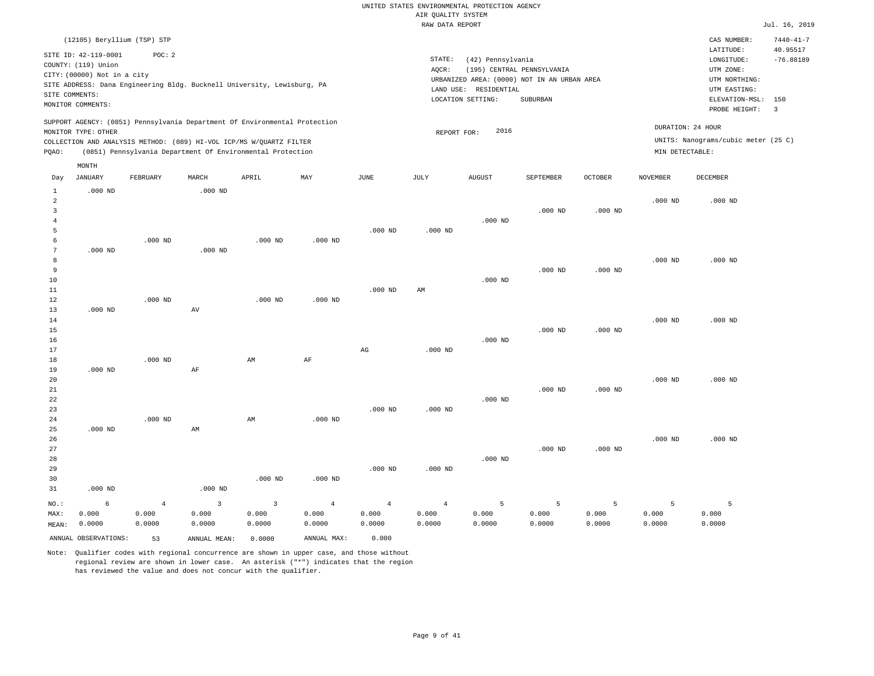|                     |                                                                            |           |                     |                                                                            |           |             | RAW DATA REPORT |                                            |                                                                           |           |                 |                                                 | Jul. 16, 2019               |
|---------------------|----------------------------------------------------------------------------|-----------|---------------------|----------------------------------------------------------------------------|-----------|-------------|-----------------|--------------------------------------------|---------------------------------------------------------------------------|-----------|-----------------|-------------------------------------------------|-----------------------------|
|                     | (12105) Beryllium (TSP) STP                                                |           |                     |                                                                            |           |             |                 |                                            |                                                                           |           |                 | CAS NUMBER:<br>LATITUDE:                        | $7440 - 41 - 7$<br>40.95517 |
|                     | SITE ID: 42-119-0001<br>COUNTY: (119) Union<br>CITY: (00000) Not in a city | POC: 2    |                     | SITE ADDRESS: Dana Engineering Bldg. Bucknell University, Lewisburg, PA    |           |             | STATE:<br>AOCR: | (42) Pennsylvania                          | (195) CENTRAL PENNSYLVANIA<br>URBANIZED AREA: (0000) NOT IN AN URBAN AREA |           |                 | LONGITUDE:<br>UTM ZONE:<br>UTM NORTHING:        | $-76.88189$                 |
|                     | SITE COMMENTS:<br>MONITOR COMMENTS:                                        |           |                     |                                                                            |           |             |                 | LAND USE: RESIDENTIAL<br>LOCATION SETTING: | SUBURBAN                                                                  |           |                 | UTM EASTING:<br>ELEVATION-MSL:<br>PROBE HEIGHT: | 150<br>$\overline{3}$       |
|                     | MONITOR TYPE: OTHER                                                        |           |                     | SUPPORT AGENCY: (0851) Pennsylvania Department Of Environmental Protection |           |             |                 | 2016                                       |                                                                           |           |                 | DURATION: 24 HOUR                               |                             |
|                     |                                                                            |           |                     | COLLECTION AND ANALYSIS METHOD: (089) HI-VOL ICP/MS W/QUARTZ FILTER        |           |             | REPORT FOR:     |                                            |                                                                           |           |                 | UNITS: Nanograms/cubic meter (25 C)             |                             |
| PQAO:               |                                                                            |           |                     | (0851) Pennsylvania Department Of Environmental Protection                 |           |             |                 |                                            |                                                                           |           | MIN DETECTABLE: |                                                 |                             |
| Day                 | MONTH<br><b>JANUARY</b>                                                    | FEBRUARY  | MARCH               | APRIL                                                                      | MAY       | <b>JUNE</b> | JULY            | <b>AUGUST</b>                              | SEPTEMBER                                                                 | OCTOBER   | <b>NOVEMBER</b> | <b>DECEMBER</b>                                 |                             |
| $\mathbf{1}$        | $.000$ ND                                                                  |           | $.000$ ND           |                                                                            |           |             |                 |                                            |                                                                           |           |                 |                                                 |                             |
| $\overline{a}$      |                                                                            |           |                     |                                                                            |           |             |                 |                                            |                                                                           |           | $.000$ ND       | $.000$ ND                                       |                             |
| 3<br>$\overline{4}$ |                                                                            |           |                     |                                                                            |           |             |                 | $.000$ ND                                  | $.000$ ND                                                                 | $.000$ ND |                 |                                                 |                             |
| 5                   |                                                                            |           |                     |                                                                            |           | $.000$ ND   | $.000$ ND       |                                            |                                                                           |           |                 |                                                 |                             |
| 6                   |                                                                            | $.000$ ND |                     | $.000$ ND                                                                  | $.000$ ND |             |                 |                                            |                                                                           |           |                 |                                                 |                             |
| $7\phantom{.0}$     | $.000$ ND                                                                  |           | $.000$ ND           |                                                                            |           |             |                 |                                            |                                                                           |           |                 |                                                 |                             |
| 8                   |                                                                            |           |                     |                                                                            |           |             |                 |                                            |                                                                           |           | $.000$ ND       | $.000$ ND                                       |                             |
| 9                   |                                                                            |           |                     |                                                                            |           |             |                 |                                            | $.000$ ND                                                                 | $.000$ ND |                 |                                                 |                             |
| 10<br>11            |                                                                            |           |                     |                                                                            |           | $.000$ ND   | AM              | $.000$ ND                                  |                                                                           |           |                 |                                                 |                             |
| 12                  |                                                                            | $.000$ ND |                     | $.000$ ND                                                                  | $.000$ ND |             |                 |                                            |                                                                           |           |                 |                                                 |                             |
| 13                  | $.000$ ND                                                                  |           | $\operatorname{AV}$ |                                                                            |           |             |                 |                                            |                                                                           |           |                 |                                                 |                             |
| 14                  |                                                                            |           |                     |                                                                            |           |             |                 |                                            |                                                                           |           | $.000$ ND       | $.000$ ND                                       |                             |
| 15                  |                                                                            |           |                     |                                                                            |           |             |                 |                                            | $.000$ ND                                                                 | $.000$ ND |                 |                                                 |                             |
| 16                  |                                                                            |           |                     |                                                                            |           |             |                 | $.000$ ND                                  |                                                                           |           |                 |                                                 |                             |
| 17<br>18            |                                                                            |           |                     |                                                                            |           | AG          | $.000$ ND       |                                            |                                                                           |           |                 |                                                 |                             |
| 19                  | $.000$ ND                                                                  | $.000$ ND | AF                  | AM                                                                         | $\rm AF$  |             |                 |                                            |                                                                           |           |                 |                                                 |                             |
| 20                  |                                                                            |           |                     |                                                                            |           |             |                 |                                            |                                                                           |           | $.000$ ND       | $.000$ ND                                       |                             |
| 21                  |                                                                            |           |                     |                                                                            |           |             |                 |                                            | $.000$ ND                                                                 | $.000$ ND |                 |                                                 |                             |
| 22                  |                                                                            |           |                     |                                                                            |           |             |                 | $.000$ ND                                  |                                                                           |           |                 |                                                 |                             |
| 23                  |                                                                            |           |                     |                                                                            |           | $.000$ ND   | $.000$ ND       |                                            |                                                                           |           |                 |                                                 |                             |
| 24                  |                                                                            | $.000$ ND |                     | AM                                                                         | $.000$ ND |             |                 |                                            |                                                                           |           |                 |                                                 |                             |
| 25                  | $.000$ ND                                                                  |           | AM                  |                                                                            |           |             |                 |                                            |                                                                           |           |                 |                                                 |                             |
| 26<br>27            |                                                                            |           |                     |                                                                            |           |             |                 |                                            | $.000$ ND                                                                 | $.000$ ND | $.000$ ND       | $.000$ ND                                       |                             |
| 28                  |                                                                            |           |                     |                                                                            |           |             |                 | $.000$ ND                                  |                                                                           |           |                 |                                                 |                             |
| 29                  |                                                                            |           |                     |                                                                            |           | $.000$ ND   | $.000$ ND       |                                            |                                                                           |           |                 |                                                 |                             |
| 30                  |                                                                            |           |                     | $.000$ ND                                                                  | $.000$ ND |             |                 |                                            |                                                                           |           |                 |                                                 |                             |
| 31                  | $.000$ ND                                                                  |           | $.000$ ND           |                                                                            |           |             |                 |                                            |                                                                           |           |                 |                                                 |                             |

NO.: MAX: MEAN: 0.0000 6 0.000 4 0.000 0.0000 3 0.000 0.0000 3 0.000 0.0000 4 0.000 0.0000 4 0.000 0.0000 4 0.000 0.0000 5 0.000 0.0000 5 0.000 0.0000 5 0.000 0.0000 5 0.000 0.0000 5 0.000 0.0000 ANNUAL OBSERVATIONS: 53 ANNUAL MEAN: 0.0000 ANNUAL MAX: 0.000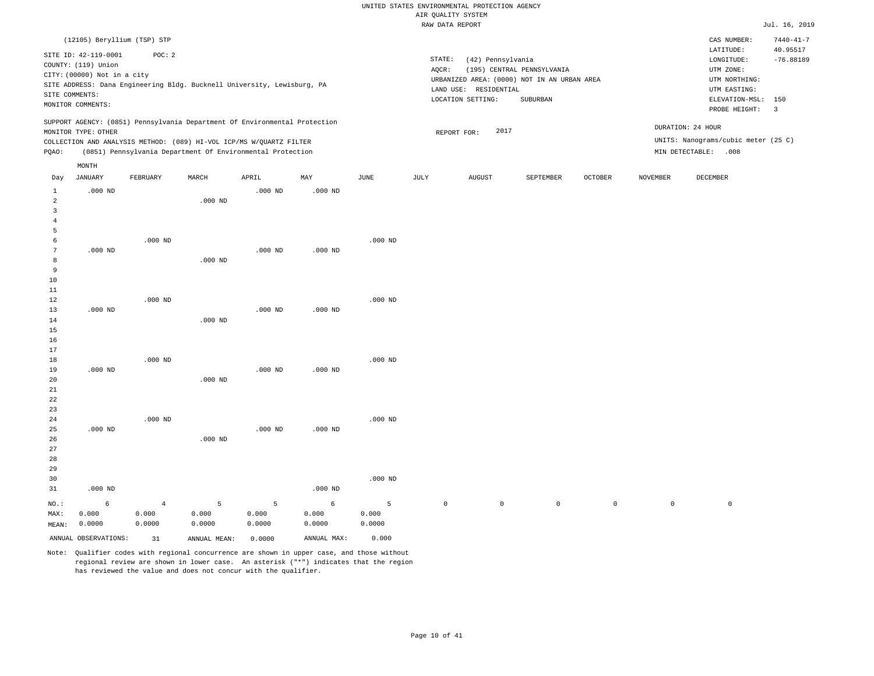|                                                       |                                                                                              |           |                    |                                                                                                                                                                                                                 |           |           | RAW DATA REPORT |                                                                                                                |                                        |                |                 |                                                                                                     | Jul. 16, 2019                  |
|-------------------------------------------------------|----------------------------------------------------------------------------------------------|-----------|--------------------|-----------------------------------------------------------------------------------------------------------------------------------------------------------------------------------------------------------------|-----------|-----------|-----------------|----------------------------------------------------------------------------------------------------------------|----------------------------------------|----------------|-----------------|-----------------------------------------------------------------------------------------------------|--------------------------------|
|                                                       | (12105) Beryllium (TSP) STP                                                                  |           |                    |                                                                                                                                                                                                                 |           |           |                 |                                                                                                                |                                        |                |                 | CAS NUMBER:                                                                                         | $7440 - 41 - 7$                |
|                                                       | SITE ID: 42-119-0001<br>COUNTY: (119) Union<br>CITY: (00000) Not in a city<br>SITE COMMENTS: | POC: 2    |                    | SITE ADDRESS: Dana Engineering Bldg. Bucknell University, Lewisburg, PA                                                                                                                                         |           |           | STATE:<br>AQCR: | (42) Pennsylvania<br>URBANIZED AREA: (0000) NOT IN AN URBAN AREA<br>LAND USE: RESIDENTIAL<br>LOCATION SETTING: | (195) CENTRAL PENNSYLVANIA<br>SUBURBAN |                |                 | LATITUDE:<br>$\texttt{LONGITUDE}$ :<br>UTM ZONE:<br>UTM NORTHING:<br>UTM EASTING:<br>ELEVATION-MSL: | 40.95517<br>$-76.88189$<br>150 |
|                                                       | MONITOR COMMENTS:                                                                            |           |                    |                                                                                                                                                                                                                 |           |           |                 |                                                                                                                |                                        |                |                 | PROBE HEIGHT:                                                                                       | $\overline{\mathbf{3}}$        |
| PQAO:                                                 | MONITOR TYPE: OTHER                                                                          |           |                    | SUPPORT AGENCY: (0851) Pennsylvania Department Of Environmental Protection<br>COLLECTION AND ANALYSIS METHOD: (089) HI-VOL ICP/MS W/QUARTZ FILTER<br>(0851) Pennsylvania Department Of Environmental Protection |           |           |                 | 2017<br>REPORT FOR:                                                                                            |                                        |                |                 | DURATION: 24 HOUR<br>UNITS: Nanograms/cubic meter (25 C)<br>MIN DETECTABLE: .008                    |                                |
| Day                                                   | MONTH<br>JANUARY                                                                             | FEBRUARY  | MARCH              | APRIL                                                                                                                                                                                                           | MAY       | JUNE      | JULY            | <b>AUGUST</b>                                                                                                  | SEPTEMBER                              | <b>OCTOBER</b> | <b>NOVEMBER</b> | DECEMBER                                                                                            |                                |
| $\mathbf{1}$<br>$\overline{a}$<br>3<br>$\overline{4}$ | $.000$ ND                                                                                    |           | $.000$ ND          | $.000$ ND                                                                                                                                                                                                       | $.000$ ND |           |                 |                                                                                                                |                                        |                |                 |                                                                                                     |                                |
| 5<br>6<br>7<br>8<br>9                                 | $.000$ ND                                                                                    | $.000$ ND | $.000$ ND          | $.000$ ND                                                                                                                                                                                                       | $.000$ ND | $.000$ ND |                 |                                                                                                                |                                        |                |                 |                                                                                                     |                                |
| 10<br>11<br>12<br>13<br>14                            | $.000$ ND                                                                                    | $.000$ ND | $.000$ ND          | $.000$ ND                                                                                                                                                                                                       | $.000$ ND | $.000$ ND |                 |                                                                                                                |                                        |                |                 |                                                                                                     |                                |
| 15<br>16<br>17<br>18<br>19                            | $.000$ ND                                                                                    | $.000$ ND |                    | $.000$ ND                                                                                                                                                                                                       | $.000$ ND | $.000$ ND |                 |                                                                                                                |                                        |                |                 |                                                                                                     |                                |
| 20<br>21<br>22<br>23<br>24                            |                                                                                              | $.000$ ND | $.000$ ND          |                                                                                                                                                                                                                 |           | $.000$ ND |                 |                                                                                                                |                                        |                |                 |                                                                                                     |                                |
| 25<br>26                                              | $.000$ ND                                                                                    |           | .000 <sub>ND</sub> | $.000$ ND                                                                                                                                                                                                       | $.000$ ND |           |                 |                                                                                                                |                                        |                |                 |                                                                                                     |                                |

Note: Qualifier codes with regional concurrence are shown in upper case, and those without regional review are shown in lower case. An asterisk ("\*") indicates that the region has reviewed the value and does not concur with the qualifier.

5 0.000 0.0000

ANNUAL OBSERVATIONS: 31 ANNUAL MEAN: 0.0000 ANNUAL MAX: 0.000

.000 ND

6 0.000 0.0000

5 0.000 0.0000

.000 ND

5 0.000 0.0000

NO.: MAX: MEAN: .000 ND

6 0.000 0.0000

4 0.000 0.0000

0 0 0 0 0 0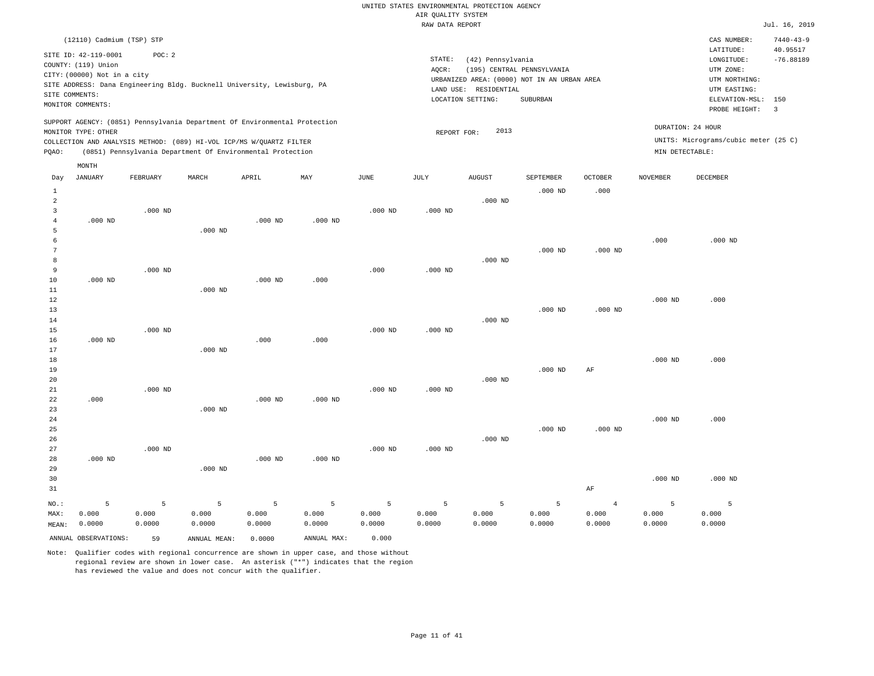|                     |                                                                                                                   |           |              |                                                                                                                                   |                |             | RAW DATA REPORT |                                                                 |                                                                                       |                    |                 |                                                                                                              | Jul. 16, 2019                             |
|---------------------|-------------------------------------------------------------------------------------------------------------------|-----------|--------------|-----------------------------------------------------------------------------------------------------------------------------------|----------------|-------------|-----------------|-----------------------------------------------------------------|---------------------------------------------------------------------------------------|--------------------|-----------------|--------------------------------------------------------------------------------------------------------------|-------------------------------------------|
|                     | (12110) Cadmium (TSP) STP                                                                                         |           |              |                                                                                                                                   |                |             |                 |                                                                 |                                                                                       |                    |                 | CAS NUMBER:                                                                                                  | $7440 - 43 - 9$                           |
|                     | SITE ID: 42-119-0001<br>COUNTY: (119) Union<br>CITY: (00000) Not in a city<br>SITE COMMENTS:<br>MONITOR COMMENTS: | POC: 2    |              | SITE ADDRESS: Dana Engineering Bldg. Bucknell University, Lewisburg, PA                                                           |                |             | STATE:<br>AQCR: | (42) Pennsylvania<br>LAND USE: RESIDENTIAL<br>LOCATION SETTING: | (195) CENTRAL PENNSYLVANIA<br>URBANIZED AREA: (0000) NOT IN AN URBAN AREA<br>SUBURBAN |                    |                 | LATITUDE:<br>LONGITUDE:<br>UTM ZONE:<br>UTM NORTHING:<br>UTM EASTING:<br>ELEVATION-MSL: 150<br>PROBE HEIGHT: | 40.95517<br>$-76.88189$<br>$\overline{3}$ |
|                     |                                                                                                                   |           |              | SUPPORT AGENCY: (0851) Pennsylvania Department Of Environmental Protection                                                        |                |             |                 |                                                                 |                                                                                       |                    |                 | DURATION: 24 HOUR                                                                                            |                                           |
|                     | MONITOR TYPE: OTHER                                                                                               |           |              |                                                                                                                                   |                |             | REPORT FOR:     | 2013                                                            |                                                                                       |                    |                 | UNITS: Micrograms/cubic meter (25 C)                                                                         |                                           |
| PQAO:               |                                                                                                                   |           |              | COLLECTION AND ANALYSIS METHOD: (089) HI-VOL ICP/MS W/QUARTZ FILTER<br>(0851) Pennsylvania Department Of Environmental Protection |                |             |                 |                                                                 |                                                                                       |                    | MIN DETECTABLE: |                                                                                                              |                                           |
|                     |                                                                                                                   |           |              |                                                                                                                                   |                |             |                 |                                                                 |                                                                                       |                    |                 |                                                                                                              |                                           |
|                     | MONTH                                                                                                             |           |              |                                                                                                                                   |                |             |                 |                                                                 |                                                                                       |                    |                 |                                                                                                              |                                           |
| Day                 | <b>JANUARY</b>                                                                                                    | FEBRUARY  | MARCH        | APRIL                                                                                                                             | MAY            | <b>JUNE</b> | <b>JULY</b>     | <b>AUGUST</b>                                                   | SEPTEMBER                                                                             | <b>OCTOBER</b>     | <b>NOVEMBER</b> | DECEMBER                                                                                                     |                                           |
| $\mathbf{1}$        |                                                                                                                   |           |              |                                                                                                                                   |                |             |                 |                                                                 | $.000$ ND                                                                             | .000               |                 |                                                                                                              |                                           |
| $\overline{a}$<br>3 |                                                                                                                   | $.000$ ND |              |                                                                                                                                   |                | $.000$ ND   | $.000$ ND       | $.000$ ND                                                       |                                                                                       |                    |                 |                                                                                                              |                                           |
| $\overline{4}$      | $.000$ ND                                                                                                         |           |              | $.000$ ND                                                                                                                         | $.000$ ND      |             |                 |                                                                 |                                                                                       |                    |                 |                                                                                                              |                                           |
| 5                   |                                                                                                                   |           | $.000$ ND    |                                                                                                                                   |                |             |                 |                                                                 |                                                                                       |                    |                 |                                                                                                              |                                           |
| 6                   |                                                                                                                   |           |              |                                                                                                                                   |                |             |                 |                                                                 |                                                                                       |                    | .000            | $.000$ ND                                                                                                    |                                           |
| 7                   |                                                                                                                   |           |              |                                                                                                                                   |                |             |                 |                                                                 | $.000$ ND                                                                             | $.000$ ND          |                 |                                                                                                              |                                           |
| 8                   |                                                                                                                   |           |              |                                                                                                                                   |                |             |                 | $.000$ ND                                                       |                                                                                       |                    |                 |                                                                                                              |                                           |
| 9                   |                                                                                                                   | $.000$ ND |              |                                                                                                                                   |                | .000        | $.000$ ND       |                                                                 |                                                                                       |                    |                 |                                                                                                              |                                           |
| 10                  | $.000$ ND                                                                                                         |           |              | $.000$ ND                                                                                                                         | .000           |             |                 |                                                                 |                                                                                       |                    |                 |                                                                                                              |                                           |
| 11                  |                                                                                                                   |           | $.000$ ND    |                                                                                                                                   |                |             |                 |                                                                 |                                                                                       |                    |                 |                                                                                                              |                                           |
| $1\,2$              |                                                                                                                   |           |              |                                                                                                                                   |                |             |                 |                                                                 |                                                                                       |                    | $.000$ ND       | .000                                                                                                         |                                           |
| 13                  |                                                                                                                   |           |              |                                                                                                                                   |                |             |                 |                                                                 | $.000$ ND                                                                             | .000 <sub>ND</sub> |                 |                                                                                                              |                                           |
| 14                  |                                                                                                                   |           |              |                                                                                                                                   |                |             |                 | $.000$ ND                                                       |                                                                                       |                    |                 |                                                                                                              |                                           |
| 15                  |                                                                                                                   | $.000$ ND |              |                                                                                                                                   |                | $.000$ ND   | $.000$ ND       |                                                                 |                                                                                       |                    |                 |                                                                                                              |                                           |
| 16                  | $.000$ ND                                                                                                         |           |              | .000                                                                                                                              | .000           |             |                 |                                                                 |                                                                                       |                    |                 |                                                                                                              |                                           |
| 17                  |                                                                                                                   |           | $.000$ ND    |                                                                                                                                   |                |             |                 |                                                                 |                                                                                       |                    |                 |                                                                                                              |                                           |
| 18                  |                                                                                                                   |           |              |                                                                                                                                   |                |             |                 |                                                                 |                                                                                       |                    | $.000$ ND       | .000                                                                                                         |                                           |
| 19                  |                                                                                                                   |           |              |                                                                                                                                   |                |             |                 |                                                                 | $.000$ ND                                                                             | AF                 |                 |                                                                                                              |                                           |
| 20                  |                                                                                                                   |           |              |                                                                                                                                   |                |             |                 | $.000$ ND                                                       |                                                                                       |                    |                 |                                                                                                              |                                           |
| 21<br>22            | .000                                                                                                              | $.000$ ND |              | $.000$ ND                                                                                                                         | $.000$ ND      | $.000$ ND   | $.000$ ND       |                                                                 |                                                                                       |                    |                 |                                                                                                              |                                           |
| 23                  |                                                                                                                   |           | $.000$ ND    |                                                                                                                                   |                |             |                 |                                                                 |                                                                                       |                    |                 |                                                                                                              |                                           |
| 24                  |                                                                                                                   |           |              |                                                                                                                                   |                |             |                 |                                                                 |                                                                                       |                    | $.000$ ND       | .000                                                                                                         |                                           |
| 25                  |                                                                                                                   |           |              |                                                                                                                                   |                |             |                 |                                                                 | $.000$ ND                                                                             | $.000$ ND          |                 |                                                                                                              |                                           |
| 26                  |                                                                                                                   |           |              |                                                                                                                                   |                |             |                 | $.000$ ND                                                       |                                                                                       |                    |                 |                                                                                                              |                                           |
| 27                  |                                                                                                                   | $.000$ ND |              |                                                                                                                                   |                | $.000$ ND   | $.000$ ND       |                                                                 |                                                                                       |                    |                 |                                                                                                              |                                           |
| 28                  | $.000$ ND                                                                                                         |           |              | $.000$ ND                                                                                                                         | $.000$ ND      |             |                 |                                                                 |                                                                                       |                    |                 |                                                                                                              |                                           |
| 29                  |                                                                                                                   |           | $.000$ ND    |                                                                                                                                   |                |             |                 |                                                                 |                                                                                       |                    |                 |                                                                                                              |                                           |
| 30                  |                                                                                                                   |           |              |                                                                                                                                   |                |             |                 |                                                                 |                                                                                       |                    | $.000$ ND       | $.000$ ND                                                                                                    |                                           |
| 31                  |                                                                                                                   |           |              |                                                                                                                                   |                |             |                 |                                                                 |                                                                                       | $\rm AF$           |                 |                                                                                                              |                                           |
| NO.:                | 5                                                                                                                 | 5         | 5            | 5                                                                                                                                 | $\overline{5}$ | 5           | 5               | 5                                                               | 5                                                                                     | $\overline{4}$     | 5               | 5                                                                                                            |                                           |
| MAX:                | 0.000                                                                                                             | 0.000     | 0.000        | 0.000                                                                                                                             | 0.000          | 0.000       | 0.000           | 0.000                                                           | 0.000                                                                                 | 0.000              | 0.000           | 0.000                                                                                                        |                                           |
| MEAN:               | 0.0000                                                                                                            | 0.0000    | 0.0000       | 0.0000                                                                                                                            | 0.0000         | 0.0000      | 0.0000          | 0.0000                                                          | 0.0000                                                                                | 0.0000             | 0.0000          | 0.0000                                                                                                       |                                           |
|                     | ANNUAL OBSERVATIONS:                                                                                              | 59        | ANNUAL MEAN: | 0.0000                                                                                                                            | ANNUAL MAX:    | 0.000       |                 |                                                                 |                                                                                       |                    |                 |                                                                                                              |                                           |
|                     |                                                                                                                   |           |              |                                                                                                                                   |                |             |                 |                                                                 |                                                                                       |                    |                 |                                                                                                              |                                           |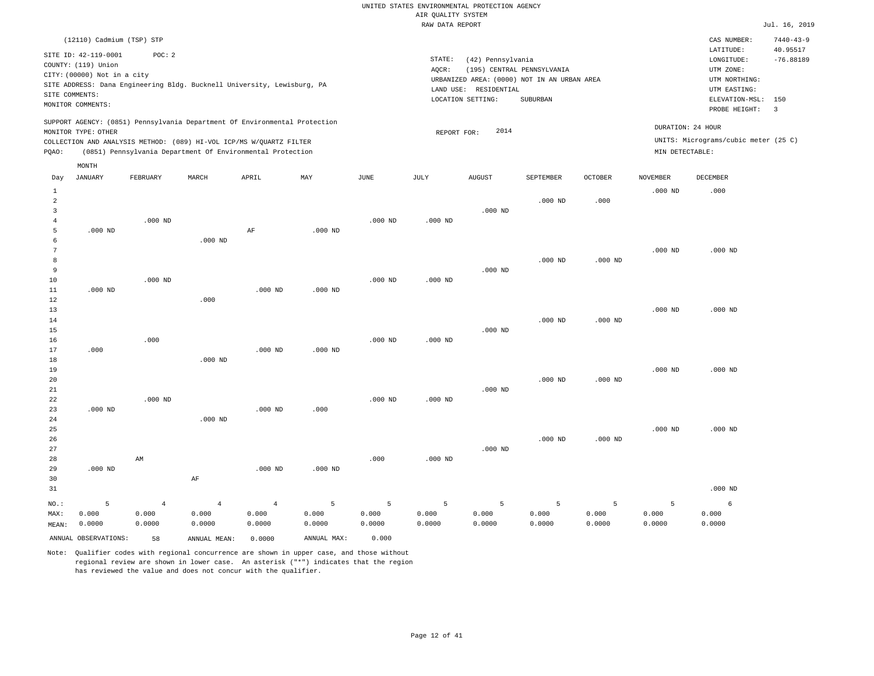|                                                           |                                                                                                                   |                                   |                                                                                                                                                                                                                 |                                   |                      |                      |                      |                                                                                                                                              |                                   |                      |                                      |                                                                                                              | .                            |
|-----------------------------------------------------------|-------------------------------------------------------------------------------------------------------------------|-----------------------------------|-----------------------------------------------------------------------------------------------------------------------------------------------------------------------------------------------------------------|-----------------------------------|----------------------|----------------------|----------------------|----------------------------------------------------------------------------------------------------------------------------------------------|-----------------------------------|----------------------|--------------------------------------|--------------------------------------------------------------------------------------------------------------|------------------------------|
|                                                           | (12110) Cadmium (TSP) STP                                                                                         |                                   |                                                                                                                                                                                                                 |                                   |                      |                      |                      |                                                                                                                                              |                                   |                      |                                      | CAS NUMBER:                                                                                                  | $7440 - 43 - 9$              |
|                                                           | SITE ID: 42-119-0001<br>COUNTY: (119) Union<br>CITY: (00000) Not in a city<br>SITE COMMENTS:<br>MONITOR COMMENTS: | POC: 2                            | SITE ADDRESS: Dana Engineering Bldg. Bucknell University, Lewisburg, PA                                                                                                                                         |                                   |                      |                      | STATE:<br>AQCR:      | (42) Pennsylvania<br>(195) CENTRAL PENNSYLVANIA<br>URBANIZED AREA: (0000) NOT IN AN URBAN AREA<br>LAND USE: RESIDENTIAL<br>LOCATION SETTING: | SUBURBAN                          |                      |                                      | LATITUDE:<br>LONGITUDE:<br>UTM ZONE:<br>UTM NORTHING:<br>UTM EASTING:<br>ELEVATION-MSL: 150<br>PROBE HEIGHT: | 40.95517<br>$-76.88189$<br>3 |
| PQAO:                                                     | MONITOR TYPE: OTHER                                                                                               |                                   | SUPPORT AGENCY: (0851) Pennsylvania Department Of Environmental Protection<br>COLLECTION AND ANALYSIS METHOD: (089) HI-VOL ICP/MS W/QUARTZ FILTER<br>(0851) Pennsylvania Department Of Environmental Protection |                                   |                      |                      | REPORT FOR:          | 2014                                                                                                                                         |                                   |                      | DURATION: 24 HOUR<br>MIN DETECTABLE: | UNITS: Micrograms/cubic meter (25 C)                                                                         |                              |
|                                                           | MONTH                                                                                                             |                                   |                                                                                                                                                                                                                 |                                   |                      |                      |                      |                                                                                                                                              |                                   |                      |                                      |                                                                                                              |                              |
| Day                                                       | <b>JANUARY</b>                                                                                                    | FEBRUARY                          | MARCH                                                                                                                                                                                                           | APRIL                             | MAY                  | JUNE                 | JULY                 | <b>AUGUST</b>                                                                                                                                | SEPTEMBER                         | <b>OCTOBER</b>       | <b>NOVEMBER</b>                      | <b>DECEMBER</b>                                                                                              |                              |
| $\mathbf{1}$<br>$\overline{a}$<br>$\overline{\mathbf{3}}$ |                                                                                                                   |                                   |                                                                                                                                                                                                                 |                                   |                      |                      |                      | $.000$ ND                                                                                                                                    | $.000$ ND                         | .000                 | $.000$ ND                            | .000                                                                                                         |                              |
| $\overline{4}$<br>5<br>6                                  | $.000$ ND                                                                                                         | $.000$ ND                         | $.000$ ND                                                                                                                                                                                                       | AF                                | $.000$ ND            | $.000$ ND            | $.000$ ND            |                                                                                                                                              |                                   |                      |                                      |                                                                                                              |                              |
| $7\phantom{.0}$<br>8<br>9                                 |                                                                                                                   |                                   |                                                                                                                                                                                                                 |                                   |                      |                      |                      | $.000$ ND                                                                                                                                    | $.000$ ND                         | $.000$ ND            | $.000$ ND                            | $.000$ ND                                                                                                    |                              |
| 10<br>11<br>$1\,2$                                        | $.000$ ND                                                                                                         | $.000$ ND                         | .000                                                                                                                                                                                                            | $.000$ ND                         | $.000$ ND            | $.000$ ND            | $.000$ ND            |                                                                                                                                              |                                   |                      |                                      |                                                                                                              |                              |
| 13<br>14<br>15                                            |                                                                                                                   |                                   |                                                                                                                                                                                                                 |                                   |                      |                      |                      | $.000$ ND                                                                                                                                    | $.000$ ND                         | $.000$ ND            | $.000$ ND                            | $.000$ ND                                                                                                    |                              |
| 16<br>17<br>18                                            | .000                                                                                                              | .000                              | $.000$ ND                                                                                                                                                                                                       | $.000$ ND                         | $.000$ ND            | $.000$ ND            | $.000$ ND            |                                                                                                                                              |                                   |                      |                                      |                                                                                                              |                              |
| 19<br>20<br>21                                            |                                                                                                                   |                                   |                                                                                                                                                                                                                 |                                   |                      |                      |                      | $.000$ ND                                                                                                                                    | $.000$ ND                         | $.000$ ND            | $.000$ ND                            | $.000$ ND                                                                                                    |                              |
| 22<br>23<br>24<br>25                                      | $.000$ ND                                                                                                         | $.000$ ND                         | $.000$ ND                                                                                                                                                                                                       | $.000$ ND                         | .000                 | $.000$ ND            | $.000$ ND            |                                                                                                                                              |                                   |                      | $.000$ ND                            | $.000$ ND                                                                                                    |                              |
| 26<br>27<br>28                                            |                                                                                                                   | AM                                |                                                                                                                                                                                                                 |                                   |                      | .000                 | $.000$ ND            | $.000$ ND                                                                                                                                    | $.000$ ND                         | $.000$ ND            |                                      |                                                                                                              |                              |
| 29<br>30<br>31                                            | $.000$ ND                                                                                                         |                                   | $\rm AF$                                                                                                                                                                                                        | $.000$ ND                         | $.000$ ND            |                      |                      |                                                                                                                                              |                                   |                      |                                      | $.000$ ND                                                                                                    |                              |
| NO.:<br>MAX:<br>MEAN:                                     | 5<br>0.000<br>0.0000                                                                                              | $\overline{4}$<br>0.000<br>0.0000 | $\overline{4}$<br>0.000<br>0.0000                                                                                                                                                                               | $\overline{4}$<br>0.000<br>0.0000 | 5<br>0.000<br>0.0000 | 5<br>0.000<br>0.0000 | 5<br>0.000<br>0.0000 | 5<br>0.000<br>0.0000                                                                                                                         | $\overline{5}$<br>0.000<br>0.0000 | 5<br>0.000<br>0.0000 | 5<br>0.000<br>0.0000                 | 6<br>0.000<br>0.0000                                                                                         |                              |
|                                                           | ANNUAL OBSERVATIONS:                                                                                              | 58                                | ANNUAL MEAN:                                                                                                                                                                                                    | 0.0000                            | ANNUAL MAX:          | 0.000                |                      |                                                                                                                                              |                                   |                      |                                      |                                                                                                              |                              |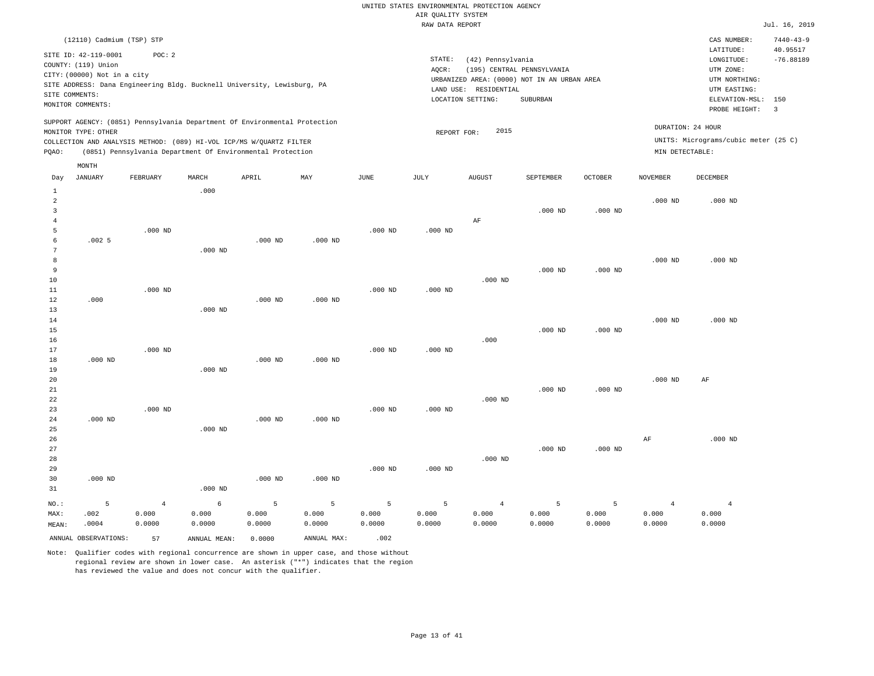|       | (12110) Cadmium (TSP) STP                                                                         |          |       |                                                            |     |      |       |                             |                                                                           |                |                   | CAS NUMBER:                          | $7440 - 43 - 9$ |
|-------|---------------------------------------------------------------------------------------------------|----------|-------|------------------------------------------------------------|-----|------|-------|-----------------------------|---------------------------------------------------------------------------|----------------|-------------------|--------------------------------------|-----------------|
|       | SITE ID: 42-119-0001                                                                              | POC:2    |       |                                                            |     |      |       |                             |                                                                           |                |                   | LATITUDE:                            | 40.95517        |
|       | COUNTY: (119) Union                                                                               |          |       |                                                            |     |      |       | STATE:<br>(42) Pennsylvania |                                                                           |                |                   | LONGITUDE:<br>UTM ZONE:              | $-76.88189$     |
|       | CITY: (00000) Not in a city                                                                       |          |       |                                                            |     |      | AOCR: |                             | (195) CENTRAL PENNSYLVANIA<br>URBANIZED AREA: (0000) NOT IN AN URBAN AREA |                |                   | UTM NORTHING:                        |                 |
|       | SITE ADDRESS: Dana Engineering Bldg. Bucknell University, Lewisburg, PA                           |          |       |                                                            |     |      |       | RESIDENTIAL<br>LAND USE:    |                                                                           |                |                   | UTM EASTING:                         |                 |
|       | SITE COMMENTS:<br>MONITOR COMMENTS:                                                               |          |       |                                                            |     |      |       | LOCATION SETTING:           | SUBURBAN                                                                  |                |                   | ELEVATION-MSL: 150                   |                 |
|       |                                                                                                   |          |       |                                                            |     |      |       |                             |                                                                           |                |                   | PROBE HEIGHT:                        |                 |
|       | SUPPORT AGENCY: (0851) Pennsylvania Department Of Environmental Protection<br>MONITOR TYPE: OTHER |          |       |                                                            |     |      |       | REPORT FOR:                 | 2015                                                                      |                | DURATION: 24 HOUR |                                      |                 |
|       | COLLECTION AND ANALYSIS METHOD: (089) HI-VOL ICP/MS W/QUARTZ FILTER                               |          |       |                                                            |     |      |       |                             |                                                                           |                |                   | UNITS: Micrograms/cubic meter (25 C) |                 |
| POAO: |                                                                                                   |          |       | (0851) Pennsylvania Department Of Environmental Protection |     |      |       |                             |                                                                           |                | MIN DETECTABLE:   |                                      |                 |
|       | MONTH                                                                                             |          |       |                                                            |     |      |       |                             |                                                                           |                |                   |                                      |                 |
| Day   | JANUARY                                                                                           | FEBRUARY | MARCH | APRIL                                                      | MAY | JUNE | JULY  | <b>AUGUST</b>               | SEPTEMBER                                                                 | <b>OCTOBER</b> | NOVEMBER          | DECEMBER                             |                 |

| MEAN:        | .0004     | 0.0000         | 0.0000     | 0.0000    | 0.0000    | 0.0000    | 0.0000    | 0.0000         | 0.0000    | 0.0000    | 0.0000         | 0.0000         |
|--------------|-----------|----------------|------------|-----------|-----------|-----------|-----------|----------------|-----------|-----------|----------------|----------------|
| MAX:         | .002      | 0.000          | 0.000      | 0.000     | 0.000     | 0.000     | 0.000     | 0.000          | 0.000     | 0.000     | 0.000          | 0.000          |
| $NO.$ :      | 5         | $\overline{4}$ | $\epsilon$ | 5         | 5         | 5         | 5         | $\overline{4}$ | 5         | 5         | $\overline{4}$ | $\overline{4}$ |
| 31           |           |                | $.000$ ND  |           |           |           |           |                |           |           |                |                |
| 30           | $.000$ ND |                |            | $.000$ ND | $.000$ ND |           |           |                |           |           |                |                |
| 29           |           |                |            |           |           | $.000$ ND | $.000$ ND |                |           |           |                |                |
| 28           |           |                |            |           |           |           |           | $.000$ ND      |           |           |                |                |
| 27           |           |                |            |           |           |           |           |                | $.000$ ND | $.000$ ND |                |                |
| 26           |           |                |            |           |           |           |           |                |           |           | $\rm AF$       | $.000$ ND      |
| 25           |           |                | $.000$ ND  |           |           |           |           |                |           |           |                |                |
| 24           | $.000$ ND |                |            | $.000$ ND | $.000$ ND |           |           |                |           |           |                |                |
| 23           |           | $.000$ ND      |            |           |           | $.000$ ND | $.000$ ND |                |           |           |                |                |
| 22           |           |                |            |           |           |           |           | $.000$ ND      |           |           |                |                |
| $2\sqrt{1}$  |           |                |            |           |           |           |           |                | $.000$ ND | $.000$ ND |                |                |
| 19<br>20     |           |                | $.000$ ND  |           |           |           |           |                |           |           | $.000$ ND      | $\rm{AF}$      |
| 18           | $.000$ ND |                |            | $.000$ ND | $.000$ ND |           |           |                |           |           |                |                |
| 17           |           | $.000$ ND      |            |           |           | $.000$ ND | $.000$ ND |                |           |           |                |                |
| 16           |           |                |            |           |           |           |           | .000           |           |           |                |                |
| 15           |           |                |            |           |           |           |           |                | $.000$ ND | $.000$ ND |                |                |
| 14           |           |                |            |           |           |           |           |                |           |           | $.000$ ND      | $.000$ ND      |
| 13           |           |                | $.000$ ND  |           |           |           |           |                |           |           |                |                |
| 12           | .000      |                |            | $.000$ ND | $.000$ ND |           |           |                |           |           |                |                |
| 11           |           | $.000$ ND      |            |           |           | $.000$ ND | $.000$ ND |                |           |           |                |                |
| 10           |           |                |            |           |           |           |           | $.000$ ND      |           |           |                |                |
| 9            |           |                |            |           |           |           |           |                | $.000$ ND | $.000$ ND |                |                |
| 8            |           |                |            |           |           |           |           |                |           |           | $.000$ ND      | $.000$ ND      |
| 7            |           |                | $.000$ ND  |           |           |           |           |                |           |           |                |                |
| 6            | .0025     |                |            | $.000$ ND | $.000$ ND |           |           |                |           |           |                |                |
| 5            |           | $.000$ ND      |            |           |           | $.000$ ND | $.000$ ND |                |           |           |                |                |
| 4            |           |                |            |           |           |           |           | $\rm AF$       |           |           |                |                |
| 2<br>3       |           |                |            |           |           |           |           |                | $.000$ ND | $.000$ ND | $.000$ ND      | $.000$ ND      |
| $\mathbf{1}$ |           |                | .000       |           |           |           |           |                |           |           |                |                |
|              |           |                |            |           |           |           |           |                |           |           |                |                |

ANNUAL OBSERVATIONS: 57 ANNUAL MEAN: 0.0000 ANNUAL MAX: .002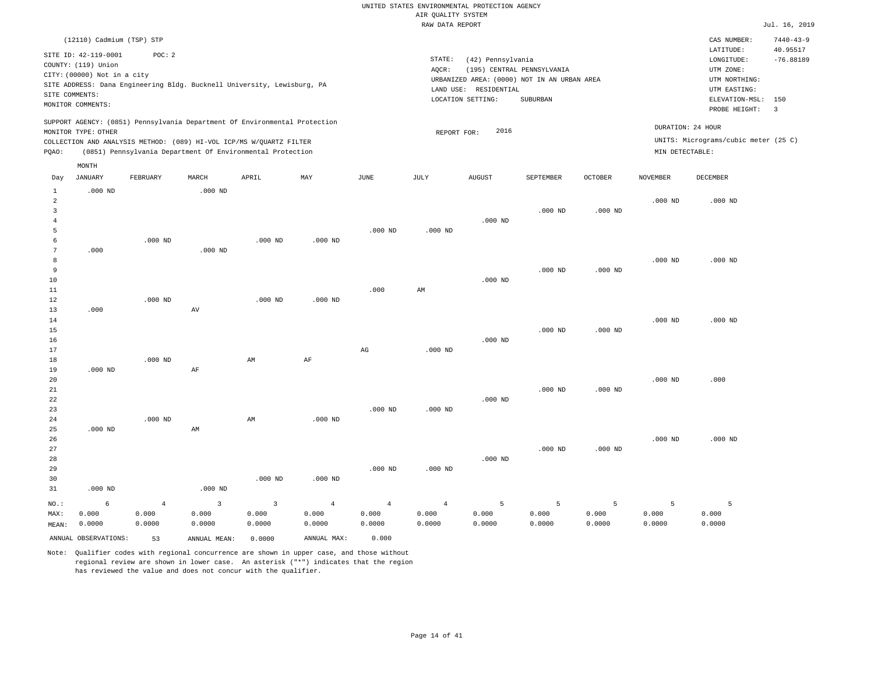|                | (12110) Cadmium (TSP) STP                                                                                                                                                |                                                            |           |           |           |           |                              |                                  |                                                                           |                |                 | CAS NUMBER:                                                           | $7440 - 43 - 9$                |
|----------------|--------------------------------------------------------------------------------------------------------------------------------------------------------------------------|------------------------------------------------------------|-----------|-----------|-----------|-----------|------------------------------|----------------------------------|---------------------------------------------------------------------------|----------------|-----------------|-----------------------------------------------------------------------|--------------------------------|
|                | SITE ID: 42-119-0001<br>COUNTY: (119) Union<br>CITY: (00000) Not in a city<br>SITE ADDRESS: Dana Engineering Bldg. Bucknell University, Lewisburg, PA                    | POC: 2                                                     |           |           |           |           | STATE:<br>AOCR:<br>LAND USE: | (42) Pennsylvania<br>RESIDENTIAL | (195) CENTRAL PENNSYLVANIA<br>URBANIZED AREA: (0000) NOT IN AN URBAN AREA |                |                 | LATITUDE:<br>LONGITUDE:<br>UTM ZONE:<br>UTM NORTHING:<br>UTM EASTING: | 40.95517<br>$-76.88189$        |
|                | SITE COMMENTS:<br>MONITOR COMMENTS:                                                                                                                                      |                                                            |           |           |           |           |                              | LOCATION SETTING:                | SUBURBAN                                                                  |                |                 | ELEVATION-MSL:<br>PROBE HEIGHT:                                       | 150<br>$\overline{\mathbf{3}}$ |
| POAO:          | SUPPORT AGENCY: (0851) Pennsylvania Department Of Environmental Protection<br>MONITOR TYPE: OTHER<br>COLLECTION AND ANALYSIS METHOD: (089) HI-VOL ICP/MS W/OUARTZ FILTER | (0851) Pennsylvania Department Of Environmental Protection |           |           |           |           | REPORT FOR:                  | 2016                             |                                                                           |                | MIN DETECTABLE: | DURATION: 24 HOUR<br>UNITS: Micrograms/cubic meter (25 C)             |                                |
| Day            | MONTH<br>JANUARY                                                                                                                                                         | FEBRUARY                                                   | MARCH     | APRIL     | MAY       | JUNE      | JULY                         | AUGUST                           | SEPTEMBER                                                                 | <b>OCTOBER</b> | <b>NOVEMBER</b> | DECEMBER                                                              |                                |
| $\overline{2}$ | $.000$ ND                                                                                                                                                                |                                                            | $.000$ ND |           |           | $.000$ ND | $.000$ ND                    | $.000$ ND                        | $.000$ ND                                                                 | $.000$ ND      | $.000$ ND       | $.000$ ND                                                             |                                |
| 9              | .000                                                                                                                                                                     | $.000$ ND                                                  | $.000$ ND | $.000$ ND | $.000$ ND |           |                              |                                  | $.000$ ND                                                                 | $.000$ ND      | $.000$ ND       | $.000$ ND                                                             |                                |
|                |                                                                                                                                                                          |                                                            |           |           |           |           |                              |                                  |                                                                           |                |                 |                                                                       |                                |

|                | ANNUAL OBSERVATIONS: | 53             | ANNUAL MEAN:   | 0.0000         | ANNUAL MAX:    | 0.000          |                        |           |           |           |           |           |
|----------------|----------------------|----------------|----------------|----------------|----------------|----------------|------------------------|-----------|-----------|-----------|-----------|-----------|
| MEAN:          | 0.0000               | 0.0000         | 0.0000         | 0.0000         | 0.0000         | 0.0000         | 0.0000                 | 0.0000    | 0.0000    | 0.0000    | 0.0000    | 0.0000    |
| MAX:           | 0.000                | 0.000          | 0.000          | 0.000          | 0.000          | 0.000          | 0.000                  | 0.000     | 0.000     | 0.000     | 0.000     | 0.000     |
| $_{\rm NO.}$ : | 6                    | $\overline{4}$ | $\overline{3}$ | $\overline{3}$ | $\overline{4}$ | $\overline{4}$ | $\overline{4}$         | 5         | 5         | 5         | 5         | 5         |
| 31             | $.000$ ND            |                | $.000$ ND      |                |                |                |                        |           |           |           |           |           |
| 30             |                      |                |                | $.000$ ND      | $.000$ ND      |                |                        |           |           |           |           |           |
| 29             |                      |                |                |                |                | $.000$ ND      | $.000$ ND              |           |           |           |           |           |
| 28             |                      |                |                |                |                |                |                        | $.000$ ND |           |           |           |           |
| 27             |                      |                |                |                |                |                |                        |           | $.000$ ND | $.000$ ND |           |           |
| 26             |                      |                |                |                |                |                |                        |           |           |           | $.000$ ND | $.000$ ND |
| 25             | $.000$ ND            |                | AM             |                |                |                |                        |           |           |           |           |           |
| 24             |                      | $.000$ ND      |                | AM             | $.000$ ND      |                |                        |           |           |           |           |           |
| 23             |                      |                |                |                |                | $.000$ ND      | $.000$ ND              |           |           |           |           |           |
| 22             |                      |                |                |                |                |                |                        | $.000$ ND |           |           |           |           |
| 21             |                      |                |                |                |                |                |                        |           | $.000$ ND | $.000$ ND |           |           |
| 19<br>20       | $.000$ ND            |                | AF             |                |                |                |                        |           |           |           | $.000$ ND | .000      |
| 18             |                      | $.000$ ND      |                | AM             | AF             |                |                        |           |           |           |           |           |
| 17             |                      |                |                |                |                | AG             | $.000$ ND              |           |           |           |           |           |
| 16             |                      |                |                |                |                |                |                        | $.000$ ND |           |           |           |           |
| 15             |                      |                |                |                |                |                |                        |           | $.000$ ND | $.000$ ND |           |           |
| 14             |                      |                |                |                |                |                |                        |           |           |           | $.000$ ND | $.000$ ND |
| 13             | .000                 |                | AV             |                |                |                |                        |           |           |           |           |           |
| 12             |                      | $.000$ ND      |                | $.000$ ND      | $.000$ ND      |                |                        |           |           |           |           |           |
| 11             |                      |                |                |                |                | .000           | $\mathbb{A}\mathbb{M}$ |           |           |           |           |           |
| $10$           |                      |                |                |                |                |                |                        | $.000$ ND |           |           |           |           |

Note: Qualifier codes with regional concurrence are shown in upper case, and those without

regional review are shown in lower case. An asterisk ("\*") indicates that the region

has reviewed the value and does not concur with the qualifier.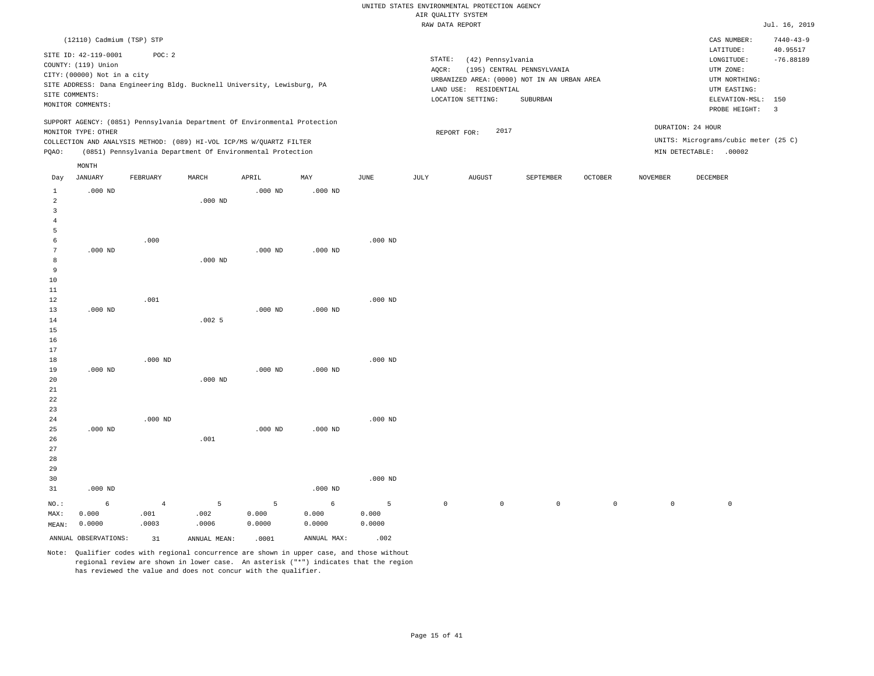|                 |                                     |                                                                            |           |           |           |               | RAW DATA REPORT     |                       |                                             |              |                     |                                                                                                                                                                                                                                                                                                                                                                                                                                                                                                                                                            | Jul. 16, 2019   |
|-----------------|-------------------------------------|----------------------------------------------------------------------------|-----------|-----------|-----------|---------------|---------------------|-----------------------|---------------------------------------------|--------------|---------------------|------------------------------------------------------------------------------------------------------------------------------------------------------------------------------------------------------------------------------------------------------------------------------------------------------------------------------------------------------------------------------------------------------------------------------------------------------------------------------------------------------------------------------------------------------------|-----------------|
|                 | (12110) Cadmium (TSP) STP           |                                                                            |           |           |           |               |                     |                       |                                             |              |                     | CAS NUMBER:                                                                                                                                                                                                                                                                                                                                                                                                                                                                                                                                                | $7440 - 43 - 9$ |
|                 |                                     |                                                                            |           |           |           |               |                     |                       |                                             |              |                     | LATITUDE:                                                                                                                                                                                                                                                                                                                                                                                                                                                                                                                                                  | 40.95517        |
|                 | SITE ID: 42-119-0001                | POC: 2                                                                     |           |           |           |               | STATE:              | (42) Pennsylvania     |                                             |              |                     | $\texttt{LONGITUDE}: \quad % \begin{align*} \left\lbrack \begin{array}{c} \begin{array}{c} \begin{array}{c} \begin{array}{c} \begin{array}{c} \begin{array}{c} \begin{array}{c} \end{array}\\ \end{array}\\ \begin{array}{c} \end{array}\\ \begin{array}{c} \end{array}\\ \end{array}\\ \begin{array}{c} \end{array}\\ \end{array}\\ \end{align*} \end{align*} \right) \end{align*} \end{align*} \begin{minipage}{0.9\linewidth} \begin{minipage}{0.9\linewidth} \begin{tabular}{c} \begin{array}{c} \begin{array}{c} \begin{array}{c} \begin{array}{c} \$ | $-76.88189$     |
|                 | COUNTY: (119) Union                 |                                                                            |           |           |           |               | AOCR:               |                       | (195) CENTRAL PENNSYLVANIA                  |              |                     | UTM ZONE:                                                                                                                                                                                                                                                                                                                                                                                                                                                                                                                                                  |                 |
|                 | CITY: (00000) Not in a city         |                                                                            |           |           |           |               |                     |                       | URBANIZED AREA: (0000) NOT IN AN URBAN AREA |              |                     | UTM NORTHING:                                                                                                                                                                                                                                                                                                                                                                                                                                                                                                                                              |                 |
|                 |                                     | SITE ADDRESS: Dana Engineering Bldg. Bucknell University, Lewisburg, PA    |           |           |           |               |                     | LAND USE: RESIDENTIAL |                                             |              |                     | UTM EASTING:                                                                                                                                                                                                                                                                                                                                                                                                                                                                                                                                               |                 |
|                 | SITE COMMENTS:<br>MONITOR COMMENTS: |                                                                            |           |           |           |               |                     | LOCATION SETTING:     | SUBURBAN                                    |              |                     | ELEVATION-MSL:                                                                                                                                                                                                                                                                                                                                                                                                                                                                                                                                             | 150             |
|                 |                                     |                                                                            |           |           |           |               |                     |                       |                                             |              |                     | PROBE HEIGHT:                                                                                                                                                                                                                                                                                                                                                                                                                                                                                                                                              | $\overline{3}$  |
|                 |                                     | SUPPORT AGENCY: (0851) Pennsylvania Department Of Environmental Protection |           |           |           |               |                     |                       |                                             |              |                     |                                                                                                                                                                                                                                                                                                                                                                                                                                                                                                                                                            |                 |
|                 | MONITOR TYPE: OTHER                 |                                                                            |           |           |           |               |                     | 2017<br>REPORT FOR:   |                                             |              |                     | DURATION: 24 HOUR                                                                                                                                                                                                                                                                                                                                                                                                                                                                                                                                          |                 |
|                 |                                     | COLLECTION AND ANALYSIS METHOD: (089) HI-VOL ICP/MS W/QUARTZ FILTER        |           |           |           |               |                     |                       |                                             |              |                     | UNITS: Micrograms/cubic meter (25 C)                                                                                                                                                                                                                                                                                                                                                                                                                                                                                                                       |                 |
| PQAO:           |                                     | (0851) Pennsylvania Department Of Environmental Protection                 |           |           |           |               |                     |                       |                                             |              |                     | MIN DETECTABLE: .00002                                                                                                                                                                                                                                                                                                                                                                                                                                                                                                                                     |                 |
|                 | MONTH                               |                                                                            |           |           |           |               |                     |                       |                                             |              |                     |                                                                                                                                                                                                                                                                                                                                                                                                                                                                                                                                                            |                 |
| Day             | <b>JANUARY</b>                      | FEBRUARY                                                                   | MARCH     | APRIL     | MAY       | $_{\rm JUNE}$ | JULY                | AUGUST                | SEPTEMBER                                   | OCTOBER      | <b>NOVEMBER</b>     | DECEMBER                                                                                                                                                                                                                                                                                                                                                                                                                                                                                                                                                   |                 |
| $\mathbf{1}$    | $.000$ ND                           |                                                                            |           | $.000$ ND | $.000$ ND |               |                     |                       |                                             |              |                     |                                                                                                                                                                                                                                                                                                                                                                                                                                                                                                                                                            |                 |
| $\overline{c}$  |                                     |                                                                            | $.000$ ND |           |           |               |                     |                       |                                             |              |                     |                                                                                                                                                                                                                                                                                                                                                                                                                                                                                                                                                            |                 |
| $\overline{3}$  |                                     |                                                                            |           |           |           |               |                     |                       |                                             |              |                     |                                                                                                                                                                                                                                                                                                                                                                                                                                                                                                                                                            |                 |
| $\overline{4}$  |                                     |                                                                            |           |           |           |               |                     |                       |                                             |              |                     |                                                                                                                                                                                                                                                                                                                                                                                                                                                                                                                                                            |                 |
| 5               |                                     |                                                                            |           |           |           |               |                     |                       |                                             |              |                     |                                                                                                                                                                                                                                                                                                                                                                                                                                                                                                                                                            |                 |
| 6               |                                     | .000                                                                       |           |           |           | $.000$ ND     |                     |                       |                                             |              |                     |                                                                                                                                                                                                                                                                                                                                                                                                                                                                                                                                                            |                 |
| $7\phantom{.0}$ | $.000$ ND                           |                                                                            |           | $.000$ ND | $.000$ ND |               |                     |                       |                                             |              |                     |                                                                                                                                                                                                                                                                                                                                                                                                                                                                                                                                                            |                 |
| 8               |                                     |                                                                            | $.000$ ND |           |           |               |                     |                       |                                             |              |                     |                                                                                                                                                                                                                                                                                                                                                                                                                                                                                                                                                            |                 |
| $\overline{9}$  |                                     |                                                                            |           |           |           |               |                     |                       |                                             |              |                     |                                                                                                                                                                                                                                                                                                                                                                                                                                                                                                                                                            |                 |
| 10              |                                     |                                                                            |           |           |           |               |                     |                       |                                             |              |                     |                                                                                                                                                                                                                                                                                                                                                                                                                                                                                                                                                            |                 |
| 11<br>12        |                                     | .001                                                                       |           |           |           | $.000$ ND     |                     |                       |                                             |              |                     |                                                                                                                                                                                                                                                                                                                                                                                                                                                                                                                                                            |                 |
| 13              | $.000$ ND                           |                                                                            |           | $.000$ ND | $.000$ ND |               |                     |                       |                                             |              |                     |                                                                                                                                                                                                                                                                                                                                                                                                                                                                                                                                                            |                 |
| 14              |                                     |                                                                            | .0025     |           |           |               |                     |                       |                                             |              |                     |                                                                                                                                                                                                                                                                                                                                                                                                                                                                                                                                                            |                 |
| 15              |                                     |                                                                            |           |           |           |               |                     |                       |                                             |              |                     |                                                                                                                                                                                                                                                                                                                                                                                                                                                                                                                                                            |                 |
| 16              |                                     |                                                                            |           |           |           |               |                     |                       |                                             |              |                     |                                                                                                                                                                                                                                                                                                                                                                                                                                                                                                                                                            |                 |
| 17              |                                     |                                                                            |           |           |           |               |                     |                       |                                             |              |                     |                                                                                                                                                                                                                                                                                                                                                                                                                                                                                                                                                            |                 |
| 18              |                                     | $.000$ ND                                                                  |           |           |           | $.000$ ND     |                     |                       |                                             |              |                     |                                                                                                                                                                                                                                                                                                                                                                                                                                                                                                                                                            |                 |
| 19              | $.000$ ND                           |                                                                            |           | $.000$ ND | $.000$ ND |               |                     |                       |                                             |              |                     |                                                                                                                                                                                                                                                                                                                                                                                                                                                                                                                                                            |                 |
| 20              |                                     |                                                                            | $.000$ ND |           |           |               |                     |                       |                                             |              |                     |                                                                                                                                                                                                                                                                                                                                                                                                                                                                                                                                                            |                 |
| 21              |                                     |                                                                            |           |           |           |               |                     |                       |                                             |              |                     |                                                                                                                                                                                                                                                                                                                                                                                                                                                                                                                                                            |                 |
| 22              |                                     |                                                                            |           |           |           |               |                     |                       |                                             |              |                     |                                                                                                                                                                                                                                                                                                                                                                                                                                                                                                                                                            |                 |
| 23              |                                     |                                                                            |           |           |           |               |                     |                       |                                             |              |                     |                                                                                                                                                                                                                                                                                                                                                                                                                                                                                                                                                            |                 |
| 24              |                                     | $.000$ ND                                                                  |           |           |           | $.000$ ND     |                     |                       |                                             |              |                     |                                                                                                                                                                                                                                                                                                                                                                                                                                                                                                                                                            |                 |
| 25              | $.000$ ND                           |                                                                            |           | $.000$ ND | $.000$ ND |               |                     |                       |                                             |              |                     |                                                                                                                                                                                                                                                                                                                                                                                                                                                                                                                                                            |                 |
| 26              |                                     |                                                                            | .001      |           |           |               |                     |                       |                                             |              |                     |                                                                                                                                                                                                                                                                                                                                                                                                                                                                                                                                                            |                 |
| 27              |                                     |                                                                            |           |           |           |               |                     |                       |                                             |              |                     |                                                                                                                                                                                                                                                                                                                                                                                                                                                                                                                                                            |                 |
| 28              |                                     |                                                                            |           |           |           |               |                     |                       |                                             |              |                     |                                                                                                                                                                                                                                                                                                                                                                                                                                                                                                                                                            |                 |
| 29              |                                     |                                                                            |           |           |           | $.000$ ND     |                     |                       |                                             |              |                     |                                                                                                                                                                                                                                                                                                                                                                                                                                                                                                                                                            |                 |
| 30<br>31        | $.000$ ND                           |                                                                            |           |           | $.000$ ND |               |                     |                       |                                             |              |                     |                                                                                                                                                                                                                                                                                                                                                                                                                                                                                                                                                            |                 |
|                 |                                     |                                                                            |           |           |           |               |                     |                       |                                             |              |                     |                                                                                                                                                                                                                                                                                                                                                                                                                                                                                                                                                            |                 |
| NO.:            | 6                                   | $\overline{4}$                                                             | 5         | 5         | 6         | 5             | $\mathsf{O}\xspace$ | $\mathsf{O}\xspace$   | $\circ$                                     | $\mathsf{O}$ | $\mathsf{O}\xspace$ | $\mathbb O$                                                                                                                                                                                                                                                                                                                                                                                                                                                                                                                                                |                 |
| MAX:            | 0.000                               | .001                                                                       | .002      | 0.000     | 0.000     | 0.000         |                     |                       |                                             |              |                     |                                                                                                                                                                                                                                                                                                                                                                                                                                                                                                                                                            |                 |
| MEAN:           | 0.0000                              | .0003                                                                      | .0006     | 0.0000    | 0.0000    | 0.0000        |                     |                       |                                             |              |                     |                                                                                                                                                                                                                                                                                                                                                                                                                                                                                                                                                            |                 |

Note: Qualifier codes with regional concurrence are shown in upper case, and those without regional review are shown in lower case. An asterisk ("\*") indicates that the region has reviewed the value and does not concur with the qualifier.

ANNUAL OBSERVATIONS: 31 ANNUAL MEAN: .0001 ANNUAL MAX: .002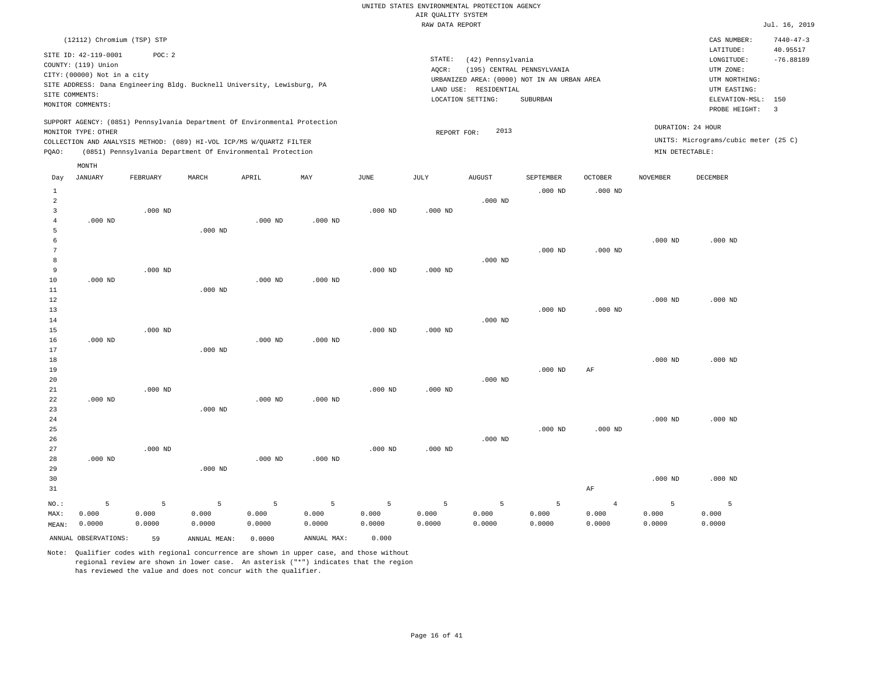|                     |                                                                                                                                                                                              |           |                                                            |           |             |                       | <br>Rothers nensen<br>RAW DATA REPORT |                                                                                                                |                                        |                |                 |                                                                                         | Jul. 16, 2019               |
|---------------------|----------------------------------------------------------------------------------------------------------------------------------------------------------------------------------------------|-----------|------------------------------------------------------------|-----------|-------------|-----------------------|---------------------------------------|----------------------------------------------------------------------------------------------------------------|----------------------------------------|----------------|-----------------|-----------------------------------------------------------------------------------------|-----------------------------|
|                     | (12112) Chromium (TSP) STP                                                                                                                                                                   |           |                                                            |           |             |                       |                                       |                                                                                                                |                                        |                |                 | CAS NUMBER:                                                                             | $7440 - 47 - 3$<br>40.95517 |
|                     | SITE ID: 42-119-0001<br>COUNTY: (119) Union<br>CITY: (00000) Not in a city<br>SITE ADDRESS: Dana Engineering Bldg. Bucknell University, Lewisburg, PA<br>SITE COMMENTS:<br>MONITOR COMMENTS: | POC: 2    |                                                            |           |             |                       | STATE:<br>AQCR:                       | (42) Pennsylvania<br>URBANIZED AREA: (0000) NOT IN AN URBAN AREA<br>LAND USE: RESIDENTIAL<br>LOCATION SETTING: | (195) CENTRAL PENNSYLVANIA<br>SUBURBAN |                |                 | LATITUDE:<br>LONGITUDE:<br>UTM ZONE:<br>UTM NORTHING:<br>UTM EASTING:<br>ELEVATION-MSL: | $-76.88189$<br>150          |
|                     | SUPPORT AGENCY: (0851) Pennsylvania Department Of Environmental Protection<br>MONITOR TYPE: OTHER                                                                                            |           |                                                            |           |             |                       | REPORT FOR:                           | 2013                                                                                                           |                                        |                |                 | PROBE HEIGHT:<br>DURATION: 24 HOUR                                                      | $\overline{3}$              |
| PQAO:               | COLLECTION AND ANALYSIS METHOD: (089) HI-VOL ICP/MS W/QUARTZ FILTER                                                                                                                          |           | (0851) Pennsylvania Department Of Environmental Protection |           |             |                       |                                       |                                                                                                                |                                        |                | MIN DETECTABLE: | UNITS: Micrograms/cubic meter (25 C)                                                    |                             |
|                     | MONTH                                                                                                                                                                                        |           |                                                            |           |             |                       |                                       |                                                                                                                |                                        |                |                 |                                                                                         |                             |
| Day                 | <b>JANUARY</b>                                                                                                                                                                               | FEBRUARY  | MARCH                                                      | APRIL     | MAY         | $\operatorname{JUNE}$ | JULY                                  | <b>AUGUST</b>                                                                                                  | SEPTEMBER                              | <b>OCTOBER</b> | <b>NOVEMBER</b> | DECEMBER                                                                                |                             |
| $\mathbf{1}$        |                                                                                                                                                                                              |           |                                                            |           |             |                       |                                       |                                                                                                                | $.000$ ND                              | $.000$ ND      |                 |                                                                                         |                             |
| 2                   |                                                                                                                                                                                              |           |                                                            |           |             |                       |                                       | $.000$ ND                                                                                                      |                                        |                |                 |                                                                                         |                             |
| $\overline{3}$      |                                                                                                                                                                                              | $.000$ ND |                                                            |           |             | $.000$ ND             | $.000$ ND                             |                                                                                                                |                                        |                |                 |                                                                                         |                             |
| $\overline{4}$<br>5 | $.000$ ND                                                                                                                                                                                    |           | $.000$ ND                                                  | $.000$ ND | $.000$ ND   |                       |                                       |                                                                                                                |                                        |                |                 |                                                                                         |                             |
| $\epsilon$          |                                                                                                                                                                                              |           |                                                            |           |             |                       |                                       |                                                                                                                |                                        |                | $.000$ ND       | $.000$ ND                                                                               |                             |
| 7                   |                                                                                                                                                                                              |           |                                                            |           |             |                       |                                       |                                                                                                                | $.000$ ND                              | $.000$ ND      |                 |                                                                                         |                             |
| 8                   |                                                                                                                                                                                              |           |                                                            |           |             |                       |                                       | $.000$ ND                                                                                                      |                                        |                |                 |                                                                                         |                             |
| 9<br>10             | $.000$ ND                                                                                                                                                                                    | $.000$ ND |                                                            | $.000$ ND | $.000$ ND   | $.000$ ND             | $.000$ ND                             |                                                                                                                |                                        |                |                 |                                                                                         |                             |
| 11                  |                                                                                                                                                                                              |           | $.000$ ND                                                  |           |             |                       |                                       |                                                                                                                |                                        |                |                 |                                                                                         |                             |
| 12                  |                                                                                                                                                                                              |           |                                                            |           |             |                       |                                       |                                                                                                                |                                        |                | $.000$ ND       | $.000$ ND                                                                               |                             |
| 13                  |                                                                                                                                                                                              |           |                                                            |           |             |                       |                                       |                                                                                                                | $.000$ ND                              | $.000$ ND      |                 |                                                                                         |                             |
| 14                  |                                                                                                                                                                                              |           |                                                            |           |             |                       |                                       | $.000$ ND                                                                                                      |                                        |                |                 |                                                                                         |                             |
| 15                  | $.000$ ND                                                                                                                                                                                    | $.000$ ND |                                                            | $.000$ ND | $.000$ ND   | $.000$ ND             | $.000$ ND                             |                                                                                                                |                                        |                |                 |                                                                                         |                             |
| 16<br>17            |                                                                                                                                                                                              |           | $.000$ ND                                                  |           |             |                       |                                       |                                                                                                                |                                        |                |                 |                                                                                         |                             |
| 18                  |                                                                                                                                                                                              |           |                                                            |           |             |                       |                                       |                                                                                                                |                                        |                | $.000$ ND       | $.000$ ND                                                                               |                             |
| 19                  |                                                                                                                                                                                              |           |                                                            |           |             |                       |                                       |                                                                                                                | $.000$ ND                              | AF             |                 |                                                                                         |                             |
| 20                  |                                                                                                                                                                                              |           |                                                            |           |             |                       |                                       | $.000$ ND                                                                                                      |                                        |                |                 |                                                                                         |                             |
| 21<br>22            | $.000$ ND                                                                                                                                                                                    | $.000$ ND |                                                            | $.000$ ND | $.000$ ND   | $.000$ ND             | $.000$ ND                             |                                                                                                                |                                        |                |                 |                                                                                         |                             |
| 23                  |                                                                                                                                                                                              |           | $.000$ ND                                                  |           |             |                       |                                       |                                                                                                                |                                        |                |                 |                                                                                         |                             |
| 24                  |                                                                                                                                                                                              |           |                                                            |           |             |                       |                                       |                                                                                                                |                                        |                | $.000$ ND       | $.000$ ND                                                                               |                             |
| 25                  |                                                                                                                                                                                              |           |                                                            |           |             |                       |                                       |                                                                                                                | $.000$ ND                              | $.000$ ND      |                 |                                                                                         |                             |
| 26                  |                                                                                                                                                                                              |           |                                                            |           |             |                       |                                       | $.000$ ND                                                                                                      |                                        |                |                 |                                                                                         |                             |
| 27<br>28            | $.000$ ND                                                                                                                                                                                    | $.000$ ND |                                                            | $.000$ ND | $.000$ ND   | $.000$ ND             | $.000$ ND                             |                                                                                                                |                                        |                |                 |                                                                                         |                             |
| 29                  |                                                                                                                                                                                              |           | $.000$ ND                                                  |           |             |                       |                                       |                                                                                                                |                                        |                |                 |                                                                                         |                             |
| 30                  |                                                                                                                                                                                              |           |                                                            |           |             |                       |                                       |                                                                                                                |                                        |                | $.000$ ND       | $.000$ ND                                                                               |                             |
| 31                  |                                                                                                                                                                                              |           |                                                            |           |             |                       |                                       |                                                                                                                |                                        | AF             |                 |                                                                                         |                             |
| NO.:                | 5                                                                                                                                                                                            | 5         | 5                                                          | 5         | 5           | 5                     | 5                                     | 5                                                                                                              | 5                                      | $\overline{4}$ | 5               | 5                                                                                       |                             |
| MAX:                | 0.000                                                                                                                                                                                        | 0.000     | 0.000                                                      | 0.000     | 0.000       | 0.000                 | 0.000                                 | 0.000                                                                                                          | 0.000                                  | 0.000          | 0.000           | 0.000                                                                                   |                             |
| MEAN:               | 0.0000                                                                                                                                                                                       | 0.0000    | 0.0000                                                     | 0.0000    | 0.0000      | 0.0000                | 0.0000                                | 0.0000                                                                                                         | 0.0000                                 | 0.0000         | 0.0000          | 0.0000                                                                                  |                             |
|                     | ANNUAL OBSERVATIONS:                                                                                                                                                                         | 59        | ANNUAL MEAN:                                               | 0.0000    | ANNUAL MAX: | 0.000                 |                                       |                                                                                                                |                                        |                |                 |                                                                                         |                             |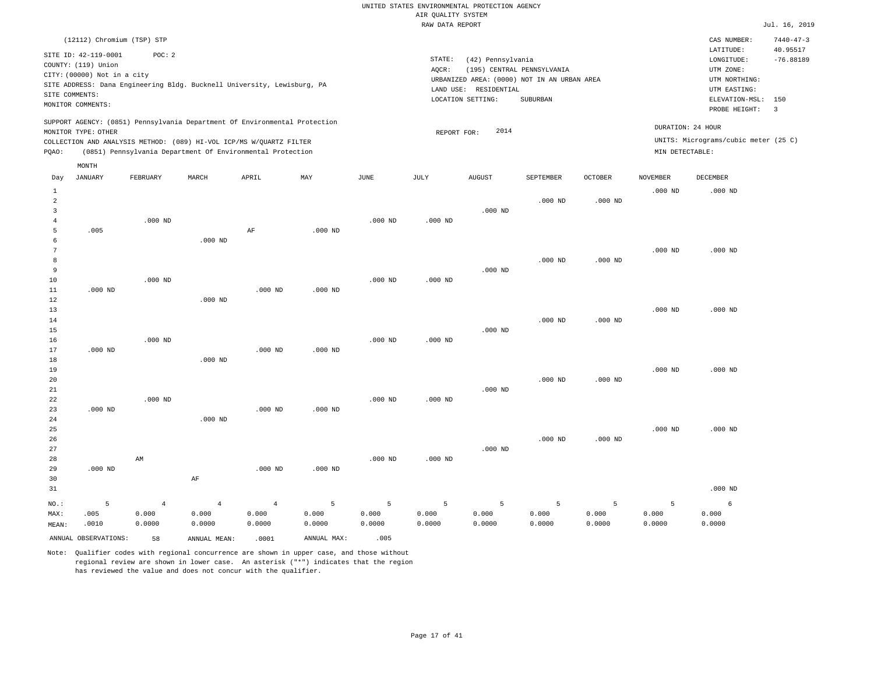|                |                             |                |                                                                            |                |             |           | RAW DATA REPORT |                       |                                             |                |                 |                                      | Jul. 16, 2019           |
|----------------|-----------------------------|----------------|----------------------------------------------------------------------------|----------------|-------------|-----------|-----------------|-----------------------|---------------------------------------------|----------------|-----------------|--------------------------------------|-------------------------|
|                | (12112) Chromium (TSP) STP  |                |                                                                            |                |             |           |                 |                       |                                             |                |                 | CAS NUMBER:                          | $7440 - 47 - 3$         |
|                | SITE ID: 42-119-0001        | POC: 2         |                                                                            |                |             |           |                 |                       |                                             |                |                 | LATITUDE:                            | 40.95517                |
|                | COUNTY: (119) Union         |                |                                                                            |                |             |           | STATE:          | (42) Pennsylvania     |                                             |                |                 | LONGITUDE:                           | $-76.88189$             |
|                | CITY: (00000) Not in a city |                |                                                                            |                |             |           | AQCR:           |                       | (195) CENTRAL PENNSYLVANIA                  |                |                 | UTM ZONE:                            |                         |
|                |                             |                | SITE ADDRESS: Dana Engineering Bldg. Bucknell University, Lewisburg, PA    |                |             |           |                 |                       | URBANIZED AREA: (0000) NOT IN AN URBAN AREA |                |                 | UTM NORTHING:                        |                         |
|                | SITE COMMENTS:              |                |                                                                            |                |             |           |                 | LAND USE: RESIDENTIAL |                                             |                |                 | UTM EASTING:                         |                         |
|                | MONITOR COMMENTS:           |                |                                                                            |                |             |           |                 | LOCATION SETTING:     | SUBURBAN                                    |                |                 | ELEVATION-MSL:                       | 150                     |
|                |                             |                |                                                                            |                |             |           |                 |                       |                                             |                |                 | PROBE HEIGHT:                        | $\overline{\mathbf{3}}$ |
|                |                             |                | SUPPORT AGENCY: (0851) Pennsylvania Department Of Environmental Protection |                |             |           |                 |                       |                                             |                |                 | DURATION: 24 HOUR                    |                         |
|                | MONITOR TYPE: OTHER         |                |                                                                            |                |             |           | REPORT FOR:     | 2014                  |                                             |                |                 | UNITS: Micrograms/cubic meter (25 C) |                         |
|                |                             |                | COLLECTION AND ANALYSIS METHOD: (089) HI-VOL ICP/MS W/QUARTZ FILTER        |                |             |           |                 |                       |                                             |                |                 |                                      |                         |
| PQAO:          |                             |                | (0851) Pennsylvania Department Of Environmental Protection                 |                |             |           |                 |                       |                                             |                | MIN DETECTABLE: |                                      |                         |
|                | MONTH                       |                |                                                                            |                |             |           |                 |                       |                                             |                |                 |                                      |                         |
| Day            | <b>JANUARY</b>              | FEBRUARY       | MARCH                                                                      | APRIL          | MAY         | JUNE      | JULY            | <b>AUGUST</b>         | SEPTEMBER                                   | <b>OCTOBER</b> | <b>NOVEMBER</b> | DECEMBER                             |                         |
| $\mathbf{1}$   |                             |                |                                                                            |                |             |           |                 |                       |                                             |                | $.000$ ND       | $.000$ ND                            |                         |
| 2              |                             |                |                                                                            |                |             |           |                 |                       | $.000$ ND                                   | $.000$ ND      |                 |                                      |                         |
| 3              |                             |                |                                                                            |                |             |           |                 | $.000$ ND             |                                             |                |                 |                                      |                         |
| $\overline{4}$ |                             | $.000$ ND      |                                                                            |                |             | $.000$ ND | $.000$ ND       |                       |                                             |                |                 |                                      |                         |
| 5              | .005                        |                |                                                                            | AF             | $.000$ ND   |           |                 |                       |                                             |                |                 |                                      |                         |
| 6              |                             |                | $.000$ ND                                                                  |                |             |           |                 |                       |                                             |                |                 |                                      |                         |
| $\overline{7}$ |                             |                |                                                                            |                |             |           |                 |                       |                                             |                | $.000$ ND       | $.000$ ND                            |                         |
| 8              |                             |                |                                                                            |                |             |           |                 |                       | $.000$ ND                                   | $.000$ ND      |                 |                                      |                         |
| 9<br>10        |                             | $.000$ ND      |                                                                            |                |             |           | $.000$ ND       | $.000$ ND             |                                             |                |                 |                                      |                         |
| 11             | $.000$ ND                   |                |                                                                            | $.000$ ND      | $.000$ ND   | $.000$ ND |                 |                       |                                             |                |                 |                                      |                         |
| 12             |                             |                | $.000$ ND                                                                  |                |             |           |                 |                       |                                             |                |                 |                                      |                         |
| 13             |                             |                |                                                                            |                |             |           |                 |                       |                                             |                | $.000$ ND       | $.000$ ND                            |                         |
| 14             |                             |                |                                                                            |                |             |           |                 |                       | $.000$ ND                                   | $.000$ ND      |                 |                                      |                         |
| 15             |                             |                |                                                                            |                |             |           |                 | $.000$ ND             |                                             |                |                 |                                      |                         |
| 16             |                             | $.000$ ND      |                                                                            |                |             | $.000$ ND | $.000$ ND       |                       |                                             |                |                 |                                      |                         |
| 17             | $.000$ ND                   |                |                                                                            | $.000$ ND      | $.000$ ND   |           |                 |                       |                                             |                |                 |                                      |                         |
| 18             |                             |                | $.000$ ND                                                                  |                |             |           |                 |                       |                                             |                |                 |                                      |                         |
| 19             |                             |                |                                                                            |                |             |           |                 |                       |                                             |                | $.000$ ND       | $.000$ ND                            |                         |
| 20             |                             |                |                                                                            |                |             |           |                 |                       | $.000$ ND                                   | $.000$ ND      |                 |                                      |                         |
| 21             |                             |                |                                                                            |                |             |           |                 | $.000$ ND             |                                             |                |                 |                                      |                         |
| 22             |                             | $.000$ ND      |                                                                            |                |             | $.000$ ND | $.000$ ND       |                       |                                             |                |                 |                                      |                         |
| 23             | $.000$ ND                   |                |                                                                            | $.000$ ND      | $.000$ ND   |           |                 |                       |                                             |                |                 |                                      |                         |
| 24             |                             |                | $.000$ ND                                                                  |                |             |           |                 |                       |                                             |                |                 |                                      |                         |
| 25             |                             |                |                                                                            |                |             |           |                 |                       |                                             |                | $.000$ ND       | $.000$ ND                            |                         |
| 26<br>27       |                             |                |                                                                            |                |             |           |                 | $.000$ ND             | $.000$ ND                                   | $.000$ ND      |                 |                                      |                         |
| 28             |                             | AM             |                                                                            |                |             | $.000$ ND | $.000$ ND       |                       |                                             |                |                 |                                      |                         |
| 29             | $.000$ ND                   |                |                                                                            | $.000$ ND      | $.000$ ND   |           |                 |                       |                                             |                |                 |                                      |                         |
| 30             |                             |                | AF                                                                         |                |             |           |                 |                       |                                             |                |                 |                                      |                         |
| 31             |                             |                |                                                                            |                |             |           |                 |                       |                                             |                |                 | $.000$ ND                            |                         |
|                |                             |                |                                                                            |                |             |           |                 |                       |                                             |                |                 |                                      |                         |
| NO.:           | 5                           | $\overline{4}$ | $\overline{4}$                                                             | $\overline{4}$ | 5           | 5         | 5               | 5                     | 5                                           | 5              | 5               | 6                                    |                         |
| MAX:           | .005                        | 0.000          | 0.000                                                                      | 0.000          | 0.000       | 0.000     | 0.000           | 0.000                 | 0.000                                       | 0.000          | 0.000           | 0.000                                |                         |
| MEAN:          | .0010                       | 0.0000         | 0.0000                                                                     | 0.0000         | 0.0000      | 0.0000    | 0.0000          | 0.0000                | 0.0000                                      | 0.0000         | 0.0000          | 0.0000                               |                         |
|                | ANNUAL OBSERVATIONS:        | 58             | ANNUAL MEAN:                                                               | .0001          | ANNUAL MAX: | .005      |                 |                       |                                             |                |                 |                                      |                         |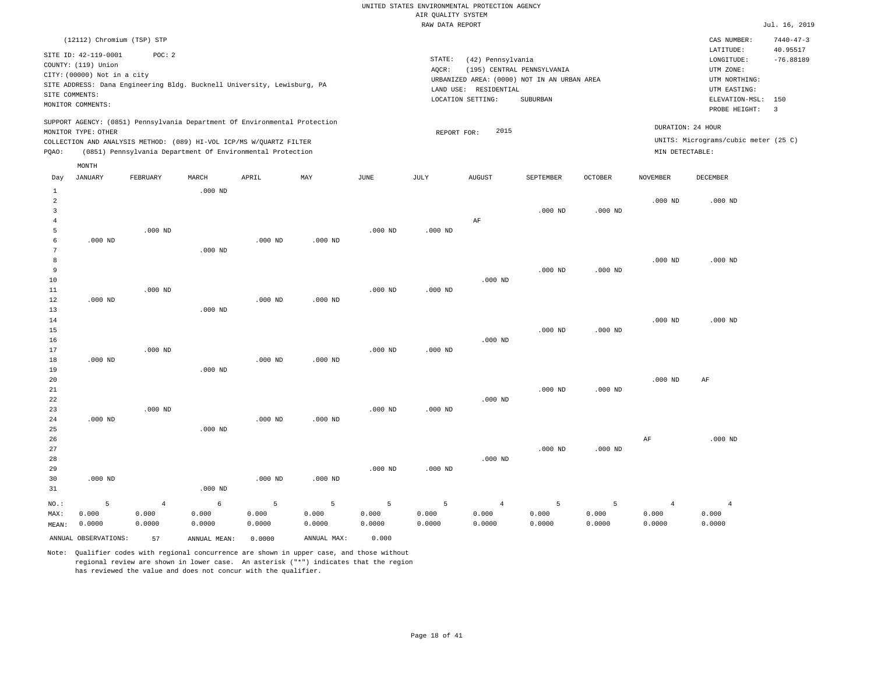| (12112) Chromium (TSP) STP<br>SITE ID: 42-119-0001<br>POC:2                                                                                                                                                                                                                                                                                            | $7440 - 47 - 3$<br>CAS NUMBER:<br>40.95517<br>LATITUDE:<br>$-76.88189$<br>LONGITUDE:                         |
|--------------------------------------------------------------------------------------------------------------------------------------------------------------------------------------------------------------------------------------------------------------------------------------------------------------------------------------------------------|--------------------------------------------------------------------------------------------------------------|
|                                                                                                                                                                                                                                                                                                                                                        |                                                                                                              |
| STATE:<br>(42) Pennsylvania<br>COUNTY: (119) Union<br>(195) CENTRAL PENNSYLVANIA<br>AOCR:<br>CITY: (00000) Not in a city<br>URBANIZED AREA: (0000) NOT IN AN URBAN AREA<br>SITE ADDRESS: Dana Engineering Bldg. Bucknell University, Lewisburg, PA<br>RESIDENTIAL<br>LAND USE:<br>SITE COMMENTS:<br>LOCATION SETTING:<br>SUBURBAN<br>MONITOR COMMENTS: | UTM ZONE:<br>UTM NORTHING:<br>UTM EASTING:<br>ELEVATION-MSL: 150<br>PROBE HEIGHT:<br>$\overline{\mathbf{3}}$ |
| SUPPORT AGENCY: (0851) Pennsylvania Department Of Environmental Protection<br>2015<br>MONITOR TYPE: OTHER<br>REPORT FOR:<br>COLLECTION AND ANALYSIS METHOD: (089) HI-VOL ICP/MS W/OUARTZ FILTER<br>(0851) Pennsylvania Department Of Environmental Protection<br>POAO:                                                                                 | DURATION: 24 HOUR<br>UNITS: Micrograms/cubic meter (25 C)<br>MIN DETECTABLE:                                 |
| MONTH<br><b>JANUARY</b><br>FEBRUARY<br>MARCH<br>APRIL<br>MAY<br>JUNE<br>JULY<br><b>AUGUST</b><br><b>OCTOBER</b><br>SEPTEMBER<br><b>NOVEMBER</b><br>Day                                                                                                                                                                                                 | <b>DECEMBER</b>                                                                                              |
| $.000$ ND<br>0.001<br>$\sim$                                                                                                                                                                                                                                                                                                                           | 0.001                                                                                                        |

| $\overline{a}$ |           |                |           |           |           |           |           |                |           |           | $.000$ ND      | $.000$ ND      |
|----------------|-----------|----------------|-----------|-----------|-----------|-----------|-----------|----------------|-----------|-----------|----------------|----------------|
| 3              |           |                |           |           |           |           |           |                | $.000$ ND | $.000$ ND |                |                |
| 4              |           |                |           |           |           |           |           | $\rm AF$       |           |           |                |                |
| 5              |           | $.000$ ND      |           |           |           | $.000$ ND | $.000$ ND |                |           |           |                |                |
| 6              | $.000$ ND |                |           | $.000$ ND | $.000$ ND |           |           |                |           |           |                |                |
| 7              |           |                | $.000$ ND |           |           |           |           |                |           |           |                |                |
| 8              |           |                |           |           |           |           |           |                |           |           | $.000$ ND      | $.000$ ND      |
| 9              |           |                |           |           |           |           |           |                | $.000$ ND | $.000$ ND |                |                |
| 10             |           |                |           |           |           |           |           | $.000$ ND      |           |           |                |                |
| 11             |           | $.000$ ND      |           |           |           | $.000$ ND | $.000$ ND |                |           |           |                |                |
| 12             | $.000$ ND |                |           | $.000$ ND | $.000$ ND |           |           |                |           |           |                |                |
| 13             |           |                | $.000$ ND |           |           |           |           |                |           |           |                |                |
| 14             |           |                |           |           |           |           |           |                |           |           | $.000$ ND      | $.000$ ND      |
| 15             |           |                |           |           |           |           |           |                | $.000$ ND | $.000$ ND |                |                |
| 16             |           |                |           |           |           |           |           | $.000$ ND      |           |           |                |                |
| 17             |           | $.000$ ND      |           |           |           | $.000$ ND | $.000$ ND |                |           |           |                |                |
| 18             | $.000$ ND |                |           | $.000$ ND | $.000$ ND |           |           |                |           |           |                |                |
| 19             |           |                | $.000$ ND |           |           |           |           |                |           |           |                |                |
| 20             |           |                |           |           |           |           |           |                |           |           | $.000$ ND      | AF             |
| 21             |           |                |           |           |           |           |           |                | $.000$ ND | $.000$ ND |                |                |
| 22             |           |                |           |           |           |           |           | $.000$ ND      |           |           |                |                |
| 23             |           | $.000$ ND      |           |           |           | $.000$ ND | $.000$ ND |                |           |           |                |                |
| 24             | $.000$ ND |                |           | $.000$ ND | $.000$ ND |           |           |                |           |           |                |                |
| 25             |           |                | $.000$ ND |           |           |           |           |                |           |           |                |                |
| 26             |           |                |           |           |           |           |           |                |           |           | $\rm{AF}$      | $.000$ ND      |
| 27             |           |                |           |           |           |           |           |                | $.000$ ND | $.000$ ND |                |                |
| 28             |           |                |           |           |           |           |           | $.000$ ND      |           |           |                |                |
| 29             |           |                |           |           |           | $.000$ ND | $.000$ ND |                |           |           |                |                |
| 30             | $.000$ ND |                |           | $.000$ ND | $.000$ ND |           |           |                |           |           |                |                |
| 31             |           |                | $.000$ ND |           |           |           |           |                |           |           |                |                |
| $NO.$ :        | 5         | $\overline{4}$ | 6         | 5         | 5         | 5         | 5         | $\overline{4}$ | 5         | 5         | $\overline{4}$ | $\overline{4}$ |
| MAX:           | 0.000     | 0.000          | 0.000     | 0.000     | 0.000     | 0.000     | 0.000     | 0.000          | 0.000     | 0.000     | 0.000          | 0.000          |
| MEAN:          | 0.0000    | 0.0000         | 0.0000    | 0.0000    | 0.0000    | 0.0000    | 0.0000    | 0.0000         | 0.0000    | 0.0000    | 0.0000         | 0.0000         |

ANNUAL OBSERVATIONS: 57 ANNUAL MEAN: 0.0000 ANNUAL MAX: 0.000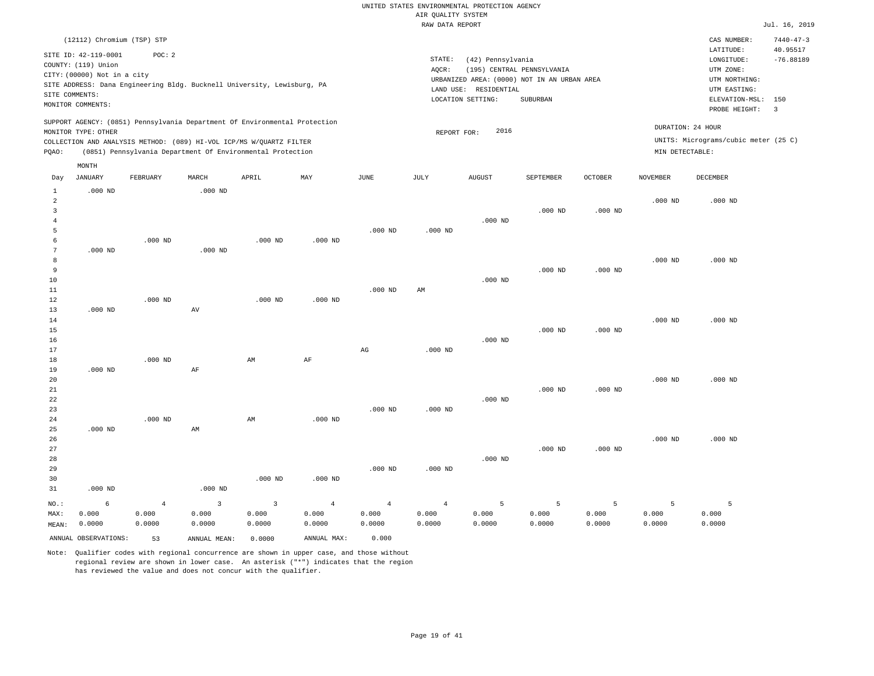|                |                                             |           |             |                                                                            |           |           | RAW DATA REPORT |                                             |                            |           |                 |                                      | Jul. 16, 2019               |
|----------------|---------------------------------------------|-----------|-------------|----------------------------------------------------------------------------|-----------|-----------|-----------------|---------------------------------------------|----------------------------|-----------|-----------------|--------------------------------------|-----------------------------|
|                | (12112) Chromium (TSP) STP                  |           |             |                                                                            |           |           |                 |                                             |                            |           |                 | CAS NUMBER:<br>LATITUDE:             | $7440 - 47 - 3$<br>40.95517 |
|                | SITE ID: 42-119-0001<br>COUNTY: (119) Union | POC: 2    |             |                                                                            |           |           | STATE:          | (42) Pennsylvania                           |                            |           |                 | LONGITUDE:                           | $-76.88189$                 |
|                | CITY: (00000) Not in a city                 |           |             |                                                                            |           |           | AOCR:           |                                             | (195) CENTRAL PENNSYLVANIA |           |                 | UTM ZONE:                            |                             |
|                |                                             |           |             | SITE ADDRESS: Dana Engineering Bldg. Bucknell University, Lewisburg, PA    |           |           |                 | URBANIZED AREA: (0000) NOT IN AN URBAN AREA |                            |           |                 | UTM NORTHING:                        |                             |
|                | SITE COMMENTS:                              |           |             |                                                                            |           |           |                 | LAND USE: RESIDENTIAL                       |                            |           |                 | UTM EASTING:                         |                             |
|                | MONITOR COMMENTS:                           |           |             |                                                                            |           |           |                 | LOCATION SETTING:                           | SUBURBAN                   |           |                 | ELEVATION-MSL:                       | 150                         |
|                |                                             |           |             |                                                                            |           |           |                 |                                             |                            |           |                 | PROBE HEIGHT:                        | $\overline{\mathbf{3}}$     |
|                | MONITOR TYPE: OTHER                         |           |             | SUPPORT AGENCY: (0851) Pennsylvania Department Of Environmental Protection |           |           | REPORT FOR:     | 2016                                        |                            |           |                 | DURATION: 24 HOUR                    |                             |
|                |                                             |           |             | COLLECTION AND ANALYSIS METHOD: (089) HI-VOL ICP/MS W/OUARTZ FILTER        |           |           |                 |                                             |                            |           |                 | UNITS: Micrograms/cubic meter (25 C) |                             |
| PQAO:          |                                             |           |             | (0851) Pennsylvania Department Of Environmental Protection                 |           |           |                 |                                             |                            |           | MIN DETECTABLE: |                                      |                             |
|                | MONTH                                       |           |             |                                                                            |           |           |                 |                                             |                            |           |                 |                                      |                             |
| Day            | JANUARY                                     | FEBRUARY  | MARCH       | APRIL                                                                      | MAY       | JUNE      | JULY            | AUGUST                                      | SEPTEMBER                  | OCTOBER   | <b>NOVEMBER</b> | DECEMBER                             |                             |
| <sup>1</sup>   | $.000$ ND                                   |           | $.000$ ND   |                                                                            |           |           |                 |                                             |                            |           |                 |                                      |                             |
| 2              |                                             |           |             |                                                                            |           |           |                 |                                             |                            |           | $.000$ ND       | $.000$ ND                            |                             |
| 3              |                                             |           |             |                                                                            |           |           |                 |                                             | $.000$ ND                  | $.000$ ND |                 |                                      |                             |
| $\overline{4}$ |                                             |           |             |                                                                            |           |           |                 | $.000$ ND                                   |                            |           |                 |                                      |                             |
| 5              |                                             |           |             |                                                                            |           | $.000$ ND | $.000$ ND       |                                             |                            |           |                 |                                      |                             |
| 6              |                                             | $.000$ ND |             | $.000$ ND                                                                  | $.000$ ND |           |                 |                                             |                            |           |                 |                                      |                             |
| 7              | $.000$ ND                                   |           | $.000$ ND   |                                                                            |           |           |                 |                                             |                            |           |                 |                                      |                             |
| 8              |                                             |           |             |                                                                            |           |           |                 |                                             |                            |           | $.000$ ND       | $.000$ ND                            |                             |
| 9              |                                             |           |             |                                                                            |           |           |                 |                                             | $.000$ ND                  | $.000$ ND |                 |                                      |                             |
| 10             |                                             |           |             |                                                                            |           |           |                 | $.000$ ND                                   |                            |           |                 |                                      |                             |
| 11             |                                             |           |             |                                                                            |           | $.000$ ND | AM              |                                             |                            |           |                 |                                      |                             |
| 12             |                                             | $.000$ ND |             | $.000$ ND                                                                  | $.000$ ND |           |                 |                                             |                            |           |                 |                                      |                             |
| 13             | $.000$ ND                                   |           | $\hbox{AV}$ |                                                                            |           |           |                 |                                             |                            |           |                 |                                      |                             |
| 14             |                                             |           |             |                                                                            |           |           |                 |                                             |                            |           | $.000$ ND       | $.000$ ND                            |                             |
| 15<br>16       |                                             |           |             |                                                                            |           |           |                 | $.000$ ND                                   | $.000$ ND                  | $.000$ ND |                 |                                      |                             |
| 17             |                                             |           |             |                                                                            |           | AG        | $.000$ ND       |                                             |                            |           |                 |                                      |                             |
| 18             |                                             | $.000$ ND |             | AM                                                                         | AF        |           |                 |                                             |                            |           |                 |                                      |                             |
| 19             | $.000$ ND                                   |           | AF          |                                                                            |           |           |                 |                                             |                            |           |                 |                                      |                             |
| 20             |                                             |           |             |                                                                            |           |           |                 |                                             |                            |           | $.000$ ND       | $.000$ ND                            |                             |
| 21             |                                             |           |             |                                                                            |           |           |                 |                                             | $.000$ ND                  | $.000$ ND |                 |                                      |                             |
| 22             |                                             |           |             |                                                                            |           |           |                 | $.000$ ND                                   |                            |           |                 |                                      |                             |
| 23             |                                             |           |             |                                                                            |           | $.000$ ND | $.000$ ND       |                                             |                            |           |                 |                                      |                             |

24 25 26 27 28 29 30 31 .000 ND .000 ND NO.: MAX: MEAN: 6 0.000 0.0000 .000 ND AM .000 ND AM .000 ND .000 ND .000 ND .000 ND .000 ND .000 ND .000 ND .000 ND .000 ND .000 ND 4 0.000 0.0000 3 0.000 0.0000 3 0.000 0.0000 4 0.000 0.0000 4 0.000 0.0000 4 0.000 0.0000 5 0.000 0.0000 5 0.000 0.0000 5 0.000 0.0000 5 0.000 0.0000 5 0.000 0.0000

ANNUAL OBSERVATIONS: 53 ANNUAL MEAN: 0.0000 ANNUAL MAX: 0.000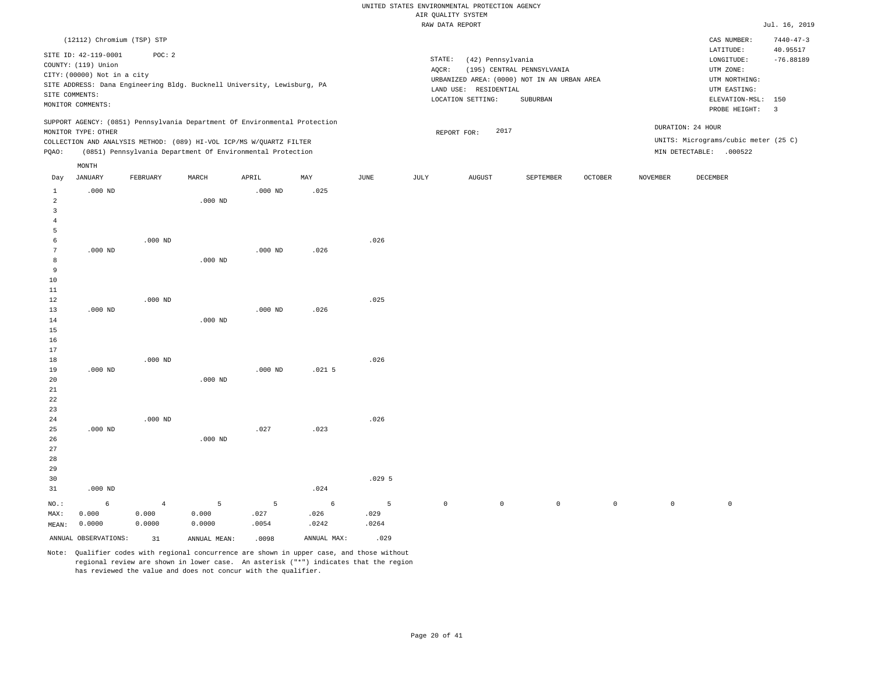|                 |                             |           |           |                                                                            |          |       |        | utr Knutti pipipw                           |                            |                |                 |                                      |                          |
|-----------------|-----------------------------|-----------|-----------|----------------------------------------------------------------------------|----------|-------|--------|---------------------------------------------|----------------------------|----------------|-----------------|--------------------------------------|--------------------------|
|                 |                             |           |           |                                                                            |          |       |        | RAW DATA REPORT                             |                            |                |                 |                                      | Jul. 16, 2019            |
|                 | (12112) Chromium (TSP) STP  |           |           |                                                                            |          |       |        |                                             |                            |                |                 | CAS NUMBER:                          | $7440 - 47 - 3$          |
|                 | SITE ID: 42-119-0001        | POC: 2    |           |                                                                            |          |       |        |                                             |                            |                |                 | LATITUDE:                            | 40.95517                 |
|                 | COUNTY: (119) Union         |           |           |                                                                            |          |       | STATE: | (42) Pennsylvania                           |                            |                |                 | LONGITUDE:                           | $-76.88189$              |
|                 | CITY: (00000) Not in a city |           |           |                                                                            |          |       | AQCR:  |                                             | (195) CENTRAL PENNSYLVANIA |                |                 | UTM ZONE:                            |                          |
|                 |                             |           |           | SITE ADDRESS: Dana Engineering Bldg. Bucknell University, Lewisburg, PA    |          |       |        | URBANIZED AREA: (0000) NOT IN AN URBAN AREA |                            |                |                 | UTM NORTHING:                        |                          |
|                 | SITE COMMENTS:              |           |           |                                                                            |          |       |        | LAND USE: RESIDENTIAL                       |                            |                |                 | UTM EASTING:                         |                          |
|                 | MONITOR COMMENTS:           |           |           |                                                                            |          |       |        | LOCATION SETTING:                           | SUBURBAN                   |                |                 | ELEVATION-MSL: 150                   |                          |
|                 |                             |           |           |                                                                            |          |       |        |                                             |                            |                |                 | PROBE HEIGHT:                        | $\overline{\phantom{a}}$ |
|                 |                             |           |           | SUPPORT AGENCY: (0851) Pennsylvania Department Of Environmental Protection |          |       |        |                                             |                            |                |                 | DURATION: 24 HOUR                    |                          |
|                 | MONITOR TYPE: OTHER         |           |           |                                                                            |          |       |        | 2017<br>REPORT FOR:                         |                            |                |                 |                                      |                          |
|                 |                             |           |           | COLLECTION AND ANALYSIS METHOD: (089) HI-VOL ICP/MS W/QUARTZ FILTER        |          |       |        |                                             |                            |                |                 | UNITS: Micrograms/cubic meter (25 C) |                          |
| PQAO:           |                             |           |           | (0851) Pennsylvania Department Of Environmental Protection                 |          |       |        |                                             |                            |                |                 | MIN DETECTABLE: .000522              |                          |
|                 | MONTH                       |           |           |                                                                            |          |       |        |                                             |                            |                |                 |                                      |                          |
| Day             | <b>JANUARY</b>              | FEBRUARY  | MARCH     | APRIL                                                                      | MAY      | JUNE  | JULY   | <b>AUGUST</b>                               | SEPTEMBER                  | <b>OCTOBER</b> | <b>NOVEMBER</b> | DECEMBER                             |                          |
| $\mathbf{1}$    | $.000$ ND                   |           |           | $.000$ ND                                                                  | .025     |       |        |                                             |                            |                |                 |                                      |                          |
| $\overline{a}$  |                             |           | $.000$ ND |                                                                            |          |       |        |                                             |                            |                |                 |                                      |                          |
| 3               |                             |           |           |                                                                            |          |       |        |                                             |                            |                |                 |                                      |                          |
| 4               |                             |           |           |                                                                            |          |       |        |                                             |                            |                |                 |                                      |                          |
| 5               |                             |           |           |                                                                            |          |       |        |                                             |                            |                |                 |                                      |                          |
| 6               |                             | $.000$ ND |           |                                                                            |          | .026  |        |                                             |                            |                |                 |                                      |                          |
| $7\phantom{.0}$ | $.000$ ND                   |           |           | $.000$ ND                                                                  | .026     |       |        |                                             |                            |                |                 |                                      |                          |
| 8               |                             |           | $.000$ ND |                                                                            |          |       |        |                                             |                            |                |                 |                                      |                          |
| 9               |                             |           |           |                                                                            |          |       |        |                                             |                            |                |                 |                                      |                          |
| 10              |                             |           |           |                                                                            |          |       |        |                                             |                            |                |                 |                                      |                          |
| 11              |                             |           |           |                                                                            |          |       |        |                                             |                            |                |                 |                                      |                          |
| 12              |                             | $.000$ ND |           |                                                                            |          | .025  |        |                                             |                            |                |                 |                                      |                          |
| 13              | $.000$ ND                   |           |           | $.000$ ND                                                                  | .026     |       |        |                                             |                            |                |                 |                                      |                          |
| 14              |                             |           | $.000$ ND |                                                                            |          |       |        |                                             |                            |                |                 |                                      |                          |
| 15              |                             |           |           |                                                                            |          |       |        |                                             |                            |                |                 |                                      |                          |
| 16              |                             |           |           |                                                                            |          |       |        |                                             |                            |                |                 |                                      |                          |
| 17              |                             |           |           |                                                                            |          |       |        |                                             |                            |                |                 |                                      |                          |
| 18              | $.000$ ND                   | $.000$ ND |           | $.000$ ND                                                                  | $.021$ 5 | .026  |        |                                             |                            |                |                 |                                      |                          |
| 19<br>20        |                             |           | $.000$ ND |                                                                            |          |       |        |                                             |                            |                |                 |                                      |                          |
| 21              |                             |           |           |                                                                            |          |       |        |                                             |                            |                |                 |                                      |                          |
| 22              |                             |           |           |                                                                            |          |       |        |                                             |                            |                |                 |                                      |                          |
| 23              |                             |           |           |                                                                            |          |       |        |                                             |                            |                |                 |                                      |                          |
| 24              |                             | $.000$ ND |           |                                                                            |          | .026  |        |                                             |                            |                |                 |                                      |                          |
| 25              | $.000$ ND                   |           |           | .027                                                                       | .023     |       |        |                                             |                            |                |                 |                                      |                          |
| 26              |                             |           | $.000$ ND |                                                                            |          |       |        |                                             |                            |                |                 |                                      |                          |
| 27              |                             |           |           |                                                                            |          |       |        |                                             |                            |                |                 |                                      |                          |
| 28              |                             |           |           |                                                                            |          |       |        |                                             |                            |                |                 |                                      |                          |
| 29              |                             |           |           |                                                                            |          |       |        |                                             |                            |                |                 |                                      |                          |
| 30              |                             |           |           |                                                                            |          | .0295 |        |                                             |                            |                |                 |                                      |                          |

NO.: MAX: MEAN: 6 0.000 0.0000 4 0.000 0.0000 5 0.000 0.0000 5 .027 .0054 6 .026 .0242 5 .029 .0264  $\begin{matrix} 0 & 0 & 0 & 0 & 0 & 0 \end{matrix}$ ANNUAL OBSERVATIONS: 31 ANNUAL MEAN: .0098 ANNUAL MAX: .029

.024

Note: Qualifier codes with regional concurrence are shown in upper case, and those without regional review are shown in lower case. An asterisk ("\*") indicates that the region has reviewed the value and does not concur with the qualifier.

31

.000 ND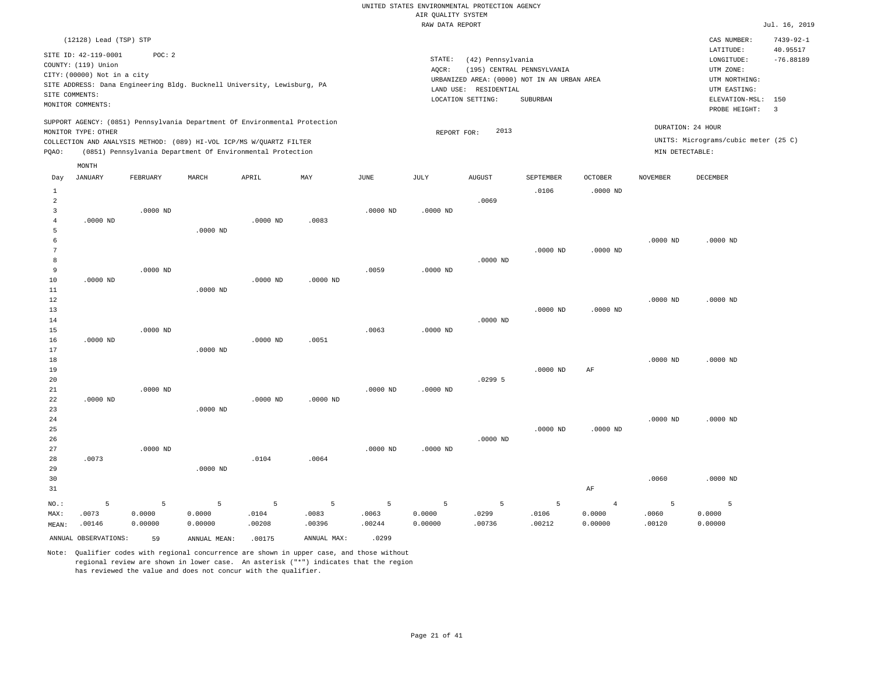|                |                             |            |                                                                            |            |                |               | RAW DATA REPORT |                       |                                             |                |                 |                                      | Jul. 16, 2019           |
|----------------|-----------------------------|------------|----------------------------------------------------------------------------|------------|----------------|---------------|-----------------|-----------------------|---------------------------------------------|----------------|-----------------|--------------------------------------|-------------------------|
|                | (12128) Lead (TSP) STP      |            |                                                                            |            |                |               |                 |                       |                                             |                |                 | CAS NUMBER:                          | $7439 - 92 - 1$         |
|                | SITE ID: 42-119-0001        | POC: 2     |                                                                            |            |                |               |                 |                       |                                             |                |                 | LATITUDE:                            | 40.95517                |
|                |                             |            |                                                                            |            |                |               | STATE:          | (42) Pennsylvania     |                                             |                |                 | LONGITUDE:                           | $-76.88189$             |
|                | COUNTY: (119) Union         |            |                                                                            |            |                |               | AQCR:           |                       | (195) CENTRAL PENNSYLVANIA                  |                |                 | UTM ZONE:                            |                         |
|                | CITY: (00000) Not in a city |            |                                                                            |            |                |               |                 |                       | URBANIZED AREA: (0000) NOT IN AN URBAN AREA |                |                 | UTM NORTHING:                        |                         |
|                |                             |            | SITE ADDRESS: Dana Engineering Bldg. Bucknell University, Lewisburg, PA    |            |                |               |                 | LAND USE: RESIDENTIAL |                                             |                |                 | UTM EASTING:                         |                         |
| SITE COMMENTS: |                             |            |                                                                            |            |                |               |                 | LOCATION SETTING:     | SUBURBAN                                    |                |                 | ELEVATION-MSL:                       | 150                     |
|                | MONITOR COMMENTS:           |            |                                                                            |            |                |               |                 |                       |                                             |                |                 | PROBE HEIGHT:                        | $\overline{\mathbf{3}}$ |
|                |                             |            | SUPPORT AGENCY: (0851) Pennsylvania Department Of Environmental Protection |            |                |               |                 |                       |                                             |                |                 |                                      |                         |
|                | MONITOR TYPE: OTHER         |            |                                                                            |            |                |               | REPORT FOR:     | 2013                  |                                             |                |                 | DURATION: 24 HOUR                    |                         |
|                |                             |            | COLLECTION AND ANALYSIS METHOD: (089) HI-VOL ICP/MS W/QUARTZ FILTER        |            |                |               |                 |                       |                                             |                |                 | UNITS: Micrograms/cubic meter (25 C) |                         |
| PQAO:          |                             |            | (0851) Pennsylvania Department Of Environmental Protection                 |            |                |               |                 |                       |                                             |                | MIN DETECTABLE: |                                      |                         |
|                | MONTH                       |            |                                                                            |            |                |               |                 |                       |                                             |                |                 |                                      |                         |
| Day            | JANUARY                     | FEBRUARY   | MARCH                                                                      | APRIL      | MAY            | $_{\rm JUNE}$ | JULY            | ${\tt AUGUST}$        | SEPTEMBER                                   | OCTOBER        | <b>NOVEMBER</b> | DECEMBER                             |                         |
| 1              |                             |            |                                                                            |            |                |               |                 |                       | .0106                                       | $.0000$ ND     |                 |                                      |                         |
| $\overline{a}$ |                             |            |                                                                            |            |                |               |                 | .0069                 |                                             |                |                 |                                      |                         |
| 3              |                             | $.0000$ ND |                                                                            |            |                | $.0000$ ND    | $.0000$ ND      |                       |                                             |                |                 |                                      |                         |
| $\overline{4}$ | $.0000$ ND                  |            |                                                                            | $.0000$ ND | .0083          |               |                 |                       |                                             |                |                 |                                      |                         |
| 5              |                             |            | $.0000$ ND                                                                 |            |                |               |                 |                       |                                             |                |                 |                                      |                         |
| $\epsilon$     |                             |            |                                                                            |            |                |               |                 |                       |                                             |                | $.0000$ ND      | $.0000$ ND                           |                         |
| 7              |                             |            |                                                                            |            |                |               |                 |                       | $.0000$ ND                                  | $.0000$ ND     |                 |                                      |                         |
| 8              |                             |            |                                                                            |            |                |               |                 | $.0000$ ND            |                                             |                |                 |                                      |                         |
| 9              |                             | $.0000$ ND |                                                                            |            |                | .0059         | $.0000$ ND      |                       |                                             |                |                 |                                      |                         |
| 10             | $.0000$ ND                  |            |                                                                            | $.0000$ ND | $.0000$ ND     |               |                 |                       |                                             |                |                 |                                      |                         |
| 11             |                             |            | $.0000$ ND                                                                 |            |                |               |                 |                       |                                             |                |                 |                                      |                         |
| 12             |                             |            |                                                                            |            |                |               |                 |                       |                                             |                | $.0000$ ND      | $.0000$ ND                           |                         |
| 13             |                             |            |                                                                            |            |                |               |                 |                       | $.0000$ ND                                  | $.0000$ ND     |                 |                                      |                         |
| 14             |                             |            |                                                                            |            |                |               |                 | $.0000$ ND            |                                             |                |                 |                                      |                         |
| 15             |                             | $.0000$ ND |                                                                            |            |                | .0063         | $.0000$ ND      |                       |                                             |                |                 |                                      |                         |
| 16             | $.0000$ ND                  |            |                                                                            | $.0000$ ND | .0051          |               |                 |                       |                                             |                |                 |                                      |                         |
| 17             |                             |            | .0000 ND                                                                   |            |                |               |                 |                       |                                             |                |                 |                                      |                         |
| 18             |                             |            |                                                                            |            |                |               |                 |                       |                                             |                | $.0000$ ND      | $.0000$ ND                           |                         |
| 19             |                             |            |                                                                            |            |                |               |                 |                       | $.0000$ ND                                  | $\rm AF$       |                 |                                      |                         |
| 20             |                             |            |                                                                            |            |                |               |                 | .02995                |                                             |                |                 |                                      |                         |
| 21             |                             | $.0000$ ND |                                                                            |            |                | $.0000$ ND    | $.0000$ ND      |                       |                                             |                |                 |                                      |                         |
| 22             | $.0000$ ND                  |            |                                                                            | $.0000$ ND | $.0000$ ND     |               |                 |                       |                                             |                |                 |                                      |                         |
| 23             |                             |            | $.0000$ ND                                                                 |            |                |               |                 |                       |                                             |                |                 |                                      |                         |
| 24             |                             |            |                                                                            |            |                |               |                 |                       |                                             |                | $.0000$ ND      | $.0000$ ND                           |                         |
| 25             |                             |            |                                                                            |            |                |               |                 |                       | $.0000$ ND                                  | $.0000$ ND     |                 |                                      |                         |
| 26             |                             |            |                                                                            |            |                |               |                 | $.0000$ ND            |                                             |                |                 |                                      |                         |
| 27             |                             | $.0000$ ND |                                                                            |            |                | $.0000$ ND    | $.0000$ ND      |                       |                                             |                |                 |                                      |                         |
| 28             | .0073                       |            |                                                                            | .0104      | .0064          |               |                 |                       |                                             |                |                 |                                      |                         |
| 29             |                             |            | $.0000$ ND                                                                 |            |                |               |                 |                       |                                             |                |                 |                                      |                         |
| 30             |                             |            |                                                                            |            |                |               |                 |                       |                                             |                | .0060           | .0000 ND                             |                         |
| 31             |                             |            |                                                                            |            |                |               |                 |                       |                                             | $\rm AF$       |                 |                                      |                         |
| NO.:           | 5                           | 5          | $\overline{5}$                                                             | 5          | $\overline{5}$ | 5             | 5               | 5                     | 5                                           | $\overline{4}$ | 5               | 5                                    |                         |
| MAX:           | .0073                       | 0.0000     | 0.0000                                                                     | .0104      | .0083          | .0063         | 0.0000          | .0299                 | .0106                                       | 0.0000         | .0060           | 0.0000                               |                         |
| MEAN:          | .00146                      | 0.00000    | 0.00000                                                                    | .00208     | .00396         | .00244        | 0.00000         | .00736                | .00212                                      | 0.00000        | .00120          | 0.00000                              |                         |
|                | ANNUAL OBSERVATIONS:        | 59         | ANNUAL MEAN:                                                               | .00175     | ANNUAL MAX:    | .0299         |                 |                       |                                             |                |                 |                                      |                         |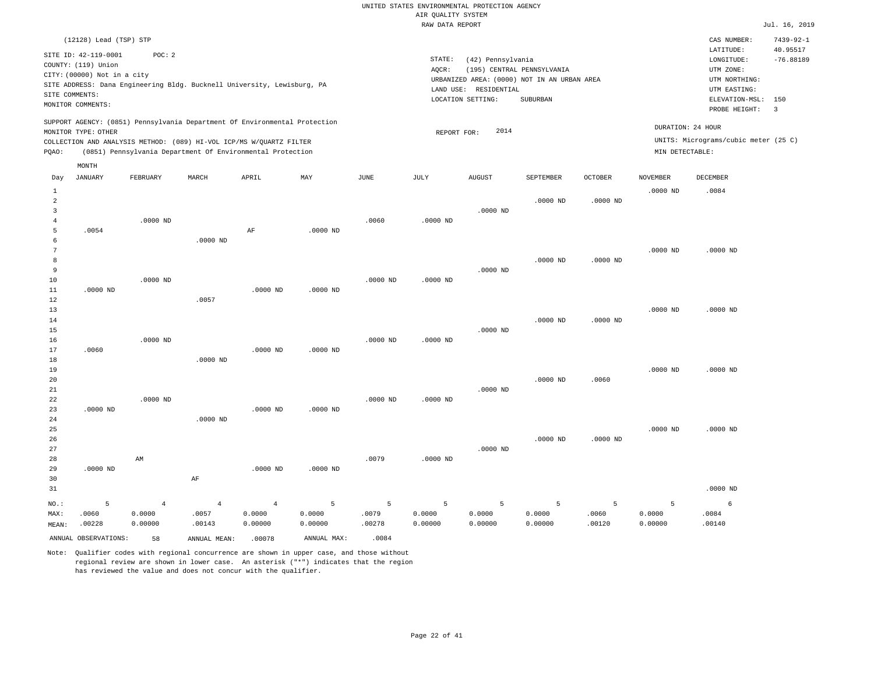|                     |                                             |                                                                            |                |                |                |               | RAW DATA REPORT |                                            |                                             |                |                 |                                      | Jul. 16, 2019               |
|---------------------|---------------------------------------------|----------------------------------------------------------------------------|----------------|----------------|----------------|---------------|-----------------|--------------------------------------------|---------------------------------------------|----------------|-----------------|--------------------------------------|-----------------------------|
|                     | (12128) Lead (TSP) STP                      |                                                                            |                |                |                |               |                 |                                            |                                             |                |                 | CAS NUMBER:<br>LATITUDE:             | $7439 - 92 - 1$<br>40.95517 |
|                     | SITE ID: 42-119-0001<br>COUNTY: (119) Union | POC: 2                                                                     |                |                |                |               | STATE:          | (42) Pennsylvania                          |                                             |                |                 | LONGITUDE:                           | $-76.88189$                 |
|                     | CITY: (00000) Not in a city                 |                                                                            |                |                |                |               | $AQCR$ :        |                                            | (195) CENTRAL PENNSYLVANIA                  |                |                 | UTM ZONE:                            |                             |
|                     |                                             | SITE ADDRESS: Dana Engineering Bldg. Bucknell University, Lewisburg, PA    |                |                |                |               |                 |                                            | URBANIZED AREA: (0000) NOT IN AN URBAN AREA |                |                 | UTM NORTHING:                        |                             |
|                     | SITE COMMENTS:                              |                                                                            |                |                |                |               |                 | LAND USE: RESIDENTIAL<br>LOCATION SETTING: | SUBURBAN                                    |                |                 | UTM EASTING:<br>ELEVATION-MSL: 150   |                             |
|                     | MONITOR COMMENTS:                           |                                                                            |                |                |                |               |                 |                                            |                                             |                |                 | PROBE HEIGHT:                        | $\overline{3}$              |
|                     |                                             | SUPPORT AGENCY: (0851) Pennsylvania Department Of Environmental Protection |                |                |                |               |                 |                                            |                                             |                |                 |                                      |                             |
|                     | MONITOR TYPE: OTHER                         |                                                                            |                |                |                |               | REPORT FOR:     | 2014                                       |                                             |                |                 | DURATION: 24 HOUR                    |                             |
|                     |                                             | COLLECTION AND ANALYSIS METHOD: (089) HI-VOL ICP/MS W/OUARTZ FILTER        |                |                |                |               |                 |                                            |                                             |                |                 | UNITS: Micrograms/cubic meter (25 C) |                             |
| PQAO:               |                                             | (0851) Pennsylvania Department Of Environmental Protection                 |                |                |                |               |                 |                                            |                                             |                | MIN DETECTABLE: |                                      |                             |
|                     | MONTH                                       |                                                                            |                |                |                |               |                 |                                            |                                             |                |                 |                                      |                             |
| Day                 | <b>JANUARY</b>                              | FEBRUARY                                                                   | MARCH          | APRIL          | MAY            | $_{\rm JUNE}$ | <b>JULY</b>     | <b>AUGUST</b>                              | <b>SEPTEMBER</b>                            | <b>OCTOBER</b> | <b>NOVEMBER</b> | DECEMBER                             |                             |
| $\mathbf{1}$        |                                             |                                                                            |                |                |                |               |                 |                                            |                                             |                | $.0000$ ND      | .0084                                |                             |
| 2<br>$\overline{3}$ |                                             |                                                                            |                |                |                |               |                 | $.0000$ ND                                 | $.0000$ ND                                  | $.0000$ ND     |                 |                                      |                             |
| $\overline{4}$      |                                             | $.0000$ ND                                                                 |                |                |                | .0060         | $.0000$ ND      |                                            |                                             |                |                 |                                      |                             |
| 5                   | .0054                                       |                                                                            |                | AF             | $.0000$ ND     |               |                 |                                            |                                             |                |                 |                                      |                             |
| $\epsilon$          |                                             |                                                                            | $.0000$ ND     |                |                |               |                 |                                            |                                             |                |                 |                                      |                             |
| $7\phantom{.0}$     |                                             |                                                                            |                |                |                |               |                 |                                            |                                             |                | $.0000$ ND      | $.0000$ ND                           |                             |
| 8<br>9              |                                             |                                                                            |                |                |                |               |                 | $.0000$ ND                                 | $.0000$ ND                                  | $.0000$ ND     |                 |                                      |                             |
| 10                  |                                             | .0000 ND                                                                   |                |                |                | .0000 ND      | $.0000$ ND      |                                            |                                             |                |                 |                                      |                             |
| 11                  | $.0000$ ND                                  |                                                                            |                | $.0000$ ND     | $.0000$ ND     |               |                 |                                            |                                             |                |                 |                                      |                             |
| 12                  |                                             |                                                                            | .0057          |                |                |               |                 |                                            |                                             |                |                 |                                      |                             |
| 13                  |                                             |                                                                            |                |                |                |               |                 |                                            |                                             |                | $.0000$ ND      | $.0000$ ND                           |                             |
| 14<br>15            |                                             |                                                                            |                |                |                |               |                 | $.0000$ ND                                 | $.0000$ ND                                  | $.0000$ ND     |                 |                                      |                             |
| 16                  |                                             | $.0000$ ND                                                                 |                |                |                | $.0000$ ND    | $.0000$ ND      |                                            |                                             |                |                 |                                      |                             |
| 17                  | .0060                                       |                                                                            |                | $.0000$ ND     | $.0000$ ND     |               |                 |                                            |                                             |                |                 |                                      |                             |
| 18                  |                                             |                                                                            | $.0000$ ND     |                |                |               |                 |                                            |                                             |                |                 |                                      |                             |
| 19                  |                                             |                                                                            |                |                |                |               |                 |                                            |                                             |                | $.0000$ ND      | $.0000$ ND                           |                             |
| 20<br>21            |                                             |                                                                            |                |                |                |               |                 | $.0000$ ND                                 | $.0000$ ND                                  | .0060          |                 |                                      |                             |
| 22                  |                                             | $.0000$ ND                                                                 |                |                |                | $.0000$ ND    | $.0000$ ND      |                                            |                                             |                |                 |                                      |                             |
| 23                  | $.0000$ ND                                  |                                                                            |                | $.0000$ ND     | $.0000$ ND     |               |                 |                                            |                                             |                |                 |                                      |                             |
| 24                  |                                             |                                                                            | .0000 ND       |                |                |               |                 |                                            |                                             |                |                 |                                      |                             |
| 25                  |                                             |                                                                            |                |                |                |               |                 |                                            |                                             |                | $.0000$ ND      | $.0000$ ND                           |                             |
| 26<br>27            |                                             |                                                                            |                |                |                |               |                 | $.0000$ ND                                 | $.0000$ ND                                  | $.0000$ ND     |                 |                                      |                             |
| 28                  |                                             | AM                                                                         |                |                |                | .0079         | $.0000$ ND      |                                            |                                             |                |                 |                                      |                             |
| 29                  | $.0000$ ND                                  |                                                                            |                | $.0000$ ND     | $.0000$ ND     |               |                 |                                            |                                             |                |                 |                                      |                             |
| 30                  |                                             |                                                                            | AF             |                |                |               |                 |                                            |                                             |                |                 |                                      |                             |
| 31                  |                                             |                                                                            |                |                |                |               |                 |                                            |                                             |                |                 | $.0000$ ND                           |                             |
| NO.:                | 5                                           | $\overline{4}$                                                             | $\overline{4}$ | $\overline{4}$ | $\overline{5}$ | 5             | 5               | 5                                          | 5                                           | 5              | 5               | 6                                    |                             |
| MAX:                | .0060                                       | 0.0000                                                                     | .0057          | 0.0000         | 0.0000         | .0079         | 0.0000          | 0.0000                                     | 0.0000                                      | .0060          | 0.0000          | .0084                                |                             |
| MEAN:               | .00228                                      | 0.00000                                                                    | .00143         | 0.00000        | 0.00000        | .00278        | 0.00000         | 0.00000                                    | 0.00000                                     | .00120         | 0.00000         | .00140                               |                             |
|                     | ANNUAL OBSERVATIONS:                        | 58                                                                         | ANNUAL MEAN:   | .00078         | ANNUAL MAX:    | .0084         |                 |                                            |                                             |                |                 |                                      |                             |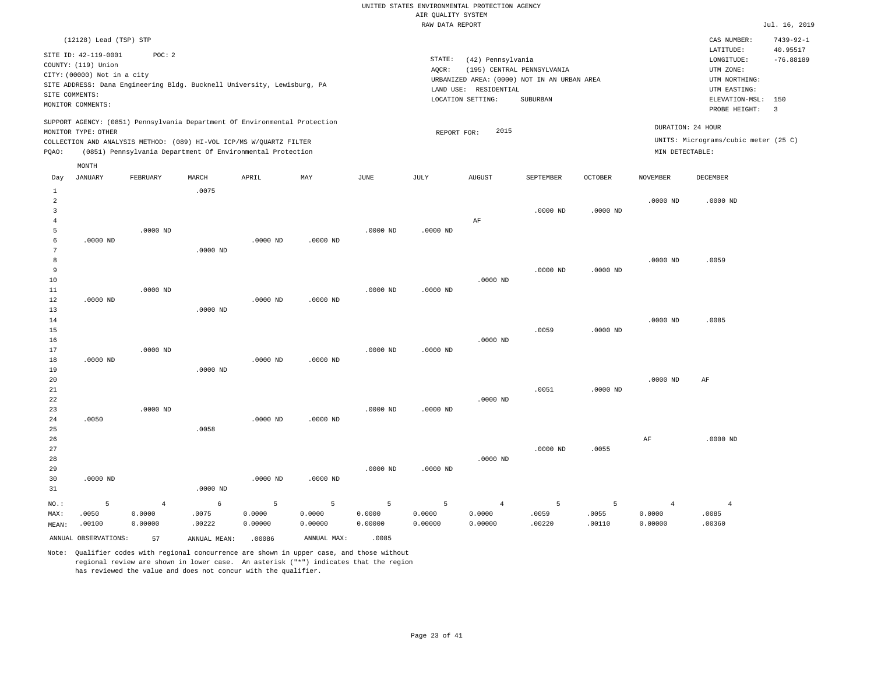|                                |                                                                            |                   |                 |                                                                            |                   |                   | RAW DATA REPORT   |                                                                 |                                                                                       |                 |                   |                                                                                             | Jul. 16, 2019           |
|--------------------------------|----------------------------------------------------------------------------|-------------------|-----------------|----------------------------------------------------------------------------|-------------------|-------------------|-------------------|-----------------------------------------------------------------|---------------------------------------------------------------------------------------|-----------------|-------------------|---------------------------------------------------------------------------------------------|-------------------------|
|                                | (12128) Lead (TSP) STP                                                     |                   |                 |                                                                            |                   |                   |                   |                                                                 |                                                                                       |                 |                   | CAS NUMBER:                                                                                 | $7439 - 92 - 1$         |
| SITE COMMENTS:                 | SITE ID: 42-119-0001<br>COUNTY: (119) Union<br>CITY: (00000) Not in a city | POC: 2            |                 | SITE ADDRESS: Dana Engineering Bldg. Bucknell University, Lewisburg, PA    |                   |                   | STATE:<br>AQCR:   | (42) Pennsylvania<br>LAND USE: RESIDENTIAL<br>LOCATION SETTING: | (195) CENTRAL PENNSYLVANIA<br>URBANIZED AREA: (0000) NOT IN AN URBAN AREA<br>SUBURBAN |                 |                   | LATITUDE:<br>LONGITUDE:<br>UTM ZONE:<br>UTM NORTHING:<br>UTM EASTING:<br>ELEVATION-MSL: 150 | 40.95517<br>$-76.88189$ |
|                                | MONITOR COMMENTS:                                                          |                   |                 |                                                                            |                   |                   |                   |                                                                 |                                                                                       |                 |                   | PROBE HEIGHT:                                                                               | $\overline{3}$          |
|                                | MONITOR TYPE: OTHER                                                        |                   |                 | SUPPORT AGENCY: (0851) Pennsylvania Department Of Environmental Protection |                   |                   | REPORT FOR:       | 2015                                                            |                                                                                       |                 |                   | DURATION: 24 HOUR                                                                           |                         |
|                                |                                                                            |                   |                 | COLLECTION AND ANALYSIS METHOD: (089) HI-VOL ICP/MS W/QUARTZ FILTER        |                   |                   |                   |                                                                 |                                                                                       |                 |                   | UNITS: Micrograms/cubic meter (25 C)                                                        |                         |
| PQAO:                          |                                                                            |                   |                 | (0851) Pennsylvania Department Of Environmental Protection                 |                   |                   |                   |                                                                 |                                                                                       |                 | MIN DETECTABLE:   |                                                                                             |                         |
|                                | MONTH                                                                      |                   |                 |                                                                            |                   |                   |                   |                                                                 |                                                                                       |                 |                   |                                                                                             |                         |
| Day                            | <b>JANUARY</b>                                                             | FEBRUARY          | MARCH           | APRIL                                                                      | MAY               | <b>JUNE</b>       | JULY              | <b>AUGUST</b>                                                   | SEPTEMBER                                                                             | <b>OCTOBER</b>  | <b>NOVEMBER</b>   | DECEMBER                                                                                    |                         |
| $\mathbf{1}$<br>$\overline{2}$ |                                                                            |                   | .0075           |                                                                            |                   |                   |                   |                                                                 |                                                                                       |                 | $.0000$ ND        | .0000 ND                                                                                    |                         |
| 3                              |                                                                            |                   |                 |                                                                            |                   |                   |                   |                                                                 | $.0000$ ND                                                                            | $.0000$ ND      |                   |                                                                                             |                         |
| 4<br>5                         |                                                                            | .0000 ND          |                 |                                                                            |                   | $.0000$ ND        | $.0000$ ND        | $\rm AF$                                                        |                                                                                       |                 |                   |                                                                                             |                         |
| 6                              | $.0000$ ND                                                                 |                   |                 | $.0000$ ND                                                                 | $.0000$ ND        |                   |                   |                                                                 |                                                                                       |                 |                   |                                                                                             |                         |
| 7<br>8<br>9                    |                                                                            |                   | $.0000$ ND      |                                                                            |                   |                   |                   |                                                                 | $.0000$ ND                                                                            | $.0000$ ND      | $.0000$ ND        | .0059                                                                                       |                         |
| 10                             |                                                                            |                   |                 |                                                                            |                   |                   |                   | $.0000$ ND                                                      |                                                                                       |                 |                   |                                                                                             |                         |
| 11<br>12                       | $.0000$ ND                                                                 | $.0000$ ND        |                 | $.0000$ ND                                                                 | .0000 ND          | $.0000$ ND        | $.0000$ ND        |                                                                 |                                                                                       |                 |                   |                                                                                             |                         |
| 13                             |                                                                            |                   | $.0000$ ND      |                                                                            |                   |                   |                   |                                                                 |                                                                                       |                 |                   |                                                                                             |                         |
| 14                             |                                                                            |                   |                 |                                                                            |                   |                   |                   |                                                                 |                                                                                       |                 | $.0000$ ND        | .0085                                                                                       |                         |
| 15<br>16                       |                                                                            |                   |                 |                                                                            |                   |                   |                   | $.0000$ ND                                                      | .0059                                                                                 | $.0000$ ND      |                   |                                                                                             |                         |
| 17                             |                                                                            | $.0000$ ND        |                 |                                                                            |                   | $.0000$ ND        | $.0000$ ND        |                                                                 |                                                                                       |                 |                   |                                                                                             |                         |
| 18                             | $.0000$ ND                                                                 |                   |                 | $.0000$ ND                                                                 | $.0000$ ND        |                   |                   |                                                                 |                                                                                       |                 |                   |                                                                                             |                         |
| 19<br>20                       |                                                                            |                   | $.0000$ ND      |                                                                            |                   |                   |                   |                                                                 |                                                                                       |                 | $.0000$ ND        | $\rm{AF}$                                                                                   |                         |
| 21                             |                                                                            |                   |                 |                                                                            |                   |                   |                   |                                                                 | .0051                                                                                 | $.0000$ ND      |                   |                                                                                             |                         |
| 22                             |                                                                            |                   |                 |                                                                            |                   |                   |                   | $.0000$ ND                                                      |                                                                                       |                 |                   |                                                                                             |                         |
| 23<br>24                       | .0050                                                                      | $.0000$ ND        |                 | $.0000$ ND                                                                 | $.0000$ ND        | $.0000$ ND        | $.0000$ ND        |                                                                 |                                                                                       |                 |                   |                                                                                             |                         |
| 25                             |                                                                            |                   | .0058           |                                                                            |                   |                   |                   |                                                                 |                                                                                       |                 |                   |                                                                                             |                         |
| 26                             |                                                                            |                   |                 |                                                                            |                   |                   |                   |                                                                 |                                                                                       |                 | $\rm{AF}$         | $.0000$ ND                                                                                  |                         |
| 27<br>28                       |                                                                            |                   |                 |                                                                            |                   |                   |                   | $.0000$ ND                                                      | $.0000$ ND                                                                            | .0055           |                   |                                                                                             |                         |
| 29                             |                                                                            |                   |                 |                                                                            |                   | $.0000$ ND        | $.0000$ ND        |                                                                 |                                                                                       |                 |                   |                                                                                             |                         |
| 30                             | $.0000$ ND                                                                 |                   |                 | $.0000$ ND                                                                 | $.0000$ ND        |                   |                   |                                                                 |                                                                                       |                 |                   |                                                                                             |                         |
| 31                             |                                                                            |                   | $.0000$ ND      |                                                                            |                   |                   |                   |                                                                 |                                                                                       |                 |                   |                                                                                             |                         |
| $_{\rm NO.}$ :                 | 5                                                                          | $\overline{4}$    | 6               | 5                                                                          | $\overline{5}$    | 5                 | 5                 | $\overline{4}$                                                  | 5                                                                                     | 5               | $\overline{4}$    | $\overline{4}$                                                                              |                         |
| MAX:<br>MEAN:                  | .0050<br>.00100                                                            | 0.0000<br>0.00000 | .0075<br>.00222 | 0.0000<br>0.00000                                                          | 0.0000<br>0.00000 | 0.0000<br>0.00000 | 0.0000<br>0.00000 | 0.0000<br>0.00000                                               | .0059<br>.00220                                                                       | .0055<br>.00110 | 0.0000<br>0.00000 | .0085<br>.00360                                                                             |                         |
|                                | ANNUAL OBSERVATIONS:                                                       | 57                | ANNUAL MEAN:    | .00086                                                                     | ANNUAL MAX:       | .0085             |                   |                                                                 |                                                                                       |                 |                   |                                                                                             |                         |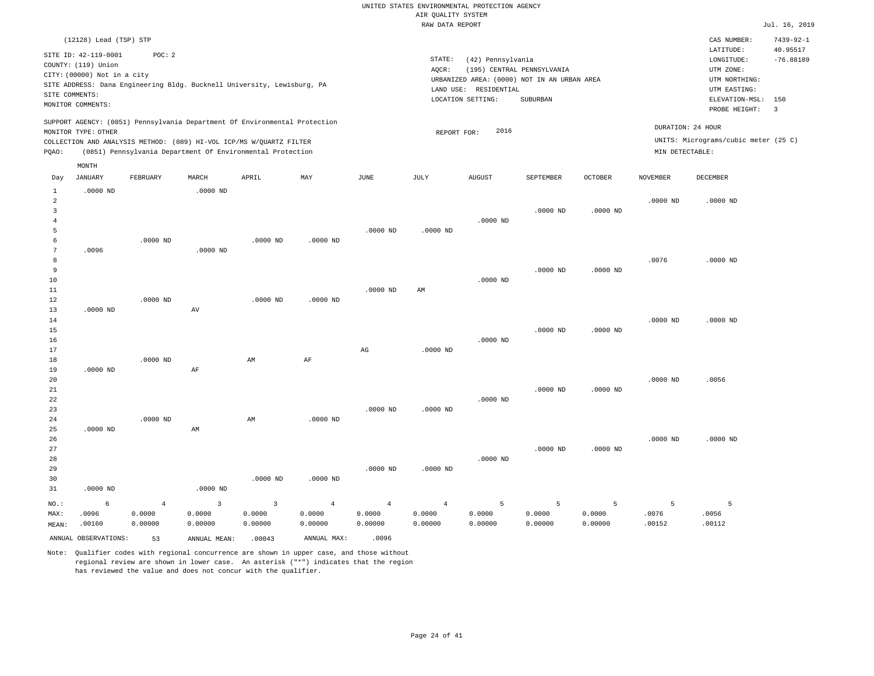|                                |                             |                |                    |                                                                                                                                   |                |                        | RAW DATA REPORT     |                                             |                            |                |                   |                                      | Jul. 16, 2019   |
|--------------------------------|-----------------------------|----------------|--------------------|-----------------------------------------------------------------------------------------------------------------------------------|----------------|------------------------|---------------------|---------------------------------------------|----------------------------|----------------|-------------------|--------------------------------------|-----------------|
|                                | (12128) Lead (TSP) STP      |                |                    |                                                                                                                                   |                |                        |                     |                                             |                            |                |                   | CAS NUMBER:                          | $7439 - 92 - 1$ |
|                                | SITE ID: 42-119-0001        | POC: 2         |                    |                                                                                                                                   |                |                        |                     |                                             |                            |                |                   | LATITUDE:                            | 40.95517        |
|                                | COUNTY: (119) Union         |                |                    |                                                                                                                                   |                |                        | $\texttt{STATE}{}:$ | (42) Pennsylvania                           |                            |                |                   | LONGITUDE:                           | $-76.88189$     |
|                                |                             |                |                    |                                                                                                                                   |                |                        | AQCR:               |                                             | (195) CENTRAL PENNSYLVANIA |                |                   | UTM ZONE:                            |                 |
|                                | CITY: (00000) Not in a city |                |                    |                                                                                                                                   |                |                        |                     | URBANIZED AREA: (0000) NOT IN AN URBAN AREA |                            |                |                   | UTM NORTHING:                        |                 |
| SITE COMMENTS:                 |                             |                |                    | SITE ADDRESS: Dana Engineering Bldg. Bucknell University, Lewisburg, PA                                                           |                |                        |                     | LAND USE: RESIDENTIAL                       |                            |                |                   | UTM EASTING:                         |                 |
|                                | MONITOR COMMENTS:           |                |                    |                                                                                                                                   |                |                        |                     | LOCATION SETTING:                           | SUBURBAN                   |                |                   | ELEVATION-MSL: 150                   |                 |
|                                |                             |                |                    |                                                                                                                                   |                |                        |                     |                                             |                            |                |                   | PROBE HEIGHT:                        | $\overline{3}$  |
|                                |                             |                |                    | SUPPORT AGENCY: (0851) Pennsylvania Department Of Environmental Protection                                                        |                |                        |                     |                                             |                            |                | DURATION: 24 HOUR |                                      |                 |
|                                | MONITOR TYPE: OTHER         |                |                    |                                                                                                                                   |                |                        | REPORT FOR:         | 2016                                        |                            |                |                   |                                      |                 |
| PQAO:                          |                             |                |                    | COLLECTION AND ANALYSIS METHOD: (089) HI-VOL ICP/MS W/QUARTZ FILTER<br>(0851) Pennsylvania Department Of Environmental Protection |                |                        |                     |                                             |                            |                | MIN DETECTABLE:   | UNITS: Micrograms/cubic meter (25 C) |                 |
|                                |                             |                |                    |                                                                                                                                   |                |                        |                     |                                             |                            |                |                   |                                      |                 |
|                                | MONTH                       |                |                    |                                                                                                                                   |                |                        |                     |                                             |                            |                |                   |                                      |                 |
| Day                            | <b>JANUARY</b>              | FEBRUARY       | MARCH              | APRIL                                                                                                                             | MAY            | JUNE                   | <b>JULY</b>         | <b>AUGUST</b>                               | SEPTEMBER                  | <b>OCTOBER</b> | <b>NOVEMBER</b>   | DECEMBER                             |                 |
| $\mathbf{1}$<br>$\overline{a}$ | $.0000$ ND                  |                | $.0000$ ND         |                                                                                                                                   |                |                        |                     |                                             |                            |                | $.0000$ ND        | $.0000$ ND                           |                 |
| 3                              |                             |                |                    |                                                                                                                                   |                |                        |                     |                                             | $.0000$ ND                 | $.0000$ ND     |                   |                                      |                 |
| $\overline{4}$                 |                             |                |                    |                                                                                                                                   |                |                        |                     | $.0000$ ND                                  |                            |                |                   |                                      |                 |
| 5                              |                             |                |                    |                                                                                                                                   |                | $.0000$ ND             | $.0000$ ND          |                                             |                            |                |                   |                                      |                 |
| 6                              |                             | $.0000$ ND     |                    | $.0000$ ND                                                                                                                        | $.0000$ ND     |                        |                     |                                             |                            |                |                   |                                      |                 |
| 7                              | .0096                       |                | $.0000$ ND         |                                                                                                                                   |                |                        |                     |                                             |                            |                |                   |                                      |                 |
| 8                              |                             |                |                    |                                                                                                                                   |                |                        |                     |                                             |                            |                | .0076             | $.0000$ ND                           |                 |
| 9                              |                             |                |                    |                                                                                                                                   |                |                        |                     |                                             | $.0000$ ND                 | $.0000$ ND     |                   |                                      |                 |
| 10                             |                             |                |                    |                                                                                                                                   |                |                        |                     | $.0000$ ND                                  |                            |                |                   |                                      |                 |
| 11                             |                             |                |                    |                                                                                                                                   |                | $.0000$ ND             | AM                  |                                             |                            |                |                   |                                      |                 |
| 12                             |                             | $.0000$ ND     |                    | $.0000$ ND                                                                                                                        | $.0000$ ND     |                        |                     |                                             |                            |                |                   |                                      |                 |
| 13                             | $.0000$ ND                  |                | AV                 |                                                                                                                                   |                |                        |                     |                                             |                            |                |                   |                                      |                 |
| 14                             |                             |                |                    |                                                                                                                                   |                |                        |                     |                                             |                            |                | $.0000$ ND        | $.0000$ ND                           |                 |
| 15                             |                             |                |                    |                                                                                                                                   |                |                        |                     |                                             | $.0000$ ND                 | $.0000$ ND     |                   |                                      |                 |
| 16                             |                             |                |                    |                                                                                                                                   |                |                        |                     | $.0000$ ND                                  |                            |                |                   |                                      |                 |
| 17                             |                             |                |                    |                                                                                                                                   |                | $\mathbb{A}\mathbb{G}$ | $.0000$ ND          |                                             |                            |                |                   |                                      |                 |
| 18                             |                             | $.0000$ ND     |                    | AM                                                                                                                                | AF             |                        |                     |                                             |                            |                |                   |                                      |                 |
| 19                             | $.0000$ ND                  |                | $\rm AF$           |                                                                                                                                   |                |                        |                     |                                             |                            |                |                   |                                      |                 |
| 20                             |                             |                |                    |                                                                                                                                   |                |                        |                     |                                             |                            |                | $.0000$ ND        | .0056                                |                 |
| 21                             |                             |                |                    |                                                                                                                                   |                |                        |                     |                                             | $.0000$ ND                 | $.0000$ ND     |                   |                                      |                 |
| 22                             |                             |                |                    |                                                                                                                                   |                |                        |                     | $.0000$ ND                                  |                            |                |                   |                                      |                 |
| 23                             |                             |                |                    |                                                                                                                                   |                | $.0000$ ND             | .0000 ND            |                                             |                            |                |                   |                                      |                 |
| 24                             |                             | $.0000$ ND     |                    | AM                                                                                                                                | $.0000$ ND     |                        |                     |                                             |                            |                |                   |                                      |                 |
| 25                             | $.0000$ ND                  |                | AM                 |                                                                                                                                   |                |                        |                     |                                             |                            |                |                   |                                      |                 |
| 26                             |                             |                |                    |                                                                                                                                   |                |                        |                     |                                             |                            |                | $.0000$ ND        | $.0000$ ND                           |                 |
| 27                             |                             |                |                    |                                                                                                                                   |                |                        |                     |                                             | $.0000$ ND                 | $.0000$ ND     |                   |                                      |                 |
| 28                             |                             |                |                    |                                                                                                                                   |                |                        |                     | $.0000$ ND                                  |                            |                |                   |                                      |                 |
| 29                             |                             |                |                    |                                                                                                                                   |                | $.0000$ ND             | $.0000$ ND          |                                             |                            |                |                   |                                      |                 |
| 30                             |                             |                |                    | $.0000$ ND                                                                                                                        | $.0000$ ND     |                        |                     |                                             |                            |                |                   |                                      |                 |
| 31                             | $.0000$ ND                  |                | $.0000$ ND         |                                                                                                                                   |                |                        |                     |                                             |                            |                |                   |                                      |                 |
| NO.:                           | 6                           | $\overline{4}$ | $\overline{3}$     | $\overline{3}$                                                                                                                    | $\overline{4}$ | $\overline{4}$         | $\overline{4}$      | 5                                           | - 5                        | 5              | 5                 | 5                                    |                 |
| MAX:                           | .0096                       | 0.0000         | 0.0000             | 0.0000                                                                                                                            | 0.0000         | 0.0000                 | 0.0000              | 0.0000                                      | 0.0000                     | 0.0000         | .0076             | .0056                                |                 |
| MEAN:                          | .00160                      | 0.00000        | 0.00000            | 0.00000                                                                                                                           | 0.00000        | 0.00000                | 0.00000             | 0.00000                                     | 0.00000                    | 0.00000        | .00152            | .00112                               |                 |
|                                | ANNUAL OBSERVATIONS:        | 53             | ANNUAL MEAN: 00043 |                                                                                                                                   | ANNUAL MAX:    | .0096                  |                     |                                             |                            |                |                   |                                      |                 |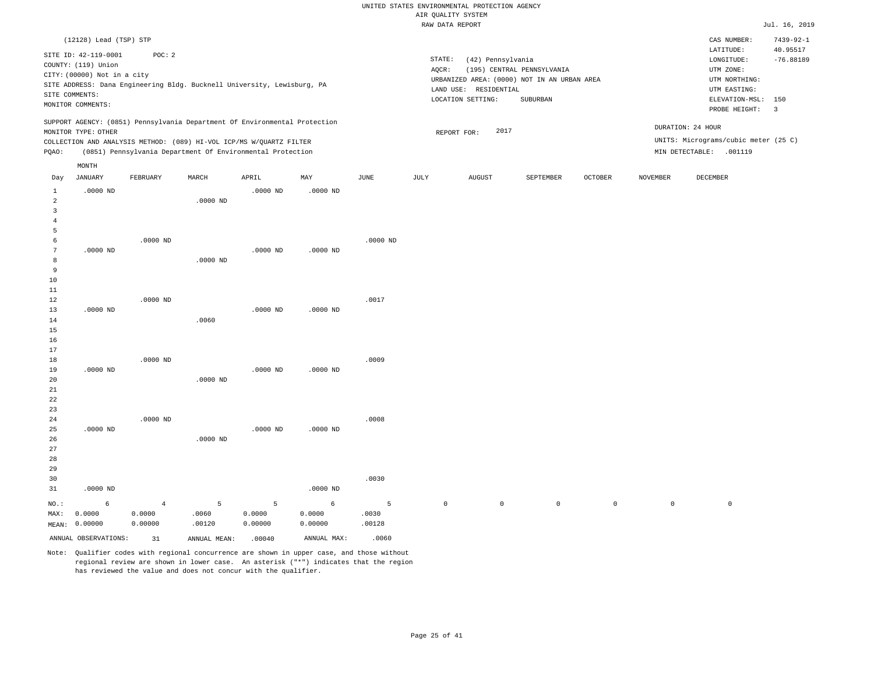|                         |                             |                                                                            |            |            |            |               |             | RAW DATA REPORT       |                                             |         |                     |                                      | Jul. 16, 2019   |
|-------------------------|-----------------------------|----------------------------------------------------------------------------|------------|------------|------------|---------------|-------------|-----------------------|---------------------------------------------|---------|---------------------|--------------------------------------|-----------------|
|                         | (12128) Lead (TSP) STP      |                                                                            |            |            |            |               |             |                       |                                             |         |                     | CAS NUMBER:                          | $7439 - 92 - 1$ |
|                         |                             |                                                                            |            |            |            |               |             |                       |                                             |         |                     | LATITUDE:                            | 40.95517        |
|                         | SITE ID: 42-119-0001        | POC: 2                                                                     |            |            |            |               | STATE:      | (42) Pennsylvania     |                                             |         |                     | LONGITUDE:                           | $-76.88189$     |
|                         | COUNTY: (119) Union         |                                                                            |            |            |            |               | AQCR:       |                       | (195) CENTRAL PENNSYLVANIA                  |         |                     | UTM ZONE:                            |                 |
|                         | CITY: (00000) Not in a city |                                                                            |            |            |            |               |             |                       | URBANIZED AREA: (0000) NOT IN AN URBAN AREA |         |                     | UTM NORTHING:                        |                 |
|                         |                             | SITE ADDRESS: Dana Engineering Bldg. Bucknell University, Lewisburg, PA    |            |            |            |               |             | LAND USE: RESIDENTIAL |                                             |         |                     | UTM EASTING:                         |                 |
|                         | SITE COMMENTS:              |                                                                            |            |            |            |               |             | LOCATION SETTING:     | SUBURBAN                                    |         |                     | ELEVATION-MSL:                       | 150             |
|                         | MONITOR COMMENTS:           |                                                                            |            |            |            |               |             |                       |                                             |         |                     | PROBE HEIGHT:                        | $\overline{3}$  |
|                         |                             | SUPPORT AGENCY: (0851) Pennsylvania Department Of Environmental Protection |            |            |            |               |             |                       |                                             |         |                     |                                      |                 |
|                         | MONITOR TYPE: OTHER         |                                                                            |            |            |            |               |             | 2017<br>REPORT FOR:   |                                             |         |                     | DURATION: 24 HOUR                    |                 |
|                         |                             | COLLECTION AND ANALYSIS METHOD: (089) HI-VOL ICP/MS W/QUARTZ FILTER        |            |            |            |               |             |                       |                                             |         |                     | UNITS: Micrograms/cubic meter (25 C) |                 |
| PQAO:                   |                             | (0851) Pennsylvania Department Of Environmental Protection                 |            |            |            |               |             |                       |                                             |         |                     | MIN DETECTABLE: .001119              |                 |
|                         | MONTH                       |                                                                            |            |            |            |               |             |                       |                                             |         |                     |                                      |                 |
| Day                     | <b>JANUARY</b>              | FEBRUARY                                                                   | MARCH      | APRIL      | MAY        | $_{\rm JUNE}$ | JULY        | <b>AUGUST</b>         | SEPTEMBER                                   | OCTOBER | <b>NOVEMBER</b>     | <b>DECEMBER</b>                      |                 |
| $\mathbf{1}$            | $.0000$ ND                  |                                                                            |            | $.0000$ ND | $.0000$ ND |               |             |                       |                                             |         |                     |                                      |                 |
| $\overline{\mathbf{c}}$ |                             |                                                                            | $.0000$ ND |            |            |               |             |                       |                                             |         |                     |                                      |                 |
| 3                       |                             |                                                                            |            |            |            |               |             |                       |                                             |         |                     |                                      |                 |
| 4                       |                             |                                                                            |            |            |            |               |             |                       |                                             |         |                     |                                      |                 |
| 5                       |                             |                                                                            |            |            |            |               |             |                       |                                             |         |                     |                                      |                 |
| 6                       |                             | $.0000$ ND                                                                 |            |            |            | $.0000$ ND    |             |                       |                                             |         |                     |                                      |                 |
| $7\phantom{.0}$         | $.0000$ ND                  |                                                                            |            | $.0000$ ND | $.0000$ ND |               |             |                       |                                             |         |                     |                                      |                 |
| 8                       |                             |                                                                            | $.0000$ ND |            |            |               |             |                       |                                             |         |                     |                                      |                 |
| 9                       |                             |                                                                            |            |            |            |               |             |                       |                                             |         |                     |                                      |                 |
| 10                      |                             |                                                                            |            |            |            |               |             |                       |                                             |         |                     |                                      |                 |
| 11                      |                             |                                                                            |            |            |            |               |             |                       |                                             |         |                     |                                      |                 |
| 12                      |                             | $.0000$ ND                                                                 |            |            |            | .0017         |             |                       |                                             |         |                     |                                      |                 |
| 13                      | $.0000$ ND                  |                                                                            |            | $.0000$ ND | $.0000$ ND |               |             |                       |                                             |         |                     |                                      |                 |
| 14                      |                             |                                                                            | .0060      |            |            |               |             |                       |                                             |         |                     |                                      |                 |
| 15                      |                             |                                                                            |            |            |            |               |             |                       |                                             |         |                     |                                      |                 |
| 16                      |                             |                                                                            |            |            |            |               |             |                       |                                             |         |                     |                                      |                 |
| 17                      |                             |                                                                            |            |            |            |               |             |                       |                                             |         |                     |                                      |                 |
| 18                      |                             | $.0000$ ND                                                                 |            |            |            | .0009         |             |                       |                                             |         |                     |                                      |                 |
| 19                      | $.0000$ ND                  |                                                                            |            | $.0000$ ND | $.0000$ ND |               |             |                       |                                             |         |                     |                                      |                 |
| 20                      |                             |                                                                            | $.0000$ ND |            |            |               |             |                       |                                             |         |                     |                                      |                 |
| 21                      |                             |                                                                            |            |            |            |               |             |                       |                                             |         |                     |                                      |                 |
| 22                      |                             |                                                                            |            |            |            |               |             |                       |                                             |         |                     |                                      |                 |
| 23                      |                             |                                                                            |            |            |            |               |             |                       |                                             |         |                     |                                      |                 |
| 24                      |                             | $.0000$ ND                                                                 |            |            |            | .0008         |             |                       |                                             |         |                     |                                      |                 |
| 25                      | $.0000$ ND                  |                                                                            |            | $.0000$ ND | $.0000$ ND |               |             |                       |                                             |         |                     |                                      |                 |
| 26                      |                             |                                                                            | $.0000$ ND |            |            |               |             |                       |                                             |         |                     |                                      |                 |
| 27                      |                             |                                                                            |            |            |            |               |             |                       |                                             |         |                     |                                      |                 |
| 28                      |                             |                                                                            |            |            |            |               |             |                       |                                             |         |                     |                                      |                 |
|                         |                             |                                                                            |            |            |            |               |             |                       |                                             |         |                     |                                      |                 |
| 29                      |                             |                                                                            |            |            |            |               |             |                       |                                             |         |                     |                                      |                 |
| 30                      |                             |                                                                            |            |            |            | .0030         |             |                       |                                             |         |                     |                                      |                 |
| 31                      | $.0000$ ND                  |                                                                            |            |            | $.0000$ ND |               |             |                       |                                             |         |                     |                                      |                 |
| NO.:                    | 6                           | $\overline{4}$                                                             | 5          | 5          | 6          | 5             | $\mathbb O$ | $\mathsf{O}$          | $\mathsf{O}$                                | $\circ$ | $\mathsf{O}\xspace$ | $\mathbb O$                          |                 |
| MAX:                    | 0.0000                      | 0.0000                                                                     | .0060      | 0.0000     | 0.0000     | .0030         |             |                       |                                             |         |                     |                                      |                 |
|                         | MEAN: 0.00000               | 0.00000                                                                    | .00120     | 0.00000    | 0.00000    | .00128        |             |                       |                                             |         |                     |                                      |                 |

ANNUAL OBSERVATIONS: 31 ANNUAL MEAN: .00040 ANNUAL MAX: .0060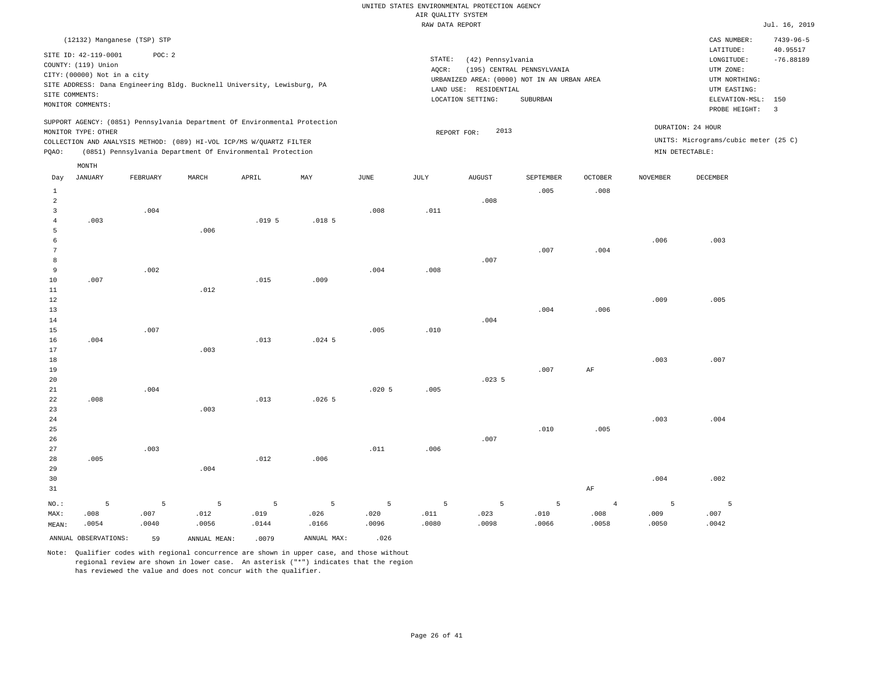|                |                             | (12132) Manganese (TSP) STP |       |                                                                            |     |      |        |                                             |                   |                    |                 | CAS NUMBER:                          | $7439 - 96 - 5$ |  |  |
|----------------|-----------------------------|-----------------------------|-------|----------------------------------------------------------------------------|-----|------|--------|---------------------------------------------|-------------------|--------------------|-----------------|--------------------------------------|-----------------|--|--|
|                | SITE ID: 42-119-0001        | POC:2                       |       |                                                                            |     |      |        |                                             |                   |                    |                 | LATITUDE:                            | 40.95517        |  |  |
|                |                             |                             |       |                                                                            |     |      | STATE: | (42) Pennsylvania                           |                   |                    |                 | LONGITUDE:                           | $-76.88189$     |  |  |
|                | COUNTY: (119) Union         |                             |       |                                                                            |     |      | AOCR:  | (195) CENTRAL PENNSYLVANIA                  |                   |                    | UTM ZONE:       |                                      |                 |  |  |
|                | CITY: (00000) Not in a city |                             |       |                                                                            |     |      |        | URBANIZED AREA: (0000) NOT IN AN URBAN AREA |                   |                    |                 | UTM NORTHING:                        |                 |  |  |
|                |                             |                             |       | SITE ADDRESS: Dana Engineering Bldg. Bucknell University, Lewisburg, PA    |     |      |        | RESIDENTIAL<br>LAND USE:                    |                   | UTM EASTING:       |                 |                                      |                 |  |  |
| SITE COMMENTS: | MONITOR COMMENTS:           |                             |       |                                                                            |     |      |        | LOCATION SETTING:                           |                   | ELEVATION-MSL: 150 |                 |                                      |                 |  |  |
|                |                             |                             |       |                                                                            |     |      |        |                                             |                   |                    | -3              |                                      |                 |  |  |
|                |                             |                             |       | SUPPORT AGENCY: (0851) Pennsylvania Department Of Environmental Protection |     |      |        |                                             |                   |                    |                 |                                      |                 |  |  |
|                | MONITOR TYPE: OTHER         |                             |       |                                                                            |     |      |        | 2013<br>REPORT FOR:                         | DURATION: 24 HOUR |                    |                 |                                      |                 |  |  |
|                |                             |                             |       | COLLECTION AND ANALYSIS METHOD: (089) HI-VOL ICP/MS W/QUARTZ FILTER        |     |      |        |                                             |                   |                    |                 | UNITS: Micrograms/cubic meter (25 C) |                 |  |  |
| POAO:          |                             |                             |       | (0851) Pennsylvania Department Of Environmental Protection                 |     |      |        |                                             |                   |                    | MIN DETECTABLE: |                                      |                 |  |  |
|                | MONTH                       |                             |       |                                                                            |     |      |        |                                             |                   |                    |                 |                                      |                 |  |  |
| Day            | JANUARY                     | FEBRUARY                    | MARCH | APRIL                                                                      | MAY | JUNE | JULY   | AUGUST                                      | SEPTEMBER         | <b>OCTOBER</b>     | NOVEMBER        | DECEMBER                             |                 |  |  |

| $\mathbf{1}$   |       |             |                |       |                   |       |       |             | .005        | .008           |       |                |
|----------------|-------|-------------|----------------|-------|-------------------|-------|-------|-------------|-------------|----------------|-------|----------------|
| $\sqrt{2}$     |       |             |                |       |                   |       |       | .008        |             |                |       |                |
| 3              |       | .004        |                |       |                   | .008  | .011  |             |             |                |       |                |
| $\overline{4}$ | .003  |             |                | .0195 | .018 <sub>5</sub> |       |       |             |             |                |       |                |
| 5              |       |             | .006           |       |                   |       |       |             |             |                |       |                |
| 6              |       |             |                |       |                   |       |       |             |             |                | .006  | .003           |
| 7              |       |             |                |       |                   |       |       |             | .007        | .004           |       |                |
| 8              |       |             |                |       |                   |       |       | .007        |             |                |       |                |
| 9              |       | .002        |                |       |                   | .004  | .008  |             |             |                |       |                |
| $10$           | .007  |             |                | .015  | .009              |       |       |             |             |                |       |                |
| 11             |       |             | .012           |       |                   |       |       |             |             |                |       |                |
| 12             |       |             |                |       |                   |       |       |             |             |                | .009  | .005           |
| 13             |       |             |                |       |                   |       |       |             | .004        | .006           |       |                |
| $14\,$         |       |             |                |       |                   |       |       | .004        |             |                |       |                |
| 15             |       | .007        |                |       |                   | .005  | .010  |             |             |                |       |                |
| 16             | .004  |             |                | .013  | $.024$ 5          |       |       |             |             |                |       |                |
| 17             |       |             | .003           |       |                   |       |       |             |             |                |       |                |
| 18             |       |             |                |       |                   |       |       |             |             |                | .003  | .007           |
| 19             |       |             |                |       |                   |       |       |             | .007        | $\rm{AF}$      |       |                |
| 20             |       |             |                |       |                   |       |       | .0235       |             |                |       |                |
| 21             |       | .004        |                |       |                   | .0205 | .005  |             |             |                |       |                |
| 22             | .008  |             |                | .013  | .0265             |       |       |             |             |                |       |                |
| 23             |       |             | .003           |       |                   |       |       |             |             |                |       |                |
| 24             |       |             |                |       |                   |       |       |             |             |                | .003  | .004           |
| $25\,$         |       |             |                |       |                   |       |       |             | .010        | .005           |       |                |
| $26\,$         |       |             |                |       |                   |       |       | .007        |             |                |       |                |
| 27             |       | .003        |                |       |                   | .011  | .006  |             |             |                |       |                |
| 28             | .005  |             |                | .012  | .006              |       |       |             |             |                |       |                |
| 29             |       |             | .004           |       |                   |       |       |             |             |                |       |                |
| 30             |       |             |                |       |                   |       |       |             |             |                | .004  | .002           |
| 31             |       |             |                |       |                   |       |       |             |             | $\rm{AF}$      |       |                |
| $NO.$ :        | 5     | $\mathsf S$ | $\overline{5}$ | 5     | 5                 | 5     | 5     | $\mathsf S$ | $\mathsf S$ | $\overline{4}$ | 5     | $\overline{5}$ |
| MAX:           | .008  | .007        | .012           | .019  | .026              | .020  | .011  | .023        | .010        | .008           | .009  | .007           |
| MEAN:          | .0054 | .0040       | .0056          | .0144 | .0166             | .0096 | .0080 | .0098       | .0066       | .0058          | .0050 | .0042          |

ANNUAL OBSERVATIONS: 59 ANNUAL MEAN: .0079 ANNUAL MAX: .026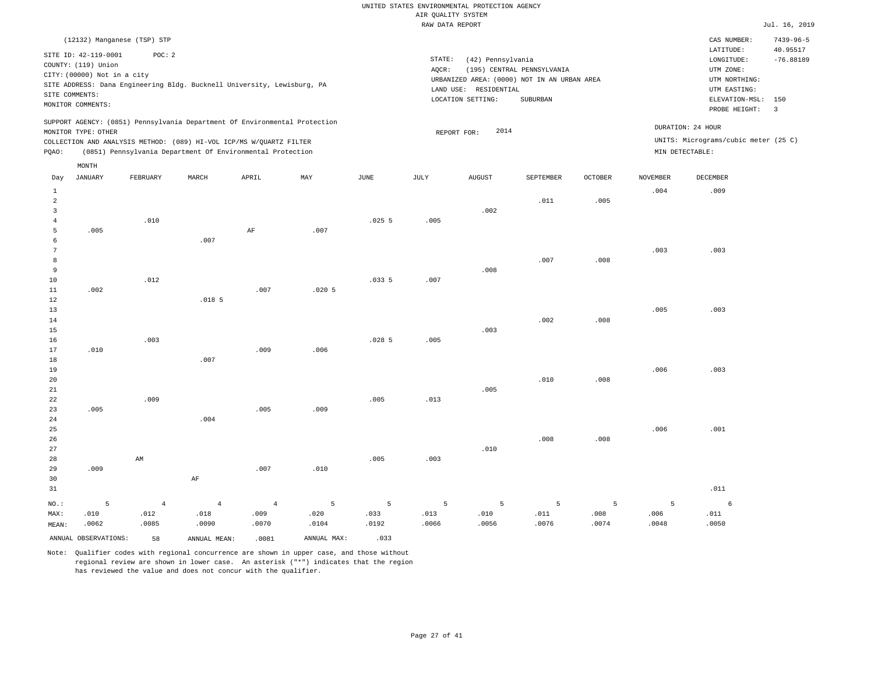|                 |                             |                             |                   |                                                                            |       |       | RAW DATA REPORT |                       |                                             |                |                 |                                      | Jul. 16, 2019   |
|-----------------|-----------------------------|-----------------------------|-------------------|----------------------------------------------------------------------------|-------|-------|-----------------|-----------------------|---------------------------------------------|----------------|-----------------|--------------------------------------|-----------------|
|                 |                             | (12132) Manganese (TSP) STP |                   |                                                                            |       |       |                 |                       |                                             |                |                 | CAS NUMBER:                          | $7439 - 96 - 5$ |
|                 | SITE ID: 42-119-0001        | POC: 2                      |                   |                                                                            |       |       |                 |                       |                                             |                |                 | LATITUDE:                            | 40.95517        |
|                 | COUNTY: (119) Union         |                             |                   |                                                                            |       |       | STATE:          | (42) Pennsylvania     |                                             |                |                 | LONGITUDE:                           | $-76.88189$     |
|                 | CITY: (00000) Not in a city |                             |                   |                                                                            |       |       | AQCR:           |                       | (195) CENTRAL PENNSYLVANIA                  |                |                 | UTM ZONE:                            |                 |
|                 |                             |                             |                   | SITE ADDRESS: Dana Engineering Bldg. Bucknell University, Lewisburg, PA    |       |       |                 |                       | URBANIZED AREA: (0000) NOT IN AN URBAN AREA |                |                 | UTM NORTHING:                        |                 |
|                 | SITE COMMENTS:              |                             |                   |                                                                            |       |       |                 | LAND USE: RESIDENTIAL |                                             |                |                 | UTM EASTING:                         |                 |
|                 | MONITOR COMMENTS:           |                             |                   |                                                                            |       |       |                 | LOCATION SETTING:     | SUBURBAN                                    |                |                 | ELEVATION-MSL:                       | 150             |
|                 |                             |                             |                   |                                                                            |       |       |                 |                       |                                             |                |                 | PROBE HEIGHT:                        | $\overline{3}$  |
|                 |                             |                             |                   | SUPPORT AGENCY: (0851) Pennsylvania Department Of Environmental Protection |       |       |                 | 2014                  |                                             |                |                 | DURATION: 24 HOUR                    |                 |
|                 | MONITOR TYPE: OTHER         |                             |                   | COLLECTION AND ANALYSIS METHOD: (089) HI-VOL ICP/MS W/QUARTZ FILTER        |       |       |                 | REPORT FOR:           |                                             |                |                 | UNITS: Micrograms/cubic meter (25 C) |                 |
| PQAO:           |                             |                             |                   | (0851) Pennsylvania Department Of Environmental Protection                 |       |       |                 |                       |                                             |                |                 | MIN DETECTABLE:                      |                 |
|                 |                             |                             |                   |                                                                            |       |       |                 |                       |                                             |                |                 |                                      |                 |
|                 | MONTH                       |                             |                   |                                                                            |       |       |                 |                       |                                             |                |                 |                                      |                 |
| Day             | JANUARY                     | FEBRUARY                    | MARCH             | APRIL                                                                      | MAY   | JUNE  | JULY            | <b>AUGUST</b>         | SEPTEMBER                                   | <b>OCTOBER</b> | <b>NOVEMBER</b> | DECEMBER                             |                 |
| $\mathbf{1}$    |                             |                             |                   |                                                                            |       |       |                 |                       |                                             |                | .004            | .009                                 |                 |
| $\overline{a}$  |                             |                             |                   |                                                                            |       |       |                 |                       | .011                                        | .005           |                 |                                      |                 |
| 3               |                             |                             |                   |                                                                            |       |       |                 | .002                  |                                             |                |                 |                                      |                 |
| $\overline{4}$  |                             | .010                        |                   |                                                                            |       | .0255 | .005            |                       |                                             |                |                 |                                      |                 |
| 5               | .005                        |                             |                   | $\rm AF$                                                                   | .007  |       |                 |                       |                                             |                |                 |                                      |                 |
| 6               |                             |                             | .007              |                                                                            |       |       |                 |                       |                                             |                |                 |                                      |                 |
| $7\phantom{.0}$ |                             |                             |                   |                                                                            |       |       |                 |                       |                                             |                | .003            | .003                                 |                 |
| 8               |                             |                             |                   |                                                                            |       |       |                 |                       | .007                                        | .008           |                 |                                      |                 |
| 9               |                             |                             |                   |                                                                            |       | .0335 |                 | .008                  |                                             |                |                 |                                      |                 |
| 10<br>11        | .002                        | .012                        |                   | .007                                                                       | .0205 |       | .007            |                       |                                             |                |                 |                                      |                 |
| 12              |                             |                             | .018 <sub>5</sub> |                                                                            |       |       |                 |                       |                                             |                |                 |                                      |                 |
| 13              |                             |                             |                   |                                                                            |       |       |                 |                       |                                             |                | .005            | .003                                 |                 |
| 14              |                             |                             |                   |                                                                            |       |       |                 |                       | .002                                        | .008           |                 |                                      |                 |
| 15              |                             |                             |                   |                                                                            |       |       |                 | .003                  |                                             |                |                 |                                      |                 |
| 16              |                             | .003                        |                   |                                                                            |       | .0285 | .005            |                       |                                             |                |                 |                                      |                 |
| 17              | .010                        |                             |                   | .009                                                                       | .006  |       |                 |                       |                                             |                |                 |                                      |                 |
| 18              |                             |                             | .007              |                                                                            |       |       |                 |                       |                                             |                |                 |                                      |                 |
| 19              |                             |                             |                   |                                                                            |       |       |                 |                       |                                             |                | .006            | .003                                 |                 |
| 20              |                             |                             |                   |                                                                            |       |       |                 |                       | .010                                        | .008           |                 |                                      |                 |
| 21              |                             |                             |                   |                                                                            |       |       |                 | .005                  |                                             |                |                 |                                      |                 |
| 22              |                             | .009                        |                   |                                                                            |       | .005  | .013            |                       |                                             |                |                 |                                      |                 |
| 23              | .005                        |                             |                   | .005                                                                       | .009  |       |                 |                       |                                             |                |                 |                                      |                 |
| 24              |                             |                             | .004              |                                                                            |       |       |                 |                       |                                             |                |                 |                                      |                 |
| 25              |                             |                             |                   |                                                                            |       |       |                 |                       |                                             |                | .006            | .001                                 |                 |
| 26              |                             |                             |                   |                                                                            |       |       |                 |                       | .008                                        | .008           |                 |                                      |                 |
| 27              |                             |                             |                   |                                                                            |       |       |                 | .010                  |                                             |                |                 |                                      |                 |
| 28              |                             | AM                          |                   |                                                                            |       | .005  | .003            |                       |                                             |                |                 |                                      |                 |
| 29<br>30        | .009                        |                             | $\rm{AF}$         | .007                                                                       | .010  |       |                 |                       |                                             |                |                 |                                      |                 |
| 31              |                             |                             |                   |                                                                            |       |       |                 |                       |                                             |                |                 | .011                                 |                 |
|                 |                             |                             |                   |                                                                            |       |       |                 |                       |                                             |                |                 |                                      |                 |
| $NO.$ :         | 5                           | $\,4$                       | $\overline{4}$    | $\overline{4}$                                                             | 5     | 5     | 5               | 5                     | 5                                           | 5              | $\overline{5}$  | 6                                    |                 |
| MAX:            | .010                        | .012                        | .018              | .009                                                                       | .020  | .033  | .013            | .010                  | .011                                        | .008           | .006            | .011                                 |                 |
| MEAN:           | .0062                       | .0085                       | .0090             | .0070                                                                      | .0104 | .0192 | .0066           | .0056                 | .0076                                       | .0074          | .0048           | .0050                                |                 |

ANNUAL OBSERVATIONS: 58 ANNUAL MEAN: .0081 ANNUAL MAX: .033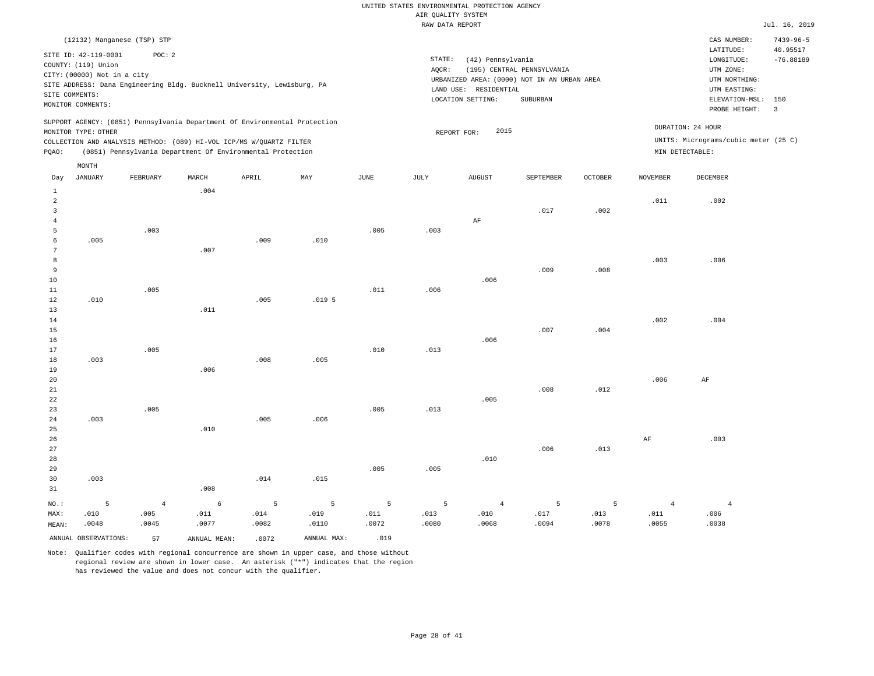| (12132) Manganese (TSP) STP                                                                                                                                                                                                                     |                                                                                                                                                                             | CAS NUMBER:                                                                                                  | $7439 - 96 - 5$         |
|-------------------------------------------------------------------------------------------------------------------------------------------------------------------------------------------------------------------------------------------------|-----------------------------------------------------------------------------------------------------------------------------------------------------------------------------|--------------------------------------------------------------------------------------------------------------|-------------------------|
| POC: 2<br>SITE ID: 42-119-0001<br>COUNTY: (119) Union<br>CITY: (00000) Not in a city<br>SITE ADDRESS: Dana Engineering Bldg. Bucknell University, Lewisburg, PA<br>SITE COMMENTS:<br>MONITOR COMMENTS:                                          | STATE:<br>(42) Pennsylvania<br>AOCR:<br>(195) CENTRAL PENNSYLVANIA<br>URBANIZED AREA: (0000) NOT IN AN URBAN AREA<br>LAND USE: RESIDENTIAL<br>LOCATION SETTING:<br>SUBURBAN | LATITUDE:<br>LONGITUDE:<br>UTM ZONE:<br>UTM NORTHING:<br>UTM EASTING:<br>ELEVATION-MSL: 150<br>PROBE HEIGHT: | 40.95517<br>$-76.88189$ |
| SUPPORT AGENCY: (0851) Pennsylvania Department Of Environmental Protection<br>MONITOR TYPE: OTHER<br>COLLECTION AND ANALYSIS METHOD: (089) HI-VOL ICP/MS W/OUARTZ FILTER<br>(0851) Pennsylvania Department Of Environmental Protection<br>POAO: | DURATION: 24 HOUR<br>2015<br>REPORT FOR:<br>MIN DETECTABLE:                                                                                                                 | UNITS: Micrograms/cubic meter (25 C)                                                                         |                         |

|                | $\texttt{MONTH}$     |                |              |       |                   |               |                 |                |           |         |                |                |
|----------------|----------------------|----------------|--------------|-------|-------------------|---------------|-----------------|----------------|-----------|---------|----------------|----------------|
| Day            | JANUARY              | FEBRUARY       | $\tt MARCH$  | APRIL | MAY               | $_{\rm JUNE}$ | $\mathtt{JULY}$ | <b>AUGUST</b>  | SEPTEMBER | OCTOBER | NOVEMBER       | DECEMBER       |
| $\mathbf{1}$   |                      |                | .004         |       |                   |               |                 |                |           |         |                |                |
| $\overline{a}$ |                      |                |              |       |                   |               |                 |                |           |         | .011           | .002           |
| $\overline{3}$ |                      |                |              |       |                   |               |                 |                | .017      | .002    |                |                |
| $\overline{4}$ |                      |                |              |       |                   |               |                 | $\rm{AF}$      |           |         |                |                |
| -5             |                      | .003           |              |       |                   | .005          | .003            |                |           |         |                |                |
| 6              | .005                 |                |              | .009  | .010              |               |                 |                |           |         |                |                |
| 7              |                      |                | .007         |       |                   |               |                 |                |           |         |                |                |
| 8              |                      |                |              |       |                   |               |                 |                |           |         | .003           | .006           |
| 9              |                      |                |              |       |                   |               |                 |                | .009      | .008    |                |                |
| 10             |                      |                |              |       |                   |               |                 | .006           |           |         |                |                |
| 11             |                      | .005           |              |       |                   | .011          | .006            |                |           |         |                |                |
| 12             | .010                 |                |              | .005  | .019 <sub>5</sub> |               |                 |                |           |         |                |                |
| 13             |                      |                | .011         |       |                   |               |                 |                |           |         |                |                |
| 14             |                      |                |              |       |                   |               |                 |                |           |         | .002           | .004           |
| 15             |                      |                |              |       |                   |               |                 |                | .007      | .004    |                |                |
| 16             |                      |                |              |       |                   |               |                 | .006           |           |         |                |                |
| 17             |                      | .005           |              |       |                   | .010          | .013            |                |           |         |                |                |
| 18             | .003                 |                |              | .008  | .005              |               |                 |                |           |         |                |                |
| 19             |                      |                | .006         |       |                   |               |                 |                |           |         |                |                |
| 20             |                      |                |              |       |                   |               |                 |                |           |         | .006           | $\rm{AF}$      |
| 21             |                      |                |              |       |                   |               |                 |                | .008      | .012    |                |                |
| 22             |                      |                |              |       |                   |               |                 | .005           |           |         |                |                |
| 23             |                      | .005           |              |       |                   | .005          | .013            |                |           |         |                |                |
| 24             | .003                 |                |              | .005  | .006              |               |                 |                |           |         |                |                |
| 25             |                      |                | .010         |       |                   |               |                 |                |           |         |                |                |
| 26             |                      |                |              |       |                   |               |                 |                |           |         | $\rm{AF}$      | .003           |
| 27             |                      |                |              |       |                   |               |                 |                | .006      | .013    |                |                |
| 28             |                      |                |              |       |                   |               |                 | .010           |           |         |                |                |
| 29             |                      |                |              |       |                   | .005          | .005            |                |           |         |                |                |
| 30             | .003                 |                |              | .014  | .015              |               |                 |                |           |         |                |                |
| 31             |                      |                | .008         |       |                   |               |                 |                |           |         |                |                |
| $NO.$ :        | 5                    | $\overline{4}$ | $\epsilon$   | 5     | 5                 | 5             | $5\phantom{.0}$ | $\overline{4}$ | 5         | 5       | $\overline{4}$ | $\overline{4}$ |
| MAX:           | .010                 | .005           | .011         | .014  | .019              | .011          | .013            | .010           | .017      | .013    | .011           | .006           |
| MEAN:          | .0048                | .0045          | .0077        | .0082 | .0110             | .0072         | .0080           | .0068          | .0094     | .0078   | .0055          | .0038          |
|                | ANNUAL OBSERVATIONS: | 57             | ANNUAL MEAN: | .0072 | ANNUAL MAX:       | .019          |                 |                |           |         |                |                |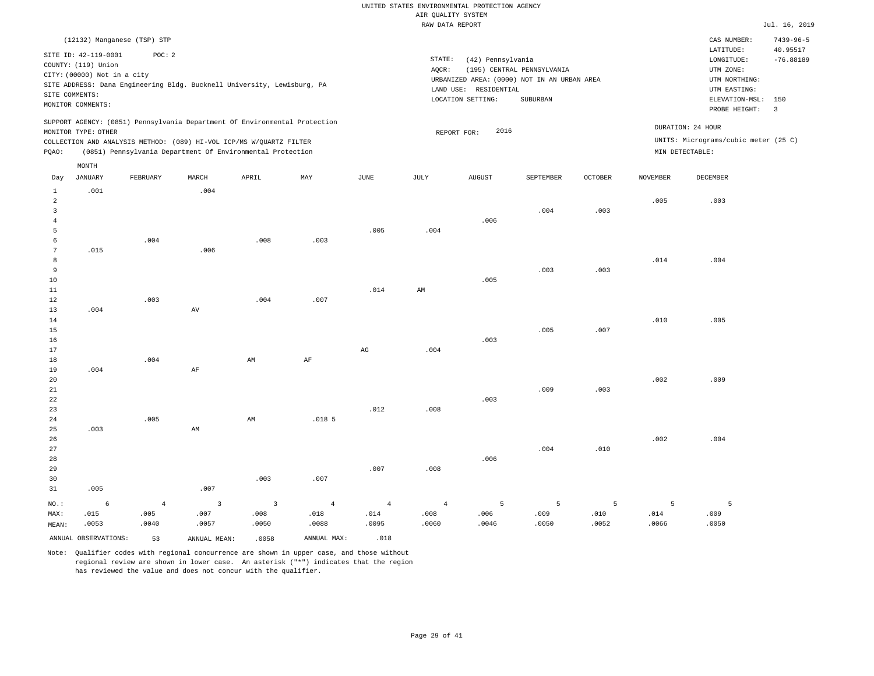|                                             | $7439 - 96 - 5$<br>CAS NUMBER:       |
|---------------------------------------------|--------------------------------------|
|                                             | 40.95517<br>LATITUDE:                |
|                                             | $-76.88189$<br>LONGITUDE:            |
| (195) CENTRAL PENNSYLVANIA<br>AOCR:         | UTM ZONE:                            |
| URBANIZED AREA: (0000) NOT IN AN URBAN AREA | UTM NORTHING:                        |
| RESIDENTIAL<br>LAND USE:                    | UTM EASTING:                         |
| LOCATION SETTING:<br>SUBURBAN               | ELEVATION-MSL: 150                   |
|                                             | PROBE HEIGHT:                        |
|                                             |                                      |
| 2016<br>REPORT FOR:                         | DURATION: 24 HOUR                    |
|                                             | UNITS: Micrograms/cubic meter (25 C) |
|                                             | MIN DETECTABLE:                      |
|                                             | STATE:<br>(42) Pennsylvania          |

|                | MONTH   |                |                         |                         |                   |                        |                 |                |                 |         |                 |          |
|----------------|---------|----------------|-------------------------|-------------------------|-------------------|------------------------|-----------------|----------------|-----------------|---------|-----------------|----------|
| Day            | JANUARY | FEBRUARY       | MARCH                   | APRIL                   | MAY               | $_{\rm JUNE}$          | $\mathtt{JULY}$ | ${\tt AUGUST}$ | SEPTEMBER       | OCTOBER | <b>NOVEMBER</b> | DECEMBER |
| $\mathbf{1}$   | .001    |                | .004                    |                         |                   |                        |                 |                |                 |         |                 |          |
| $\overline{a}$ |         |                |                         |                         |                   |                        |                 |                |                 |         | .005            | .003     |
| $\overline{3}$ |         |                |                         |                         |                   |                        |                 |                | .004            | .003    |                 |          |
| $\sqrt{4}$     |         |                |                         |                         |                   |                        |                 | .006           |                 |         |                 |          |
| 5              |         |                |                         |                         |                   | .005                   | .004            |                |                 |         |                 |          |
| 6              |         | .004           |                         | .008                    | .003              |                        |                 |                |                 |         |                 |          |
| 7              | .015    |                | .006                    |                         |                   |                        |                 |                |                 |         |                 |          |
| 8              |         |                |                         |                         |                   |                        |                 |                |                 |         | .014            | .004     |
| 9              |         |                |                         |                         |                   |                        |                 |                | .003            | .003    |                 |          |
| 10             |         |                |                         |                         |                   |                        |                 | .005           |                 |         |                 |          |
| 11             |         |                |                         |                         |                   | .014                   | AM              |                |                 |         |                 |          |
| 12             |         | .003           |                         | .004                    | .007              |                        |                 |                |                 |         |                 |          |
| 13             | .004    |                | $\,\mathrm{AV}$         |                         |                   |                        |                 |                |                 |         |                 |          |
| 14             |         |                |                         |                         |                   |                        |                 |                |                 |         | .010            | .005     |
| 15             |         |                |                         |                         |                   |                        |                 |                | .005            | .007    |                 |          |
| 16             |         |                |                         |                         |                   |                        |                 | .003           |                 |         |                 |          |
| 17             |         |                |                         |                         |                   | $\mathbb{A}\mathbb{G}$ | .004            |                |                 |         |                 |          |
| 18             |         | .004           |                         | AM                      | $\rm AF$          |                        |                 |                |                 |         |                 |          |
| 19             | .004    |                | $\rm AF$                |                         |                   |                        |                 |                |                 |         |                 |          |
| 20             |         |                |                         |                         |                   |                        |                 |                |                 |         | .002            | .009     |
| $2\sqrt{1}$    |         |                |                         |                         |                   |                        |                 |                | .009            | .003    |                 |          |
| 22             |         |                |                         |                         |                   |                        |                 | .003           |                 |         |                 |          |
| 23             |         | .005           |                         | AM                      | .018 <sub>5</sub> | .012                   | .008            |                |                 |         |                 |          |
| 24<br>25       | .003    |                | AM                      |                         |                   |                        |                 |                |                 |         |                 |          |
| 26             |         |                |                         |                         |                   |                        |                 |                |                 |         | .002            | .004     |
| 27             |         |                |                         |                         |                   |                        |                 |                | .004            | .010    |                 |          |
| 28             |         |                |                         |                         |                   |                        |                 | .006           |                 |         |                 |          |
| 29             |         |                |                         |                         |                   | .007                   | .008            |                |                 |         |                 |          |
| 30             |         |                |                         | .003                    | .007              |                        |                 |                |                 |         |                 |          |
| 31             | .005    |                | .007                    |                         |                   |                        |                 |                |                 |         |                 |          |
| $_{\rm NO.}$ : | 6       | $\overline{4}$ | $\overline{\mathbf{3}}$ | $\overline{\mathbf{3}}$ | $\overline{4}$    | $\overline{4}$         | $\overline{4}$  | 5              | $5\phantom{.0}$ | 5       | 5               | 5        |
| MAX:           | .015    | .005           | .007                    | .008                    | .018              | .014                   | .008            | .006           | .009            | .010    | .014            | .009     |
| MEAN:          | .0053   | .0040          | .0057                   | .0050                   | .0088             | .0095                  | .0060           | .0046          | .0050           | .0052   | .0066           | .0050    |

Note: Qualifier codes with regional concurrence are shown in upper case, and those without regional review are shown in lower case. An asterisk ("\*") indicates that the region

ANNUAL OBSERVATIONS: 53 ANNUAL MEAN: .0058 ANNUAL MAX: .018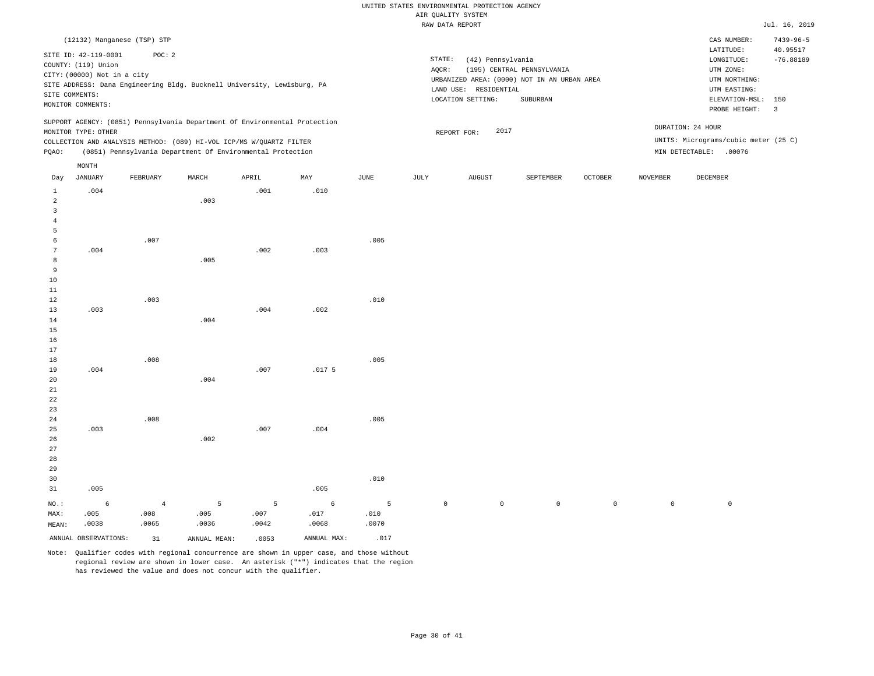|                                            |                                                                                                                   |                             |       |                                                                                                                                   |                   |             |                 | RAW DATA REPORT                                                                                                |                                        |                |                 |                                                                                             | Jul. 16, 2019                                 |
|--------------------------------------------|-------------------------------------------------------------------------------------------------------------------|-----------------------------|-------|-----------------------------------------------------------------------------------------------------------------------------------|-------------------|-------------|-----------------|----------------------------------------------------------------------------------------------------------------|----------------------------------------|----------------|-----------------|---------------------------------------------------------------------------------------------|-----------------------------------------------|
|                                            |                                                                                                                   | (12132) Manganese (TSP) STP |       |                                                                                                                                   |                   |             |                 |                                                                                                                |                                        |                |                 | CAS NUMBER:<br>LATITUDE:                                                                    | $7439 - 96 - 5$<br>40.95517                   |
|                                            | SITE ID: 42-119-0001<br>COUNTY: (119) Union<br>CITY: (00000) Not in a city<br>SITE COMMENTS:<br>MONITOR COMMENTS: | POC: 2                      |       | SITE ADDRESS: Dana Engineering Bldg. Bucknell University, Lewisburg, PA                                                           |                   |             | STATE:<br>AQCR: | (42) Pennsylvania<br>URBANIZED AREA: (0000) NOT IN AN URBAN AREA<br>LAND USE: RESIDENTIAL<br>LOCATION SETTING: | (195) CENTRAL PENNSYLVANIA<br>SUBURBAN |                |                 | LONGITUDE:<br>UTM ZONE:<br>UTM NORTHING:<br>UTM EASTING:<br>ELEVATION-MSL:<br>PROBE HEIGHT: | $-76.88189$<br>150<br>$\overline{\mathbf{3}}$ |
|                                            | MONITOR TYPE: OTHER                                                                                               |                             |       | SUPPORT AGENCY: (0851) Pennsylvania Department Of Environmental Protection                                                        |                   |             |                 | 2017<br>REPORT FOR:                                                                                            |                                        |                |                 | DURATION: 24 HOUR                                                                           |                                               |
| PQAO:                                      |                                                                                                                   |                             |       | COLLECTION AND ANALYSIS METHOD: (089) HI-VOL ICP/MS W/QUARTZ FILTER<br>(0851) Pennsylvania Department Of Environmental Protection |                   |             |                 |                                                                                                                |                                        |                |                 | UNITS: Micrograms/cubic meter (25 C)<br>MIN DETECTABLE: .00076                              |                                               |
|                                            | MONTH                                                                                                             |                             |       |                                                                                                                                   |                   |             |                 |                                                                                                                |                                        |                |                 |                                                                                             |                                               |
| Day                                        | <b>JANUARY</b>                                                                                                    | FEBRUARY                    | MARCH | APRIL                                                                                                                             | MAY               | <b>JUNE</b> | JULY            | <b>AUGUST</b>                                                                                                  | SEPTEMBER                              | <b>OCTOBER</b> | <b>NOVEMBER</b> | DECEMBER                                                                                    |                                               |
| 1<br>$\overline{a}$<br>3<br>$\overline{4}$ | .004                                                                                                              |                             | .003  | .001                                                                                                                              | .010              |             |                 |                                                                                                                |                                        |                |                 |                                                                                             |                                               |
| -5<br>6<br>7                               | .004                                                                                                              | .007                        |       | .002                                                                                                                              | .003              | .005        |                 |                                                                                                                |                                        |                |                 |                                                                                             |                                               |
| 8<br>9<br>10<br>11                         |                                                                                                                   |                             | .005  |                                                                                                                                   |                   |             |                 |                                                                                                                |                                        |                |                 |                                                                                             |                                               |
| 12<br>13<br>14<br>15                       | .003                                                                                                              | .003                        | .004  | .004                                                                                                                              | .002              | .010        |                 |                                                                                                                |                                        |                |                 |                                                                                             |                                               |
| 16<br>17<br>18<br>19                       | .004                                                                                                              | .008                        |       | .007                                                                                                                              | .017 <sub>5</sub> | .005        |                 |                                                                                                                |                                        |                |                 |                                                                                             |                                               |
| 20<br>21<br>22<br>23                       |                                                                                                                   |                             | .004  |                                                                                                                                   |                   |             |                 |                                                                                                                |                                        |                |                 |                                                                                             |                                               |
| 24<br>25<br>26<br>27                       | .003                                                                                                              | .008                        | .002  | .007                                                                                                                              | .004              | .005        |                 |                                                                                                                |                                        |                |                 |                                                                                             |                                               |
| 28<br>29<br>30<br>31                       | .005                                                                                                              |                             |       |                                                                                                                                   | .005              | .010        |                 |                                                                                                                |                                        |                |                 |                                                                                             |                                               |

6 .005 .0038 4 .008 .0065 5 .005 .0036 5 .007 .0042 6 .017 .0068 5 .010 .0070 0 0 0 0 0 0

ANNUAL OBSERVATIONS:  $31$  ANNUAL MEAN: .0053 ANNUAL MAX: .017

NO.: MAX: MEAN: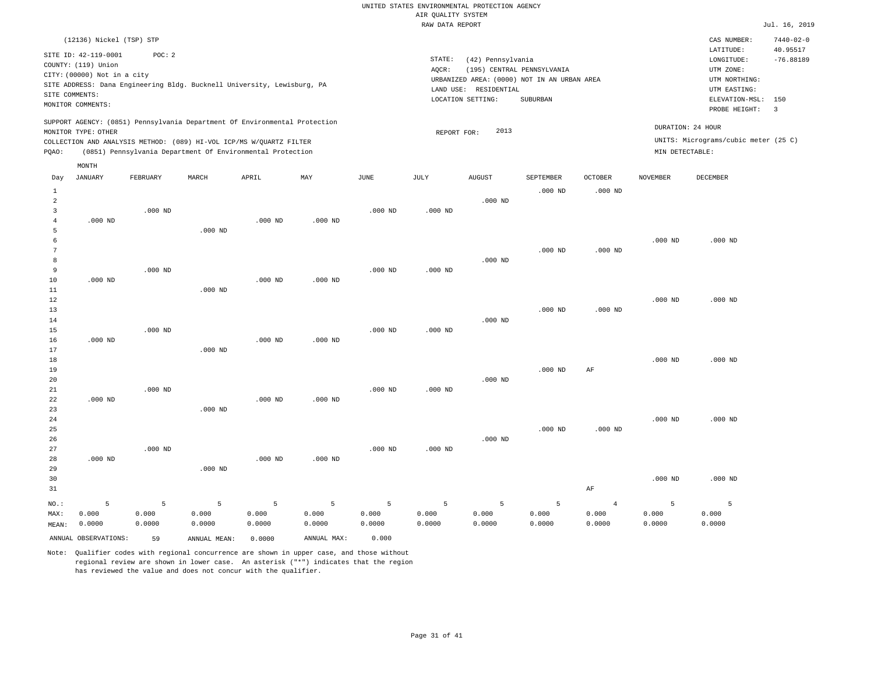|                 | (12136) Nickel (TSP) STP    |                 |                                                                            |                 |                 |            |                 |                                             |                 |                 |                   | CAS NUMBER:                          | $7440 - 02 - 0$       |
|-----------------|-----------------------------|-----------------|----------------------------------------------------------------------------|-----------------|-----------------|------------|-----------------|---------------------------------------------|-----------------|-----------------|-------------------|--------------------------------------|-----------------------|
|                 | SITE ID: 42-119-0001        | POC: 2          |                                                                            |                 |                 |            |                 |                                             |                 |                 |                   | LATITUDE:                            | 40.95517              |
|                 | COUNTY: (119) Union         |                 |                                                                            |                 |                 |            | STATE:          | (42) Pennsylvania                           |                 |                 |                   | LONGITUDE:                           | $-76.88189$           |
|                 | CITY: (00000) Not in a city |                 |                                                                            |                 |                 |            | AQCR:           | (195) CENTRAL PENNSYLVANIA                  |                 |                 |                   | UTM ZONE:                            |                       |
|                 |                             |                 | SITE ADDRESS: Dana Engineering Bldg. Bucknell University, Lewisburg, PA    |                 |                 |            |                 | URBANIZED AREA: (0000) NOT IN AN URBAN AREA |                 |                 |                   | UTM NORTHING:                        |                       |
| SITE COMMENTS:  |                             |                 |                                                                            |                 |                 |            |                 | LAND USE: RESIDENTIAL                       |                 |                 |                   | UTM EASTING:                         |                       |
|                 | MONITOR COMMENTS:           |                 |                                                                            |                 |                 |            |                 | LOCATION SETTING:                           | SUBURBAN        |                 |                   | ELEVATION-MSL:<br>PROBE HEIGHT:      | 150<br>$\overline{3}$ |
|                 |                             |                 |                                                                            |                 |                 |            |                 |                                             |                 |                 |                   |                                      |                       |
|                 |                             |                 | SUPPORT AGENCY: (0851) Pennsylvania Department Of Environmental Protection |                 |                 |            |                 | 2013                                        |                 |                 | DURATION: 24 HOUR |                                      |                       |
|                 | MONITOR TYPE: OTHER         |                 |                                                                            |                 |                 |            | REPORT FOR:     |                                             |                 |                 |                   | UNITS: Micrograms/cubic meter (25 C) |                       |
| PQAO:           |                             |                 | COLLECTION AND ANALYSIS METHOD: (089) HI-VOL ICP/MS W/QUARTZ FILTER        |                 |                 |            |                 |                                             |                 |                 | MIN DETECTABLE:   |                                      |                       |
|                 |                             |                 | (0851) Pennsylvania Department Of Environmental Protection                 |                 |                 |            |                 |                                             |                 |                 |                   |                                      |                       |
|                 | MONTH                       |                 |                                                                            |                 |                 |            |                 |                                             |                 |                 |                   |                                      |                       |
| Day             | <b>JANUARY</b>              | FEBRUARY        | MARCH                                                                      | APRIL           | MAY             | JUNE       | JULY            | <b>AUGUST</b>                               | SEPTEMBER       | <b>OCTOBER</b>  | <b>NOVEMBER</b>   | <b>DECEMBER</b>                      |                       |
| 1               |                             |                 |                                                                            |                 |                 |            |                 |                                             | $.000$ ND       | $.000$ ND       |                   |                                      |                       |
| $\overline{a}$  |                             |                 |                                                                            |                 |                 |            |                 | $.000$ ND                                   |                 |                 |                   |                                      |                       |
| $\overline{3}$  |                             | $.000$ ND       |                                                                            |                 |                 | $.000$ ND  | $.000$ ND       |                                             |                 |                 |                   |                                      |                       |
| $\overline{4}$  | $.000$ ND                   |                 |                                                                            | $.000$ ND       | $.000$ ND       |            |                 |                                             |                 |                 |                   |                                      |                       |
| 5               |                             |                 | $.000$ ND                                                                  |                 |                 |            |                 |                                             |                 |                 |                   |                                      |                       |
| $\epsilon$      |                             |                 |                                                                            |                 |                 |            |                 |                                             |                 |                 | $.000$ ND         | $.000$ ND                            |                       |
| $7\phantom{.0}$ |                             |                 |                                                                            |                 |                 |            |                 |                                             | $.000$ ND       | $.000$ ND       |                   |                                      |                       |
| 8               |                             |                 |                                                                            |                 |                 |            |                 | $.000$ ND                                   |                 |                 |                   |                                      |                       |
| 9               |                             | $.000$ ND       |                                                                            |                 |                 | $.000$ ND  | $.000$ ND       |                                             |                 |                 |                   |                                      |                       |
| 10<br>11        | $.000$ ND                   |                 |                                                                            | $.000$ ND       | $.000$ ND       |            |                 |                                             |                 |                 |                   |                                      |                       |
| $1\,2$          |                             |                 | $.000$ ND                                                                  |                 |                 |            |                 |                                             |                 |                 | $.000$ ND         | $.000$ ND                            |                       |
| 13              |                             |                 |                                                                            |                 |                 |            |                 |                                             | $.000$ ND       | $.000$ ND       |                   |                                      |                       |
| 14              |                             |                 |                                                                            |                 |                 |            |                 | $.000$ ND                                   |                 |                 |                   |                                      |                       |
| 15              |                             | $.000$ ND       |                                                                            |                 |                 | $.000$ ND  | $.000$ ND       |                                             |                 |                 |                   |                                      |                       |
| 16              | $.000$ ND                   |                 |                                                                            | $.000$ ND       | $.000$ ND       |            |                 |                                             |                 |                 |                   |                                      |                       |
| 17              |                             |                 | $.000$ ND                                                                  |                 |                 |            |                 |                                             |                 |                 |                   |                                      |                       |
| 18              |                             |                 |                                                                            |                 |                 |            |                 |                                             |                 |                 | $.000$ ND         | $.000$ ND                            |                       |
| 19              |                             |                 |                                                                            |                 |                 |            |                 |                                             | $.000$ ND       | AF              |                   |                                      |                       |
| 20              |                             |                 |                                                                            |                 |                 |            |                 | $.000$ ND                                   |                 |                 |                   |                                      |                       |
| 21              |                             | $.000$ ND       |                                                                            |                 |                 | $.000$ ND  | $.000$ ND       |                                             |                 |                 |                   |                                      |                       |
| 22              | $.000$ ND                   |                 |                                                                            | $.000$ ND       | $.000$ ND       |            |                 |                                             |                 |                 |                   |                                      |                       |
| 23              |                             |                 | $.000$ ND                                                                  |                 |                 |            |                 |                                             |                 |                 |                   |                                      |                       |
| 24              |                             |                 |                                                                            |                 |                 |            |                 |                                             |                 |                 | $.000$ ND         | $.000$ ND                            |                       |
| 25              |                             |                 |                                                                            |                 |                 |            |                 |                                             | $.000$ ND       | $.000$ ND       |                   |                                      |                       |
| 26<br>27        |                             | $.000$ ND       |                                                                            |                 |                 | $.000$ ND  | $.000$ ND       | $.000$ ND                                   |                 |                 |                   |                                      |                       |
| 28              | $.000$ ND                   |                 |                                                                            | $.000$ ND       | $.000$ ND       |            |                 |                                             |                 |                 |                   |                                      |                       |
| 29              |                             |                 | $.000$ ND                                                                  |                 |                 |            |                 |                                             |                 |                 |                   |                                      |                       |
| 30              |                             |                 |                                                                            |                 |                 |            |                 |                                             |                 |                 | $.000$ ND         | $.000$ ND                            |                       |
| 31              |                             |                 |                                                                            |                 |                 |            |                 |                                             |                 | AF              |                   |                                      |                       |
|                 |                             |                 |                                                                            |                 |                 |            |                 |                                             |                 |                 |                   |                                      |                       |
| NO.:            | 5<br>0.000                  | 5               | 5                                                                          | 5               | 5               | 5<br>0.000 | 5               | 5                                           | 5               | $\overline{4}$  | 5                 | 5                                    |                       |
| MAX:            | 0.0000                      | 0.000<br>0.0000 | 0.000<br>0.0000                                                            | 0.000<br>0.0000 | 0.000<br>0.0000 | 0.0000     | 0.000<br>0.0000 | 0.000<br>0.0000                             | 0.000<br>0.0000 | 0.000<br>0.0000 | 0.000<br>0.0000   | 0.000<br>0.0000                      |                       |
| MEAN:           |                             |                 |                                                                            |                 |                 |            |                 |                                             |                 |                 |                   |                                      |                       |
|                 | ANNUAL OBSERVATIONS:        | 59              | ANNUAL MEAN:                                                               | 0.0000          | ANNUAL MAX:     | 0.000      |                 |                                             |                 |                 |                   |                                      |                       |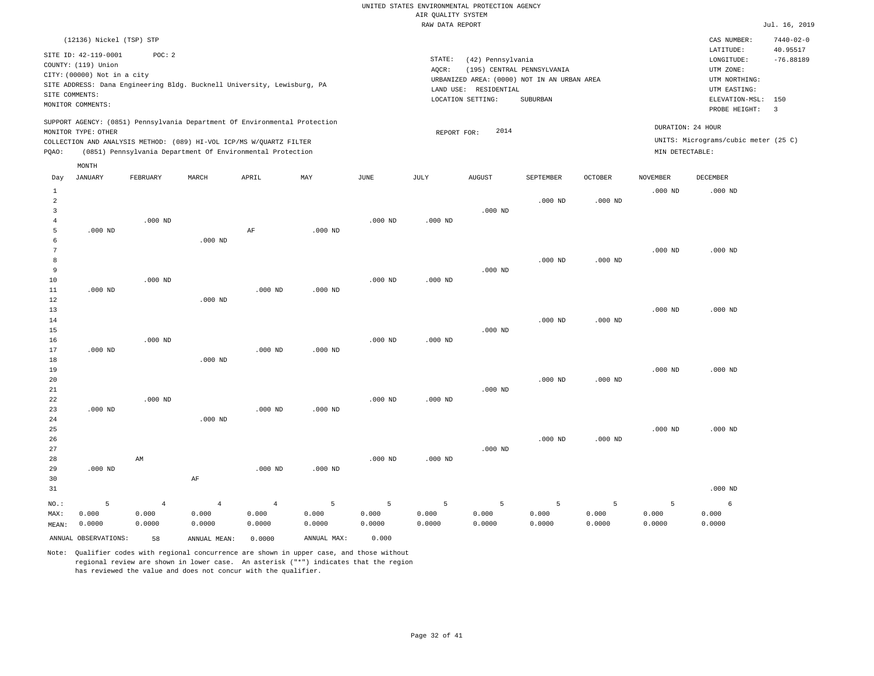|                 | (12136) Nickel (TSP) STP    |                |                                                                            |                |             |           |             |                                             |                |                    |                   | CAS NUMBER:                          | $7440 - 02 - 0$ |
|-----------------|-----------------------------|----------------|----------------------------------------------------------------------------|----------------|-------------|-----------|-------------|---------------------------------------------|----------------|--------------------|-------------------|--------------------------------------|-----------------|
|                 | SITE ID: 42-119-0001        | POC: 2         |                                                                            |                |             |           |             |                                             |                |                    |                   | LATITUDE:                            | 40.95517        |
|                 | COUNTY: (119) Union         |                |                                                                            |                |             |           | STATE:      | (42) Pennsylvania                           |                |                    |                   | LONGITUDE:                           | $-76.88189$     |
|                 | CITY: (00000) Not in a city |                |                                                                            |                |             |           | AQCR:       | (195) CENTRAL PENNSYLVANIA                  |                |                    |                   | UTM ZONE:                            |                 |
|                 |                             |                | SITE ADDRESS: Dana Engineering Bldg. Bucknell University, Lewisburg, PA    |                |             |           |             | URBANIZED AREA: (0000) NOT IN AN URBAN AREA |                |                    |                   | UTM NORTHING:                        |                 |
|                 | SITE COMMENTS:              |                |                                                                            |                |             |           |             | LAND USE: RESIDENTIAL                       |                |                    |                   | UTM EASTING:                         |                 |
|                 | MONITOR COMMENTS:           |                |                                                                            |                |             |           |             | LOCATION SETTING:                           | SUBURBAN       |                    |                   | ELEVATION-MSL:                       | 150             |
|                 |                             |                |                                                                            |                |             |           |             |                                             |                |                    |                   | PROBE HEIGHT:                        | 3               |
|                 |                             |                | SUPPORT AGENCY: (0851) Pennsylvania Department Of Environmental Protection |                |             |           |             |                                             |                |                    | DURATION: 24 HOUR |                                      |                 |
|                 | MONITOR TYPE: OTHER         |                |                                                                            |                |             |           | REPORT FOR: | 2014                                        |                |                    |                   | UNITS: Micrograms/cubic meter (25 C) |                 |
|                 |                             |                | COLLECTION AND ANALYSIS METHOD: (089) HI-VOL ICP/MS W/QUARTZ FILTER        |                |             |           |             |                                             |                |                    |                   |                                      |                 |
| PQAO:           |                             |                | (0851) Pennsylvania Department Of Environmental Protection                 |                |             |           |             |                                             |                |                    | MIN DETECTABLE:   |                                      |                 |
|                 | $\texttt{MONTH}$            |                |                                                                            |                |             |           |             |                                             |                |                    |                   |                                      |                 |
| Day             | <b>JANUARY</b>              | FEBRUARY       | MARCH                                                                      | APRIL          | MAY         | JUNE      | JULY        | <b>AUGUST</b>                               | SEPTEMBER      | <b>OCTOBER</b>     | <b>NOVEMBER</b>   | <b>DECEMBER</b>                      |                 |
| 1               |                             |                |                                                                            |                |             |           |             |                                             |                |                    | $.000$ ND         | $.000$ ND                            |                 |
| $\overline{a}$  |                             |                |                                                                            |                |             |           |             |                                             | $.000$ ND      | $.000$ ND          |                   |                                      |                 |
| $\overline{3}$  |                             |                |                                                                            |                |             |           |             | $.000$ ND                                   |                |                    |                   |                                      |                 |
| $\overline{4}$  |                             | $.000$ ND      |                                                                            |                |             | $.000$ ND | $.000$ ND   |                                             |                |                    |                   |                                      |                 |
| 5               | $.000$ ND                   |                |                                                                            | AF             | $.000$ ND   |           |             |                                             |                |                    |                   |                                      |                 |
| 6               |                             |                | $.000$ ND                                                                  |                |             |           |             |                                             |                |                    |                   |                                      |                 |
| $7\phantom{.0}$ |                             |                |                                                                            |                |             |           |             |                                             |                |                    | $.000$ ND         | $.000$ ND                            |                 |
| 8               |                             |                |                                                                            |                |             |           |             |                                             | $.000$ ND      | $.000$ ND          |                   |                                      |                 |
| $\overline{9}$  |                             |                |                                                                            |                |             |           |             | $.000$ ND                                   |                |                    |                   |                                      |                 |
| 10              |                             | $.000$ ND      |                                                                            |                |             | $.000$ ND | $.000$ ND   |                                             |                |                    |                   |                                      |                 |
| 11              | $.000$ ND                   |                |                                                                            | $.000$ ND      | $.000$ ND   |           |             |                                             |                |                    |                   |                                      |                 |
| 12              |                             |                | $.000$ ND                                                                  |                |             |           |             |                                             |                |                    |                   |                                      |                 |
| 13              |                             |                |                                                                            |                |             |           |             |                                             |                |                    | $.000$ ND         | $.000$ ND                            |                 |
| 14              |                             |                |                                                                            |                |             |           |             |                                             | $.000$ ND      | $.000$ ND          |                   |                                      |                 |
| 15              |                             |                |                                                                            |                |             |           |             | $.000$ ND                                   |                |                    |                   |                                      |                 |
| 16              |                             | $.000$ ND      |                                                                            |                |             | $.000$ ND | $.000$ ND   |                                             |                |                    |                   |                                      |                 |
| 17              | $.000$ ND                   |                |                                                                            | $.000$ ND      | $.000$ ND   |           |             |                                             |                |                    |                   |                                      |                 |
| 18<br>19        |                             |                | $.000$ ND                                                                  |                |             |           |             |                                             |                |                    | $.000$ ND         | $.000$ ND                            |                 |
| 20              |                             |                |                                                                            |                |             |           |             |                                             | $.000$ ND      | .000 <sub>ND</sub> |                   |                                      |                 |
| 21              |                             |                |                                                                            |                |             |           |             | $.000$ ND                                   |                |                    |                   |                                      |                 |
| 22              |                             | $.000$ ND      |                                                                            |                |             | $.000$ ND | $.000$ ND   |                                             |                |                    |                   |                                      |                 |
| 23              | $.000$ ND                   |                |                                                                            | $.000$ ND      | $.000$ ND   |           |             |                                             |                |                    |                   |                                      |                 |
| 24              |                             |                | $.000$ ND                                                                  |                |             |           |             |                                             |                |                    |                   |                                      |                 |
| 25              |                             |                |                                                                            |                |             |           |             |                                             |                |                    | $.000$ ND         | $.000$ ND                            |                 |
| 26              |                             |                |                                                                            |                |             |           |             |                                             | $.000$ ND      | $.000$ ND          |                   |                                      |                 |
| 27              |                             |                |                                                                            |                |             |           |             | $.000$ ND                                   |                |                    |                   |                                      |                 |
| 28              |                             | AM             |                                                                            |                |             | $.000$ ND | $.000$ ND   |                                             |                |                    |                   |                                      |                 |
| 29              | $.000$ ND                   |                |                                                                            | $.000$ ND      | $.000$ ND   |           |             |                                             |                |                    |                   |                                      |                 |
| 30              |                             |                | $\rm AF$                                                                   |                |             |           |             |                                             |                |                    |                   |                                      |                 |
| 31              |                             |                |                                                                            |                |             |           |             |                                             |                |                    |                   | $.000$ ND                            |                 |
| NO.:            | 5                           | $\overline{4}$ | $\overline{4}$                                                             | $\overline{4}$ | 5           | 5         | 5           | 5                                           | $\overline{5}$ | 5                  | 5                 | 6                                    |                 |
| MAX:            | 0.000                       | 0.000          | 0.000                                                                      | 0.000          | 0.000       | 0.000     | 0.000       | 0.000                                       | 0.000          | 0.000              | 0.000             | 0.000                                |                 |
| MEAN:           | 0.0000                      | 0.0000         | 0.0000                                                                     | 0.0000         | 0.0000      | 0.0000    | 0.0000      | 0.0000                                      | 0.0000         | 0.0000             | 0.0000            | 0.0000                               |                 |
|                 | ANNUAL OBSERVATIONS:        | 58             | ANNUAL MEAN:                                                               | 0.0000         | ANNUAL MAX: | 0.000     |             |                                             |                |                    |                   |                                      |                 |
|                 |                             |                |                                                                            |                |             |           |             |                                             |                |                    |                   |                                      |                 |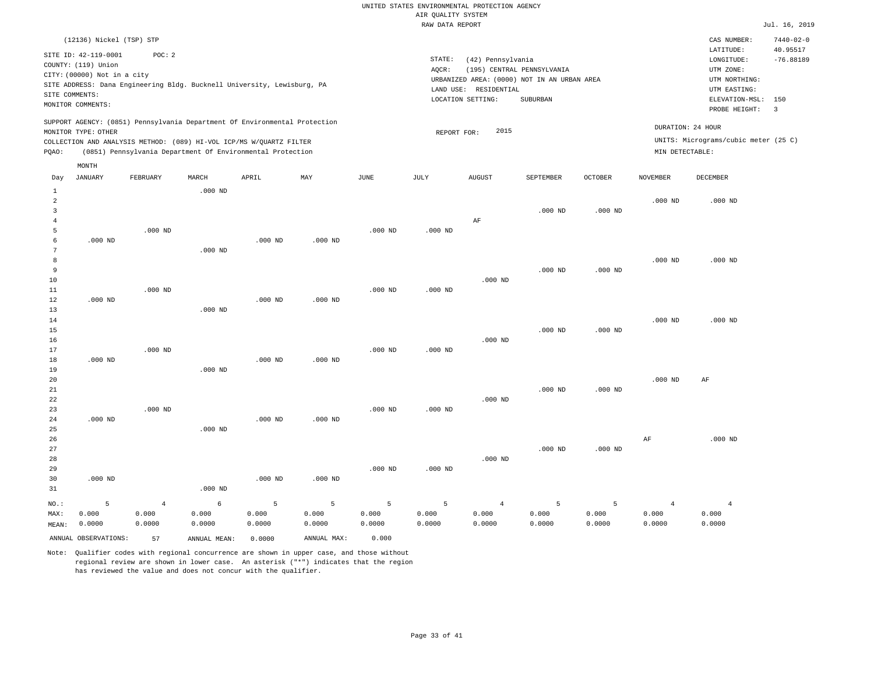|       | (12136) Nickel (TSP) STP    |                                                                         |           |       |                                                                            |      |        |                                             |                            |                   |                 | CAS NUMBER:                          | $7440 - 02 - 0$ |
|-------|-----------------------------|-------------------------------------------------------------------------|-----------|-------|----------------------------------------------------------------------------|------|--------|---------------------------------------------|----------------------------|-------------------|-----------------|--------------------------------------|-----------------|
|       | SITE ID: 42-119-0001        | POC:2                                                                   |           |       |                                                                            |      |        |                                             |                            |                   |                 | LATITUDE:                            | 40.95517        |
|       | COUNTY: (119) Union         |                                                                         |           |       |                                                                            |      | STATE: | (42) Pennsylvania                           |                            |                   |                 | LONGITUDE:                           | $-76.88189$     |
|       | CITY: (00000) Not in a city |                                                                         |           |       |                                                                            |      | AOCR:  |                                             | (195) CENTRAL PENNSYLVANIA |                   |                 | UTM ZONE:                            |                 |
|       |                             | SITE ADDRESS: Dana Engineering Bldg. Bucknell University, Lewisburg, PA |           |       |                                                                            |      |        | URBANIZED AREA: (0000) NOT IN AN URBAN AREA |                            |                   |                 | UTM NORTHING:                        |                 |
|       | SITE COMMENTS:              |                                                                         |           |       |                                                                            |      |        | LAND USE: RESIDENTIAL                       |                            |                   |                 | UTM EASTING:                         |                 |
|       | MONITOR COMMENTS:           |                                                                         |           |       |                                                                            |      |        | LOCATION SETTING:                           |                            | ELEVATION-MSL:    | 150             |                                      |                 |
|       |                             |                                                                         |           |       |                                                                            |      |        |                                             |                            | PROBE HEIGHT:     | $\overline{3}$  |                                      |                 |
|       | MONITOR TYPE: OTHER         |                                                                         |           |       | SUPPORT AGENCY: (0851) Pennsylvania Department Of Environmental Protection |      |        | 2015<br>REPORT FOR:                         |                            | DURATION: 24 HOUR |                 |                                      |                 |
|       |                             | COLLECTION AND ANALYSIS METHOD: (089) HI-VOL ICP/MS W/QUARTZ FILTER     |           |       |                                                                            |      |        |                                             |                            |                   |                 | UNITS: Micrograms/cubic meter (25 C) |                 |
| PQAO: |                             | (0851) Pennsylvania Department Of Environmental Protection              |           |       |                                                                            |      |        |                                             |                            |                   | MIN DETECTABLE: |                                      |                 |
|       | MONTH                       |                                                                         |           |       |                                                                            |      |        |                                             |                            |                   |                 |                                      |                 |
| Day   | JANUARY                     | FEBRUARY                                                                | MARCH     | APRIL | MAY                                                                        | JUNE | JULY   | <b>AUGUST</b>                               | SEPTEMBER                  | <b>OCTOBER</b>    | NOVEMBER        | DECEMBER                             |                 |
|       |                             |                                                                         | $.000$ ND |       |                                                                            |      |        |                                             |                            |                   |                 |                                      |                 |
| 2     |                             |                                                                         |           |       |                                                                            |      |        |                                             |                            |                   | $.000$ ND       | $.000$ ND                            |                 |
|       |                             |                                                                         |           |       |                                                                            |      |        |                                             | $.000$ ND                  | $.000$ ND         |                 |                                      |                 |
|       |                             |                                                                         |           |       |                                                                            |      |        | ΑF                                          |                            |                   |                 |                                      |                 |

| 5               |           | $.000$ ND |           |           |           | $.000$ ND | $.000$ ND |           |           |           |           |           |
|-----------------|-----------|-----------|-----------|-----------|-----------|-----------|-----------|-----------|-----------|-----------|-----------|-----------|
| 6               | $.000$ ND |           |           | $.000$ ND | $.000$ ND |           |           |           |           |           |           |           |
| $7\phantom{.0}$ |           |           | $.000$ ND |           |           |           |           |           |           |           |           |           |
| 8               |           |           |           |           |           |           |           |           |           |           | $.000$ ND | $.000$ ND |
| 9               |           |           |           |           |           |           |           |           | $.000$ ND | $.000$ ND |           |           |
| $10\,$          |           |           |           |           |           |           |           | $.000$ ND |           |           |           |           |
| $11\,$          |           | $.000$ ND |           |           |           | $.000$ ND | $.000$ ND |           |           |           |           |           |
| 12              | $.000$ ND |           |           | $.000$ ND | $.000$ ND |           |           |           |           |           |           |           |
| 13              |           |           | $.000$ ND |           |           |           |           |           |           |           |           |           |
| 14              |           |           |           |           |           |           |           |           |           |           | $.000$ ND | $.000$ ND |
| 15              |           |           |           |           |           |           |           |           | $.000$ ND | $.000$ ND |           |           |
| 16              |           |           |           |           |           |           |           | $.000$ ND |           |           |           |           |
| 17              |           | $.000$ ND |           |           |           | $.000$ ND | $.000$ ND |           |           |           |           |           |
| 18              | $.000$ ND |           |           | $.000$ ND | $.000$ ND |           |           |           |           |           |           |           |
| 19              |           |           | $.000$ ND |           |           |           |           |           |           |           |           |           |
| 20              |           |           |           |           |           |           |           |           |           |           | $.000$ ND | AF        |
| 21              |           |           |           |           |           |           |           |           | $.000$ ND | $.000$ ND |           |           |
| 22              |           |           |           |           |           |           |           | $.000$ ND |           |           |           |           |
| 23              |           | $.000$ ND |           |           |           | $.000$ ND | $.000$ ND |           |           |           |           |           |
| 24              | $.000$ ND |           |           | $.000$ ND | $.000$ ND |           |           |           |           |           |           |           |

| $NO.$ : |           | 4 | 6         |           |           | ъ.        |           | 4         |           |           | 4  |           |
|---------|-----------|---|-----------|-----------|-----------|-----------|-----------|-----------|-----------|-----------|----|-----------|
| 31      |           |   | $.000$ ND |           |           |           |           |           |           |           |    |           |
| 30      | $.000$ ND |   |           | $.000$ ND | $.000$ ND |           |           |           |           |           |    |           |
| 29      |           |   |           |           |           | $.000$ ND | $.000$ ND |           |           |           |    |           |
| 28      |           |   |           |           |           |           |           | $.000$ ND |           |           |    |           |
| 27      |           |   |           |           |           |           |           |           | $.000$ ND | $.000$ ND |    |           |
| 26      |           |   |           |           |           |           |           |           |           |           | AF | $.000$ ND |
| 25      |           |   | $.000$ ND |           |           |           |           |           |           |           |    |           |

0.000

MEAN: 0.0000 0.0000 0.0000 0.000 0.0000 0.0000 0.0000 0.0000 ANNUAL OBSERVATIONS: 57 ANNUAL MEAN: 0.0000 ANNUAL MAX: 0.000

0.000

Note: Qualifier codes with regional concurrence are shown in upper case, and those without regional review are shown in lower case. An asterisk ("\*") indicates that the region has reviewed the value and does not concur with the qualifier.

0.000

MAX:

0.000

0.000

0.000

 0.000 0.0000  0.000 0.0000

 0.000 0.0000

 0.000 0.0000  0.000 0.0000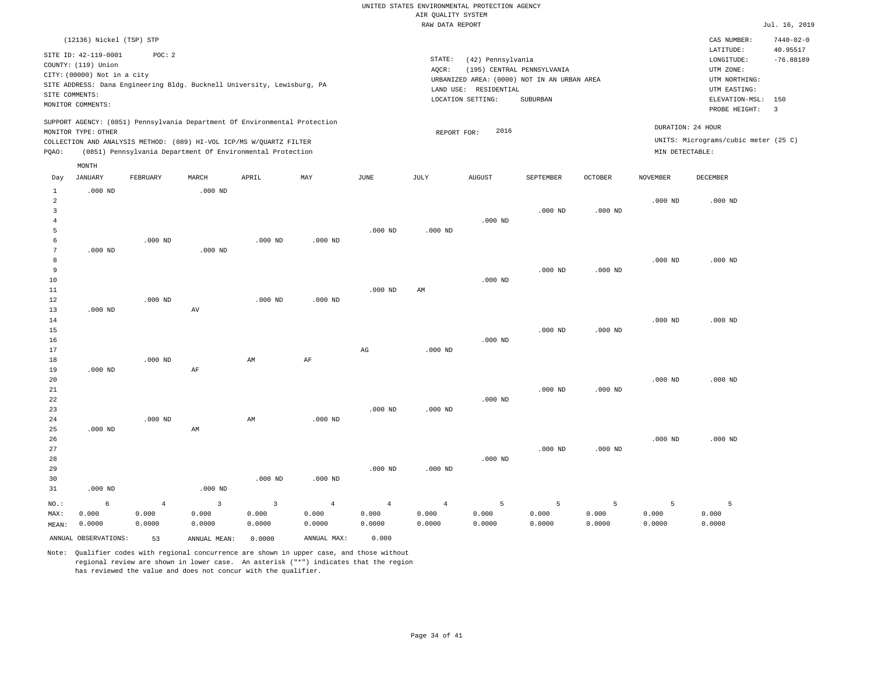|                |                             |                                                                            |           |           |           |           | RAW DATA REPORT |                       |                                             |                |                 |                                      | Jul. 16, 2019           |
|----------------|-----------------------------|----------------------------------------------------------------------------|-----------|-----------|-----------|-----------|-----------------|-----------------------|---------------------------------------------|----------------|-----------------|--------------------------------------|-------------------------|
|                | (12136) Nickel (TSP) STP    |                                                                            |           |           |           |           |                 |                       |                                             |                |                 | CAS NUMBER:                          | $7440 - 02 - 0$         |
|                | SITE ID: 42-119-0001        | POC: 2                                                                     |           |           |           |           |                 |                       |                                             |                |                 | LATITUDE:                            | 40.95517                |
|                | COUNTY: (119) Union         |                                                                            |           |           |           |           | STATE:          | (42) Pennsylvania     |                                             |                |                 | LONGITUDE:                           | $-76.88189$             |
|                | CITY: (00000) Not in a city |                                                                            |           |           |           |           | AOCR:           |                       | (195) CENTRAL PENNSYLVANIA                  |                |                 | UTM ZONE:                            |                         |
|                |                             | SITE ADDRESS: Dana Engineering Bldg. Bucknell University, Lewisburg, PA    |           |           |           |           |                 |                       | URBANIZED AREA: (0000) NOT IN AN URBAN AREA |                |                 | UTM NORTHING:                        |                         |
|                | SITE COMMENTS:              |                                                                            |           |           |           |           |                 | LAND USE: RESIDENTIAL |                                             |                |                 | UTM EASTING:                         |                         |
|                | MONITOR COMMENTS:           |                                                                            |           |           |           |           |                 | LOCATION SETTING:     | SUBURBAN                                    |                |                 | ELEVATION-MSL:                       | 150                     |
|                |                             |                                                                            |           |           |           |           |                 |                       |                                             |                |                 | PROBE HEIGHT:                        | $\overline{\mathbf{3}}$ |
|                |                             | SUPPORT AGENCY: (0851) Pennsylvania Department Of Environmental Protection |           |           |           |           |                 |                       |                                             |                |                 | DURATION: 24 HOUR                    |                         |
|                | MONITOR TYPE: OTHER         |                                                                            |           |           |           |           | REPORT FOR:     | 2016                  |                                             |                |                 |                                      |                         |
|                |                             | COLLECTION AND ANALYSIS METHOD: (089) HI-VOL ICP/MS W/QUARTZ FILTER        |           |           |           |           |                 |                       |                                             |                |                 | UNITS: Micrograms/cubic meter (25 C) |                         |
| POAO:          |                             | (0851) Pennsylvania Department Of Environmental Protection                 |           |           |           |           |                 |                       |                                             |                | MIN DETECTABLE: |                                      |                         |
|                | MONTH                       |                                                                            |           |           |           |           |                 |                       |                                             |                |                 |                                      |                         |
| Day            | JANUARY                     | FEBRUARY                                                                   | MARCH     | APRIL     | MAY       | JUNE      | JULY            | <b>AUGUST</b>         | SEPTEMBER                                   | <b>OCTOBER</b> | NOVEMBER        | DECEMBER                             |                         |
|                | $.000$ ND                   |                                                                            | $.000$ ND |           |           |           |                 |                       |                                             |                |                 |                                      |                         |
| $\overline{2}$ |                             |                                                                            |           |           |           |           |                 |                       |                                             |                | $.000$ ND       | $.000$ ND                            |                         |
|                |                             |                                                                            |           |           |           |           |                 |                       | $.000$ ND                                   | $.000$ ND      |                 |                                      |                         |
|                |                             |                                                                            |           |           |           |           |                 | $.000$ ND             |                                             |                |                 |                                      |                         |
| 5              |                             |                                                                            |           |           |           | $.000$ ND | $.000$ ND       |                       |                                             |                |                 |                                      |                         |
| 6              |                             | $.000$ ND                                                                  |           | $.000$ ND | $.000$ ND |           |                 |                       |                                             |                |                 |                                      |                         |
| 7              | $.000$ ND                   |                                                                            | $.000$ ND |           |           |           |                 |                       |                                             |                |                 |                                      |                         |
| 8              |                             |                                                                            |           |           |           |           |                 |                       |                                             |                | $.000$ ND       | $.000$ ND                            |                         |
| 9              |                             |                                                                            |           |           |           |           |                 |                       | $.000$ ND                                   | $.000$ ND      |                 |                                      |                         |
| 10             |                             |                                                                            |           |           |           |           |                 | $.000$ ND             |                                             |                |                 |                                      |                         |
| 11             |                             |                                                                            |           |           |           | $.000$ ND | AM              |                       |                                             |                |                 |                                      |                         |
| 12             |                             | $.000$ ND                                                                  |           | $.000$ ND | $.000$ ND |           |                 |                       |                                             |                |                 |                                      |                         |
| 13             | $.000$ ND                   |                                                                            | AV        |           |           |           |                 |                       |                                             |                |                 |                                      |                         |

| 14 |           |           |    |    |    |           |           |           |           | $.000$ ND | $.000$ ND |
|----|-----------|-----------|----|----|----|-----------|-----------|-----------|-----------|-----------|-----------|
| 15 |           |           |    |    |    |           |           | $.000$ ND | $.000$ ND |           |           |
| 16 |           |           |    |    |    |           | $.000$ ND |           |           |           |           |
| 17 |           |           |    |    | AG | $.000$ ND |           |           |           |           |           |
| 18 |           | $.000$ ND | AM | AF |    |           |           |           |           |           |           |
| 19 | $.000$ ND | ΔF        |    |    |    |           |           |           |           |           |           |

| 20 |           |           |           |           |           |           |           |           |           | $.000$ ND | $.000$ ND |
|----|-----------|-----------|-----------|-----------|-----------|-----------|-----------|-----------|-----------|-----------|-----------|
|    |           |           |           |           |           |           |           |           |           |           |           |
| 21 |           |           |           |           |           |           |           | $.000$ ND | $.000$ ND |           |           |
| 22 |           |           |           |           |           |           | $.000$ ND |           |           |           |           |
| 23 |           |           |           |           | $.000$ ND | $.000$ ND |           |           |           |           |           |
| 24 |           | $.000$ ND | AM        | $.000$ ND |           |           |           |           |           |           |           |
| 25 | $.000$ ND | AM        |           |           |           |           |           |           |           |           |           |
| 26 |           |           |           |           |           |           |           |           |           | $.000$ ND | $.000$ ND |
| 27 |           |           |           |           |           |           |           | $.000$ ND | $.000$ ND |           |           |
| 28 |           |           |           |           |           |           | $.000$ ND |           |           |           |           |
| 29 |           |           |           |           | $.000$ ND | $.000$ ND |           |           |           |           |           |
| 30 |           |           | $.000$ ND | $.000$ ND |           |           |           |           |           |           |           |
| 31 | $.000$ ND |           | $.000$ ND |           |           |           |           |           |           |           |           |

| NO.:  | 6 - 1                |        |              |        | 4 3 3 4 4 4 5 5 5 |        |        |        |        |        | $5 - 5$ |        |
|-------|----------------------|--------|--------------|--------|-------------------|--------|--------|--------|--------|--------|---------|--------|
| MAX:  | 0.000                | 0.000  | 0.000        | 0.000  | 0.000             | 0.000  | 0.000  | 0.000  | 0.000  | 0.000  | 0.000   | 0.000  |
| MEAN: | 0.0000               | 0.0000 | 0.0000       | 0.0000 | 0.0000            | 0.0000 | 0.0000 | 0.0000 | 0.0000 | 0.0000 | 0.0000  | 0.0000 |
|       | ANNUAL OBSERVATIONS: | 53     | ANNUAL MEAN: | 0.0000 | ANNUAL MAX:       | 0.000  |        |        |        |        |         |        |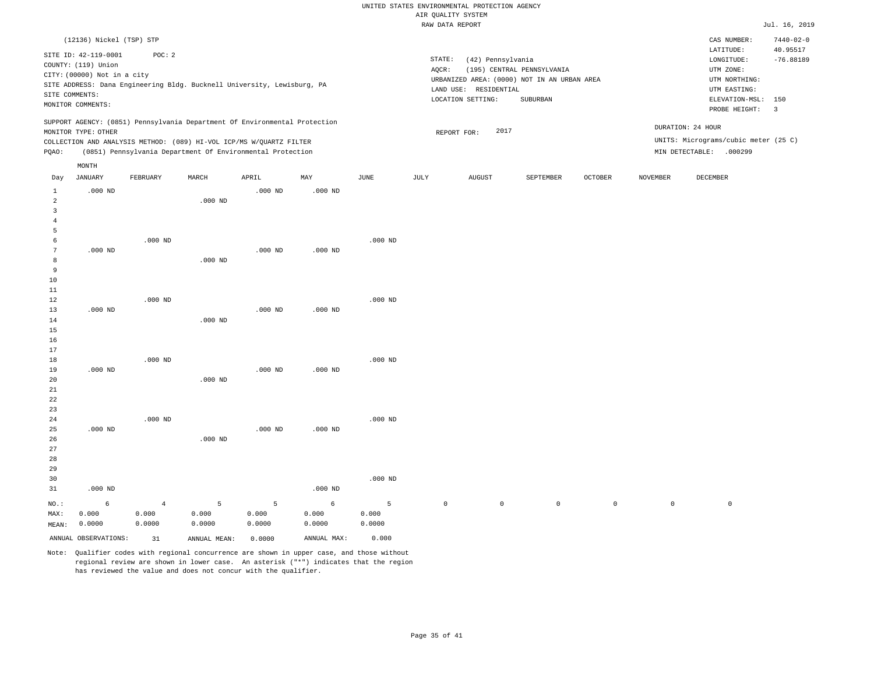|                 |                             |                                                                            |           |           |           |             |             | RAW DATA REPORT       |                                             |         |                     |                                      | Jul. 16, 2019   |
|-----------------|-----------------------------|----------------------------------------------------------------------------|-----------|-----------|-----------|-------------|-------------|-----------------------|---------------------------------------------|---------|---------------------|--------------------------------------|-----------------|
|                 | (12136) Nickel (TSP) STP    |                                                                            |           |           |           |             |             |                       |                                             |         |                     | CAS NUMBER:                          | $7440 - 02 - 0$ |
|                 |                             |                                                                            |           |           |           |             |             |                       |                                             |         |                     | LATITUDE:                            | 40.95517        |
|                 | SITE ID: 42-119-0001        | POC: 2                                                                     |           |           |           |             | STATE:      | (42) Pennsylvania     |                                             |         |                     | LONGITUDE:                           | $-76.88189$     |
|                 | COUNTY: (119) Union         |                                                                            |           |           |           |             | AQCR:       |                       | (195) CENTRAL PENNSYLVANIA                  |         |                     | UTM ZONE:                            |                 |
|                 | CITY: (00000) Not in a city |                                                                            |           |           |           |             |             |                       | URBANIZED AREA: (0000) NOT IN AN URBAN AREA |         |                     | UTM NORTHING:                        |                 |
|                 |                             | SITE ADDRESS: Dana Engineering Bldg. Bucknell University, Lewisburg, PA    |           |           |           |             |             | LAND USE: RESIDENTIAL |                                             |         |                     | UTM EASTING:                         |                 |
|                 | SITE COMMENTS:              |                                                                            |           |           |           |             |             | LOCATION SETTING:     | SUBURBAN                                    |         |                     | ELEVATION-MSL:                       | 150             |
|                 | MONITOR COMMENTS:           |                                                                            |           |           |           |             |             |                       |                                             |         |                     | PROBE HEIGHT:                        | $\overline{3}$  |
|                 |                             | SUPPORT AGENCY: (0851) Pennsylvania Department Of Environmental Protection |           |           |           |             |             |                       |                                             |         |                     |                                      |                 |
|                 | MONITOR TYPE: OTHER         |                                                                            |           |           |           |             |             | 2017<br>REPORT FOR:   |                                             |         |                     | DURATION: 24 HOUR                    |                 |
|                 |                             | COLLECTION AND ANALYSIS METHOD: (089) HI-VOL ICP/MS W/QUARTZ FILTER        |           |           |           |             |             |                       |                                             |         |                     | UNITS: Micrograms/cubic meter (25 C) |                 |
| PQAO:           |                             | (0851) Pennsylvania Department Of Environmental Protection                 |           |           |           |             |             |                       |                                             |         |                     | MIN DETECTABLE: .000299              |                 |
|                 | MONTH                       |                                                                            |           |           |           |             |             |                       |                                             |         |                     |                                      |                 |
| Day             | <b>JANUARY</b>              | FEBRUARY                                                                   | MARCH     | APRIL     | MAY       | <b>JUNE</b> | JULY        | <b>AUGUST</b>         | SEPTEMBER                                   | OCTOBER | <b>NOVEMBER</b>     | DECEMBER                             |                 |
| $\mathbf{1}$    | $.000$ ND                   |                                                                            |           | $.000$ ND | $.000$ ND |             |             |                       |                                             |         |                     |                                      |                 |
| $\overline{a}$  |                             |                                                                            | $.000$ ND |           |           |             |             |                       |                                             |         |                     |                                      |                 |
| 3               |                             |                                                                            |           |           |           |             |             |                       |                                             |         |                     |                                      |                 |
| $\overline{4}$  |                             |                                                                            |           |           |           |             |             |                       |                                             |         |                     |                                      |                 |
| 5               |                             |                                                                            |           |           |           |             |             |                       |                                             |         |                     |                                      |                 |
| 6               |                             | $.000$ ND                                                                  |           |           |           | $.000$ ND   |             |                       |                                             |         |                     |                                      |                 |
| $7\phantom{.0}$ | $.000$ ND                   |                                                                            |           | $.000$ ND | $.000$ ND |             |             |                       |                                             |         |                     |                                      |                 |
| 8               |                             |                                                                            | $.000$ ND |           |           |             |             |                       |                                             |         |                     |                                      |                 |
| 9               |                             |                                                                            |           |           |           |             |             |                       |                                             |         |                     |                                      |                 |
| 10              |                             |                                                                            |           |           |           |             |             |                       |                                             |         |                     |                                      |                 |
| 11              |                             |                                                                            |           |           |           |             |             |                       |                                             |         |                     |                                      |                 |
| 12              |                             | $.000$ ND                                                                  |           |           |           | $.000$ ND   |             |                       |                                             |         |                     |                                      |                 |
| 13              | $.000$ ND                   |                                                                            |           | $.000$ ND | $.000$ ND |             |             |                       |                                             |         |                     |                                      |                 |
| 14              |                             |                                                                            | $.000$ ND |           |           |             |             |                       |                                             |         |                     |                                      |                 |
| 15              |                             |                                                                            |           |           |           |             |             |                       |                                             |         |                     |                                      |                 |
| 16              |                             |                                                                            |           |           |           |             |             |                       |                                             |         |                     |                                      |                 |
| 17              |                             |                                                                            |           |           |           |             |             |                       |                                             |         |                     |                                      |                 |
| 18              |                             | $.000$ ND                                                                  |           |           |           | $.000$ ND   |             |                       |                                             |         |                     |                                      |                 |
| 19              | $.000$ ND                   |                                                                            |           | $.000$ ND | $.000$ ND |             |             |                       |                                             |         |                     |                                      |                 |
| 20              |                             |                                                                            | $.000$ ND |           |           |             |             |                       |                                             |         |                     |                                      |                 |
| 21              |                             |                                                                            |           |           |           |             |             |                       |                                             |         |                     |                                      |                 |
| 22              |                             |                                                                            |           |           |           |             |             |                       |                                             |         |                     |                                      |                 |
| 23              |                             |                                                                            |           |           |           |             |             |                       |                                             |         |                     |                                      |                 |
| 24              |                             | $.000$ ND                                                                  |           |           |           | $.000$ ND   |             |                       |                                             |         |                     |                                      |                 |
| 25              | $.000$ ND                   |                                                                            |           | $.000$ ND | $.000$ ND |             |             |                       |                                             |         |                     |                                      |                 |
| 26              |                             |                                                                            | $.000$ ND |           |           |             |             |                       |                                             |         |                     |                                      |                 |
| 27              |                             |                                                                            |           |           |           |             |             |                       |                                             |         |                     |                                      |                 |
| 28              |                             |                                                                            |           |           |           |             |             |                       |                                             |         |                     |                                      |                 |
| 29              |                             |                                                                            |           |           |           |             |             |                       |                                             |         |                     |                                      |                 |
| 30              |                             |                                                                            |           |           |           | $.000$ ND   |             |                       |                                             |         |                     |                                      |                 |
| 31              | $.000$ ND                   |                                                                            |           |           | $.000$ ND |             |             |                       |                                             |         |                     |                                      |                 |
| NO.:            | 6                           | $\overline{4}$                                                             | 5         | 5         | 6         | 5           | $\mathbb O$ | $\mathsf{O}$          | $\mathsf{O}$                                | $\circ$ | $\mathsf{O}\xspace$ | $\mathbb O$                          |                 |
| MAX:            | 0.000                       | 0.000                                                                      | 0.000     | 0.000     | 0.000     | 0.000       |             |                       |                                             |         |                     |                                      |                 |
| MEAN:           | 0.0000                      | 0.0000                                                                     | 0.0000    | 0.0000    | 0.0000    | 0.0000      |             |                       |                                             |         |                     |                                      |                 |

Note: Qualifier codes with regional concurrence are shown in upper case, and those without regional review are shown in lower case. An asterisk ("\*") indicates that the region has reviewed the value and does not concur with the qualifier.

ANNUAL OBSERVATIONS: 31 ANNUAL MEAN: 0.0000 ANNUAL MAX: 0.000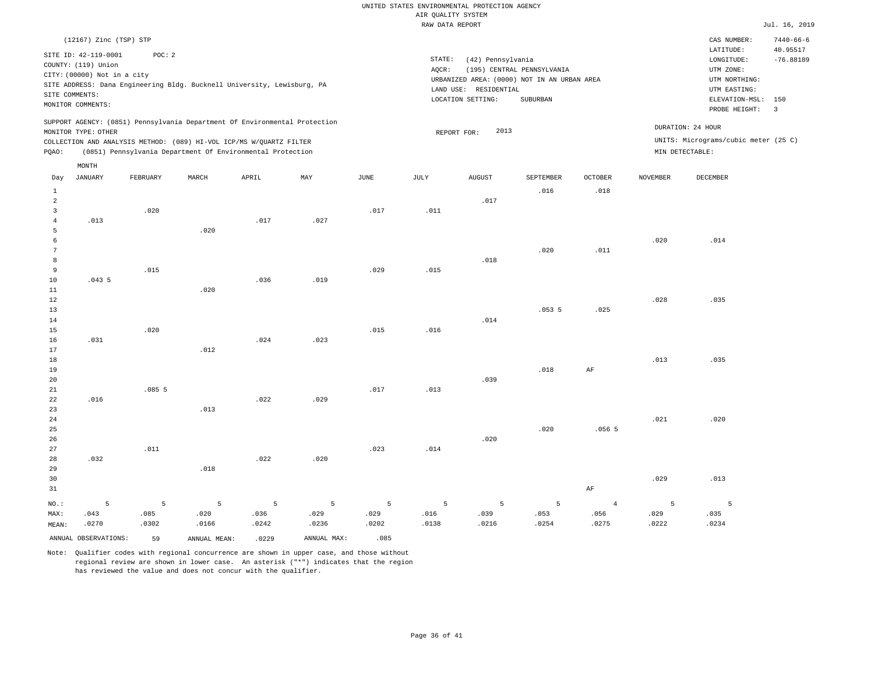|                                                                    |                                                                                                                   |          |       |                                                                                                                                                                                                                 |      |      | RAW DATA REPORT |                                                                 |                                                                                       |                |                 |                                                                                                          | Jul. 16, 2019                                             |
|--------------------------------------------------------------------|-------------------------------------------------------------------------------------------------------------------|----------|-------|-----------------------------------------------------------------------------------------------------------------------------------------------------------------------------------------------------------------|------|------|-----------------|-----------------------------------------------------------------|---------------------------------------------------------------------------------------|----------------|-----------------|----------------------------------------------------------------------------------------------------------|-----------------------------------------------------------|
|                                                                    | (12167) Zinc (TSP) STP                                                                                            |          |       |                                                                                                                                                                                                                 |      |      |                 |                                                                 |                                                                                       |                |                 | CAS NUMBER:                                                                                              | $7440 - 66 - 6$                                           |
|                                                                    | SITE ID: 42-119-0001<br>COUNTY: (119) Union<br>CITY: (00000) Not in a city<br>SITE COMMENTS:<br>MONITOR COMMENTS: | POC: 2   |       | SITE ADDRESS: Dana Engineering Bldg. Bucknell University, Lewisburg, PA                                                                                                                                         |      |      | STATE:<br>AQCR: | (42) Pennsylvania<br>LAND USE: RESIDENTIAL<br>LOCATION SETTING: | (195) CENTRAL PENNSYLVANIA<br>URBANIZED AREA: (0000) NOT IN AN URBAN AREA<br>SUBURBAN |                |                 | LATITUDE:<br>LONGITUDE:<br>UTM ZONE:<br>UTM NORTHING:<br>UTM EASTING:<br>ELEVATION-MSL:<br>PROBE HEIGHT: | 40.95517<br>$-76.88189$<br>150<br>$\overline{\mathbf{3}}$ |
| PQAO:                                                              | MONITOR TYPE: OTHER                                                                                               |          |       | SUPPORT AGENCY: (0851) Pennsylvania Department Of Environmental Protection<br>COLLECTION AND ANALYSIS METHOD: (089) HI-VOL ICP/MS W/QUARTZ FILTER<br>(0851) Pennsylvania Department Of Environmental Protection |      |      |                 | 2013<br>REPORT FOR:                                             |                                                                                       |                |                 | DURATION: 24 HOUR<br>UNITS: Micrograms/cubic meter (25 C)<br>MIN DETECTABLE:                             |                                                           |
|                                                                    | MONTH                                                                                                             |          |       |                                                                                                                                                                                                                 |      |      |                 |                                                                 |                                                                                       |                |                 |                                                                                                          |                                                           |
| Day                                                                | <b>JANUARY</b>                                                                                                    | FEBRUARY | MARCH | APRIL                                                                                                                                                                                                           | MAY  | JUNE | JULY            | <b>AUGUST</b>                                                   | SEPTEMBER                                                                             | <b>OCTOBER</b> | <b>NOVEMBER</b> | DECEMBER                                                                                                 |                                                           |
| $\mathbf{1}$<br>$\overline{a}$<br>$\overline{3}$<br>$\overline{4}$ | .013                                                                                                              | .020     |       | .017                                                                                                                                                                                                            | .027 | .017 | .011            | .017                                                            | .016                                                                                  | .018           |                 |                                                                                                          |                                                           |
| 5<br>6<br>7<br>8                                                   |                                                                                                                   |          | .020  |                                                                                                                                                                                                                 |      |      |                 | .018                                                            | .020                                                                                  | .011           | .020            | .014                                                                                                     |                                                           |
| 9<br>10<br>11<br>12                                                | .0435                                                                                                             | .015     | .020  | .036                                                                                                                                                                                                            | .019 | .029 | .015            |                                                                 |                                                                                       |                | .028            | .035                                                                                                     |                                                           |
| 13<br>14<br>15<br>16                                               | .031                                                                                                              | .020     |       | .024                                                                                                                                                                                                            | .023 | .015 | .016            | .014                                                            | .0535                                                                                 | .025           |                 |                                                                                                          |                                                           |
| 17<br>18<br>19<br>20                                               |                                                                                                                   |          | .012  |                                                                                                                                                                                                                 |      |      |                 | .039                                                            | .018                                                                                  | AF             | .013            | .035                                                                                                     |                                                           |
| 21<br>22<br>23<br>24                                               | .016                                                                                                              | .0855    | .013  | .022                                                                                                                                                                                                            | .029 | .017 | .013            |                                                                 |                                                                                       |                | .021            | .020                                                                                                     |                                                           |
| 25<br>26<br>27                                                     |                                                                                                                   | .011     |       |                                                                                                                                                                                                                 |      | .023 | .014            | .020                                                            | .020                                                                                  | .0565          |                 |                                                                                                          |                                                           |
| 28<br>29                                                           | .032                                                                                                              |          | .018  | .022                                                                                                                                                                                                            | .020 |      |                 |                                                                 |                                                                                       |                |                 |                                                                                                          |                                                           |

30 31 NO.: MAX: MEAN: 5 .043 .0270 AF .029 .013 5 .085 .0302 5 .020 .0166 5 .036 .0242 5 .029 .0236 5 .029 .0202 5 .016 .0138 5 .039 .0216 5 .053 .0254 4 .056 .0275 5 .029 .0222 5 .035 .0234 ANNUAL OBSERVATIONS: 59 ANNUAL MEAN: .0229 ANNUAL MAX: .085

Note: Qualifier codes with regional concurrence are shown in upper case, and those without regional review are shown in lower case. An asterisk ("\*") indicates that the region

has reviewed the value and does not concur with the qualifier.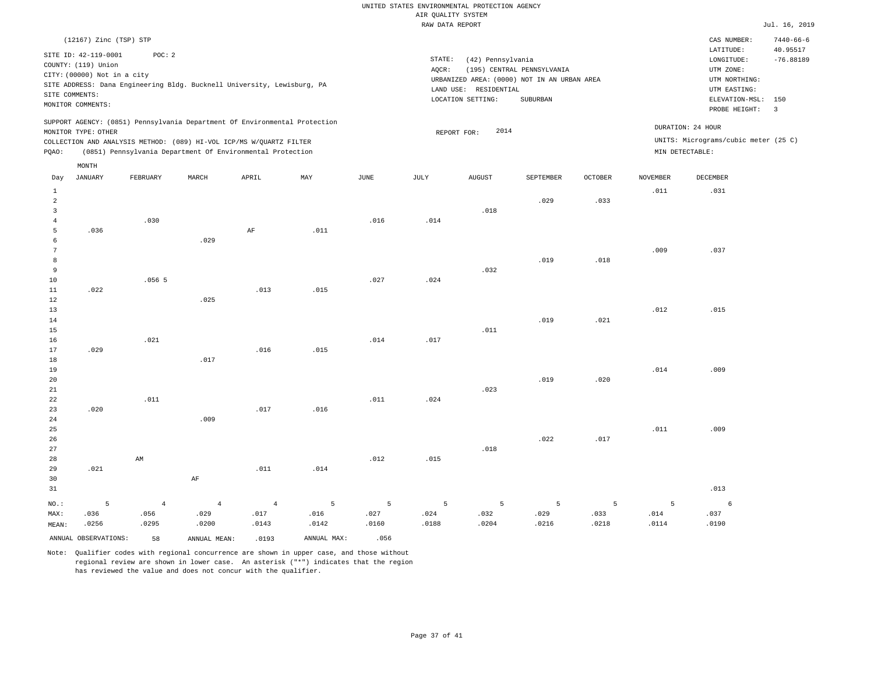|                                  |                                                                                                                   |                |                |                                                                            |       |       | RAW DATA REPORT |                                                                 |                                                                                       |         |                 |                                                                            | Jul. 16, 2019               |
|----------------------------------|-------------------------------------------------------------------------------------------------------------------|----------------|----------------|----------------------------------------------------------------------------|-------|-------|-----------------|-----------------------------------------------------------------|---------------------------------------------------------------------------------------|---------|-----------------|----------------------------------------------------------------------------|-----------------------------|
|                                  | (12167) Zinc (TSP) STP                                                                                            |                |                |                                                                            |       |       |                 |                                                                 |                                                                                       |         |                 | CAS NUMBER:<br>LATITUDE:                                                   | $7440 - 66 - 6$<br>40.95517 |
|                                  | SITE ID: 42-119-0001<br>COUNTY: (119) Union<br>CITY: (00000) Not in a city<br>SITE COMMENTS:<br>MONITOR COMMENTS: | POC: 2         |                | SITE ADDRESS: Dana Engineering Bldg. Bucknell University, Lewisburg, PA    |       |       | STATE:<br>AQCR: | (42) Pennsylvania<br>LAND USE: RESIDENTIAL<br>LOCATION SETTING: | (195) CENTRAL PENNSYLVANIA<br>URBANIZED AREA: (0000) NOT IN AN URBAN AREA<br>SUBURBAN |         |                 | LONGITUDE:<br>UTM ZONE:<br>UTM NORTHING:<br>UTM EASTING:<br>ELEVATION-MSL: | $-76.88189$<br>150          |
|                                  |                                                                                                                   |                |                |                                                                            |       |       |                 |                                                                 |                                                                                       |         |                 | PROBE HEIGHT:                                                              | $\overline{\mathbf{3}}$     |
|                                  | MONITOR TYPE: OTHER                                                                                               |                |                | SUPPORT AGENCY: (0851) Pennsylvania Department Of Environmental Protection |       |       |                 | 2014<br>REPORT FOR:                                             |                                                                                       |         |                 | DURATION: 24 HOUR                                                          |                             |
|                                  |                                                                                                                   |                |                | COLLECTION AND ANALYSIS METHOD: (089) HI-VOL ICP/MS W/QUARTZ FILTER        |       |       |                 |                                                                 |                                                                                       |         |                 | UNITS: Micrograms/cubic meter (25 C)                                       |                             |
| PQAO:                            |                                                                                                                   |                |                | (0851) Pennsylvania Department Of Environmental Protection                 |       |       |                 |                                                                 |                                                                                       |         |                 | MIN DETECTABLE:                                                            |                             |
|                                  | MONTH                                                                                                             |                |                |                                                                            |       |       |                 |                                                                 |                                                                                       |         |                 |                                                                            |                             |
| Day                              | JANUARY                                                                                                           | FEBRUARY       | MARCH          | APRIL                                                                      | MAY   | JUNE  | JULY            | <b>AUGUST</b>                                                   | SEPTEMBER                                                                             | OCTOBER | <b>NOVEMBER</b> | DECEMBER                                                                   |                             |
| $\mathbf{1}$                     |                                                                                                                   |                |                |                                                                            |       |       |                 |                                                                 |                                                                                       |         | .011            | .031                                                                       |                             |
| $\sqrt{2}$                       |                                                                                                                   |                |                |                                                                            |       |       |                 |                                                                 | .029                                                                                  | .033    |                 |                                                                            |                             |
| $\overline{3}$<br>$\overline{4}$ |                                                                                                                   | .030           |                |                                                                            |       | .016  | .014            | .018                                                            |                                                                                       |         |                 |                                                                            |                             |
| $\overline{5}$                   | .036                                                                                                              |                |                | $\rm{AF}$                                                                  | .011  |       |                 |                                                                 |                                                                                       |         |                 |                                                                            |                             |
| 6                                |                                                                                                                   |                | .029           |                                                                            |       |       |                 |                                                                 |                                                                                       |         |                 |                                                                            |                             |
| $7\phantom{.0}$                  |                                                                                                                   |                |                |                                                                            |       |       |                 |                                                                 |                                                                                       |         | .009            | .037                                                                       |                             |
| 8                                |                                                                                                                   |                |                |                                                                            |       |       |                 |                                                                 | .019                                                                                  | .018    |                 |                                                                            |                             |
| 9<br>10                          |                                                                                                                   | .0565          |                |                                                                            |       | .027  | .024            | .032                                                            |                                                                                       |         |                 |                                                                            |                             |
| 11                               | .022                                                                                                              |                |                | .013                                                                       | .015  |       |                 |                                                                 |                                                                                       |         |                 |                                                                            |                             |
| $1\,2$                           |                                                                                                                   |                | .025           |                                                                            |       |       |                 |                                                                 |                                                                                       |         |                 |                                                                            |                             |
| 13                               |                                                                                                                   |                |                |                                                                            |       |       |                 |                                                                 |                                                                                       |         | .012            | .015                                                                       |                             |
| 14                               |                                                                                                                   |                |                |                                                                            |       |       |                 |                                                                 | .019                                                                                  | .021    |                 |                                                                            |                             |
| 15<br>16                         |                                                                                                                   | .021           |                |                                                                            |       | .014  | .017            | .011                                                            |                                                                                       |         |                 |                                                                            |                             |
| 17                               | .029                                                                                                              |                |                | .016                                                                       | .015  |       |                 |                                                                 |                                                                                       |         |                 |                                                                            |                             |
| 18                               |                                                                                                                   |                | .017           |                                                                            |       |       |                 |                                                                 |                                                                                       |         |                 |                                                                            |                             |
| 19                               |                                                                                                                   |                |                |                                                                            |       |       |                 |                                                                 |                                                                                       |         | .014            | .009                                                                       |                             |
| 20                               |                                                                                                                   |                |                |                                                                            |       |       |                 |                                                                 | .019                                                                                  | .020    |                 |                                                                            |                             |
| 21<br>22                         |                                                                                                                   | .011           |                |                                                                            |       | .011  | .024            | .023                                                            |                                                                                       |         |                 |                                                                            |                             |
| 23                               | .020                                                                                                              |                |                | .017                                                                       | .016  |       |                 |                                                                 |                                                                                       |         |                 |                                                                            |                             |
| 24                               |                                                                                                                   |                | .009           |                                                                            |       |       |                 |                                                                 |                                                                                       |         |                 |                                                                            |                             |
| 25                               |                                                                                                                   |                |                |                                                                            |       |       |                 |                                                                 |                                                                                       |         | .011            | .009                                                                       |                             |
| 26                               |                                                                                                                   |                |                |                                                                            |       |       |                 |                                                                 | .022                                                                                  | .017    |                 |                                                                            |                             |
| 27                               |                                                                                                                   |                |                |                                                                            |       |       |                 | .018                                                            |                                                                                       |         |                 |                                                                            |                             |
| 28<br>29                         | .021                                                                                                              | AM             |                | .011                                                                       | .014  | .012  | .015            |                                                                 |                                                                                       |         |                 |                                                                            |                             |
| 30                               |                                                                                                                   |                | $\rm{AF}$      |                                                                            |       |       |                 |                                                                 |                                                                                       |         |                 |                                                                            |                             |
| 31                               |                                                                                                                   |                |                |                                                                            |       |       |                 |                                                                 |                                                                                       |         |                 | .013                                                                       |                             |
| NO.:                             | 5                                                                                                                 | $\overline{4}$ | $\overline{4}$ | $\overline{4}$                                                             | 5     | 5     | 5               | 5                                                               | 5                                                                                     | 5       | 5               | 6                                                                          |                             |
| MAX:                             | .036                                                                                                              | .056           | .029           | .017                                                                       | .016  | .027  | .024            | .032                                                            | .029                                                                                  | .033    | .014            | .037                                                                       |                             |
| MEAN:                            | .0256                                                                                                             | .0295          | .0200          | .0143                                                                      | .0142 | .0160 | .0188           | .0204                                                           | .0216                                                                                 | .0218   | .0114           | .0190                                                                      |                             |

ANNUAL OBSERVATIONS: 58 ANNUAL MEAN: .0193 ANNUAL MAX: .056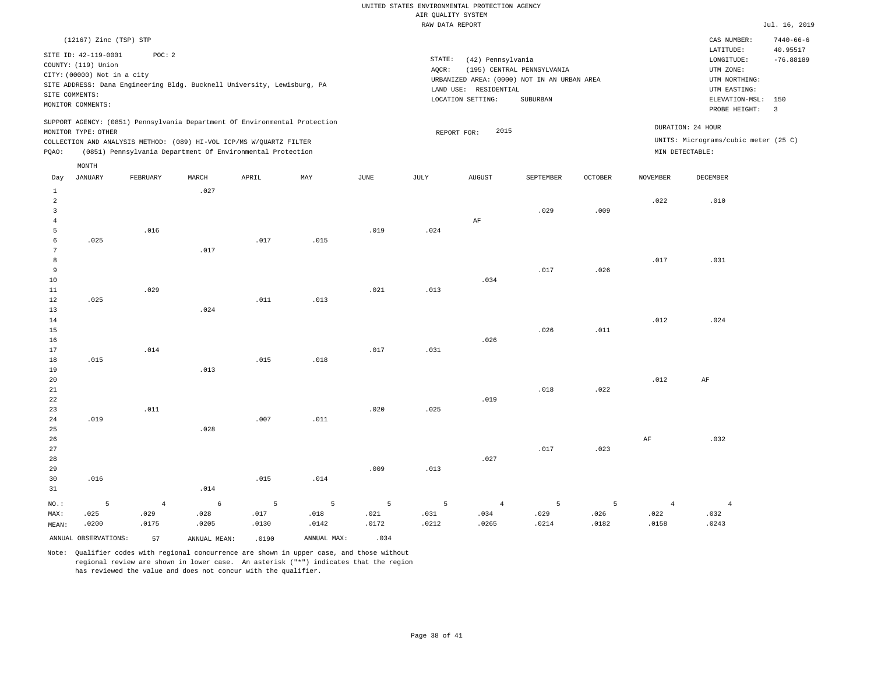| (12167) Zinc (TSP) STP                                                                                                                                                                                                                          |                                                                      | $7440 - 66 - 6$<br>CAS NUMBER:                                               |
|-------------------------------------------------------------------------------------------------------------------------------------------------------------------------------------------------------------------------------------------------|----------------------------------------------------------------------|------------------------------------------------------------------------------|
| SITE ID: 42-119-0001<br>POC:2                                                                                                                                                                                                                   |                                                                      | 40.95517<br>LATITUDE:                                                        |
| COUNTY: (119) Union                                                                                                                                                                                                                             | STATE:<br>(42) Pennsylvania<br>(195) CENTRAL PENNSYLVANIA<br>AOCR:   | $-76.88189$<br>LONGITUDE:<br>UTM ZONE:                                       |
| CITY: (00000) Not in a city<br>SITE ADDRESS: Dana Engineering Bldg. Bucknell University, Lewisburg, PA<br>SITE COMMENTS:                                                                                                                        | URBANIZED AREA: (0000) NOT IN AN URBAN AREA<br>LAND USE: RESIDENTIAL | UTM NORTHING:<br>UTM EASTING:                                                |
| MONITOR COMMENTS:                                                                                                                                                                                                                               | SUBURBAN<br>LOCATION SETTING:                                        | ELEVATION-MSL: 150<br>PROBE HEIGHT:<br>$\overline{\mathbf{3}}$               |
| SUPPORT AGENCY: (0851) Pennsylvania Department Of Environmental Protection<br>MONITOR TYPE: OTHER<br>COLLECTION AND ANALYSIS METHOD: (089) HI-VOL ICP/MS W/OUARTZ FILTER<br>(0851) Pennsylvania Department Of Environmental Protection<br>POAO: | 2015<br>REPORT FOR:                                                  | DURATION: 24 HOUR<br>UNITS: Micrograms/cubic meter (25 C)<br>MIN DETECTABLE: |
| MONTH                                                                                                                                                                                                                                           |                                                                      |                                                                              |

| Day            | JANUARY              | FEBRUARY   | MARCH        | APRIL          | $\ensuremath{\text{MAX}}$ | $_{\rm JUNE}$  | $\mathtt{JULY}$ | <b>AUGUST</b>  | SEPTEMBER | OCTOBER | NOVEMBER       | DECEMBER       |
|----------------|----------------------|------------|--------------|----------------|---------------------------|----------------|-----------------|----------------|-----------|---------|----------------|----------------|
| 1              |                      |            | .027         |                |                           |                |                 |                |           |         |                |                |
| $\overline{a}$ |                      |            |              |                |                           |                |                 |                |           |         | .022           | .010           |
| 3              |                      |            |              |                |                           |                |                 |                | .029      | .009    |                |                |
| $\overline{4}$ |                      |            |              |                |                           |                |                 | $\rm{AF}$      |           |         |                |                |
| 5              |                      | .016       |              |                |                           | .019           | .024            |                |           |         |                |                |
| 6              | .025                 |            |              | .017           | .015                      |                |                 |                |           |         |                |                |
| 7              |                      |            | .017         |                |                           |                |                 |                |           |         |                |                |
| 8              |                      |            |              |                |                           |                |                 |                |           |         | .017           | .031           |
| 9              |                      |            |              |                |                           |                |                 |                | .017      | .026    |                |                |
| $10\,$         |                      |            |              |                |                           |                |                 | .034           |           |         |                |                |
| 11             |                      | .029       |              |                |                           | .021           | .013            |                |           |         |                |                |
| 12             | .025                 |            |              | .011           | .013                      |                |                 |                |           |         |                |                |
| 13             |                      |            | .024         |                |                           |                |                 |                |           |         |                |                |
| $14\,$         |                      |            |              |                |                           |                |                 |                |           |         | .012           | .024           |
| 15             |                      |            |              |                |                           |                |                 |                | .026      | .011    |                |                |
| 16             |                      |            |              |                |                           |                |                 | .026           |           |         |                |                |
| 17             |                      | .014       |              |                |                           | .017           | .031            |                |           |         |                |                |
| $18\,$         | .015                 |            |              | .015           | .018                      |                |                 |                |           |         |                |                |
| 19             |                      |            | .013         |                |                           |                |                 |                |           |         |                |                |
| 20             |                      |            |              |                |                           |                |                 |                |           |         | .012           | $\rm{AF}$      |
| 21             |                      |            |              |                |                           |                |                 |                | .018      | .022    |                |                |
| 22             |                      |            |              |                |                           |                |                 | .019           |           |         |                |                |
| 23             |                      | .011       |              |                |                           | .020           | .025            |                |           |         |                |                |
| 24             | .019                 |            |              | .007           | .011                      |                |                 |                |           |         |                |                |
| $25\,$<br>26   |                      |            | .028         |                |                           |                |                 |                |           |         |                | .032           |
| 27             |                      |            |              |                |                           |                |                 |                | .017      | .023    | $\rm{AF}$      |                |
| 28             |                      |            |              |                |                           |                |                 | .027           |           |         |                |                |
| 29             |                      |            |              |                |                           | .009           | .013            |                |           |         |                |                |
| 30             | .016                 |            |              | .015           | .014                      |                |                 |                |           |         |                |                |
| 31             |                      |            | .014         |                |                           |                |                 |                |           |         |                |                |
|                |                      |            |              |                |                           |                |                 |                |           |         |                |                |
| $NO.$ :        | $\mathsf S$          | $\sqrt{4}$ | $\epsilon$   | $\overline{5}$ | $\overline{5}$            | $\overline{5}$ | $\overline{5}$  | $\overline{4}$ | 5         | 5       | $\overline{4}$ | $\overline{4}$ |
| MAX:           | .025                 | .029       | .028         | .017           | .018                      | .021           | .031            | .034           | .029      | .026    | .022           | .032           |
| MEAN:          | .0200                | .0175      | .0205        | .0130          | .0142                     | .0172          | .0212           | .0265          | .0214     | .0182   | .0158          | .0243          |
|                | ANNUAL OBSERVATIONS: | 57         | ANNUAL MEAN: | .0190          | ANNUAL MAX:               | .034           |                 |                |           |         |                |                |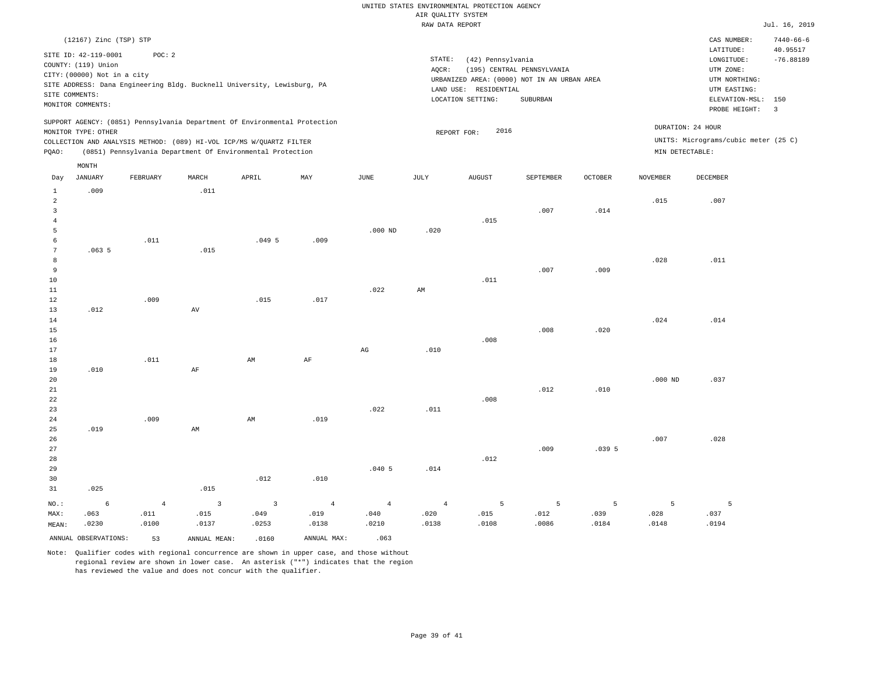|  | RAW DATA REPORT |
|--|-----------------|
|  |                 |

 $Jul. 16, 2019$ 

| (12167) Zinc (TSP) STP                                                     |                                             | CAS NUMBER:                          | $7440 - 66 - 6$ |  |
|----------------------------------------------------------------------------|---------------------------------------------|--------------------------------------|-----------------|--|
| SITE ID: 42-119-0001<br>POC:2                                              |                                             | LATITUDE:                            | 40.95517        |  |
| COUNTY: (119) Union                                                        | STATE:<br>(42) Pennsylvania                 | LONGITUDE:                           | $-76.88189$     |  |
|                                                                            | (195) CENTRAL PENNSYLVANIA<br>AOCR:         | UTM ZONE:                            |                 |  |
| CITY: (00000) Not in a city                                                | URBANIZED AREA: (0000) NOT IN AN URBAN AREA | UTM NORTHING:                        |                 |  |
| SITE ADDRESS: Dana Engineering Bldg. Bucknell University, Lewisburg, PA    | RESIDENTIAL<br>LAND USE:                    | UTM EASTING:                         |                 |  |
| SITE COMMENTS:                                                             | LOCATION SETTING:<br>SUBURBAN               | ELEVATION-MSL: 150                   |                 |  |
| MONITOR COMMENTS:                                                          |                                             | PROBE HEIGHT:                        |                 |  |
| SUPPORT AGENCY: (0851) Pennsylvania Department Of Environmental Protection |                                             |                                      |                 |  |
| MONITOR TYPE: OTHER                                                        | 2016<br>REPORT FOR:                         | DURATION: 24 HOUR                    |                 |  |
| COLLECTION AND ANALYSIS METHOD: (089) HI-VOL ICP/MS W/OUARTZ FILTER        |                                             | UNITS: Micrograms/cubic meter (25 C) |                 |  |

PQAO: (0851) Pennsylvania Department Of Environmental Protection MIN DETECTABLE:

|                 | MONTH                |                |                          |                          |                |                |                |               |           |                |                 |          |
|-----------------|----------------------|----------------|--------------------------|--------------------------|----------------|----------------|----------------|---------------|-----------|----------------|-----------------|----------|
| Day             | <b>JANUARY</b>       | FEBRUARY       | MARCH                    | APRIL                    | MAY            | $_{\rm JUNE}$  | JULY           | <b>AUGUST</b> | SEPTEMBER | <b>OCTOBER</b> | <b>NOVEMBER</b> | DECEMBER |
| $\mathbf{1}$    | .009                 |                | .011                     |                          |                |                |                |               |           |                |                 |          |
| $\overline{a}$  |                      |                |                          |                          |                |                |                |               |           |                | .015            | .007     |
| $\overline{3}$  |                      |                |                          |                          |                |                |                |               | .007      | .014           |                 |          |
| $\overline{4}$  |                      |                |                          |                          |                |                |                | .015          |           |                |                 |          |
| 5               |                      |                |                          |                          |                | $.000$ ND      | .020           |               |           |                |                 |          |
| 6               |                      | .011           |                          | .0495                    | .009           |                |                |               |           |                |                 |          |
| $7\phantom{.0}$ | .0635                |                | .015                     |                          |                |                |                |               |           |                |                 |          |
| 8               |                      |                |                          |                          |                |                |                |               |           |                | .028            | .011     |
| 9               |                      |                |                          |                          |                |                |                |               | .007      | .009           |                 |          |
| $10$            |                      |                |                          |                          |                |                |                | .011          |           |                |                 |          |
| $11\,$          |                      |                |                          |                          |                | .022           | $\mbox{AM}$    |               |           |                |                 |          |
| $12\,$          |                      | .009           |                          | .015                     | .017           |                |                |               |           |                |                 |          |
| 13              | .012                 |                | AV                       |                          |                |                |                |               |           |                |                 |          |
| $14\,$          |                      |                |                          |                          |                |                |                |               |           |                | .024            | .014     |
| $15\,$          |                      |                |                          |                          |                |                |                |               | .008      | .020           |                 |          |
| 16              |                      |                |                          |                          |                |                | .010           | .008          |           |                |                 |          |
| $17\,$<br>18    |                      | .011           |                          | AM                       | $\rm AF$       | $_{\rm AG}$    |                |               |           |                |                 |          |
| 19              | .010                 |                | $\rm{AF}$                |                          |                |                |                |               |           |                |                 |          |
| 20              |                      |                |                          |                          |                |                |                |               |           |                | $.000$ ND       | .037     |
| $2\sqrt{1}$     |                      |                |                          |                          |                |                |                |               | .012      | .010           |                 |          |
| 22              |                      |                |                          |                          |                |                |                | .008          |           |                |                 |          |
| 23              |                      |                |                          |                          |                | .022           | .011           |               |           |                |                 |          |
| 24              |                      | .009           |                          | AM                       | .019           |                |                |               |           |                |                 |          |
| 25              | .019                 |                | $\mbox{AM}$              |                          |                |                |                |               |           |                |                 |          |
| 26              |                      |                |                          |                          |                |                |                |               |           |                | .007            | .028     |
| 27              |                      |                |                          |                          |                |                |                |               | .009      | .039 5         |                 |          |
| 28              |                      |                |                          |                          |                |                |                | .012          |           |                |                 |          |
| 29              |                      |                |                          |                          |                | $.040-5$       | .014           |               |           |                |                 |          |
| 30              |                      |                |                          | .012                     | .010           |                |                |               |           |                |                 |          |
| 31              | .025                 |                | .015                     |                          |                |                |                |               |           |                |                 |          |
| $NO.$ :         | 6                    | $\overline{4}$ | $\overline{\phantom{a}}$ | $\overline{\phantom{a}}$ | $\overline{4}$ | $\overline{4}$ | $\overline{4}$ | 5             | 5         | 5              | 5               | 5        |
| MAX:            | .063                 | .011           | .015                     | .049                     | .019           | .040           | .020           | .015          | .012      | .039           | .028            | .037     |
| MEAN:           | .0230                | .0100          | .0137                    | .0253                    | .0138          | .0210          | .0138          | .0108         | .0086     | .0184          | .0148           | .0194    |
|                 | ANNUAL OBSERVATIONS: | 53             | ANNUAL MEAN:             | .0160                    | ANNUAL MAX:    | .063           |                |               |           |                |                 |          |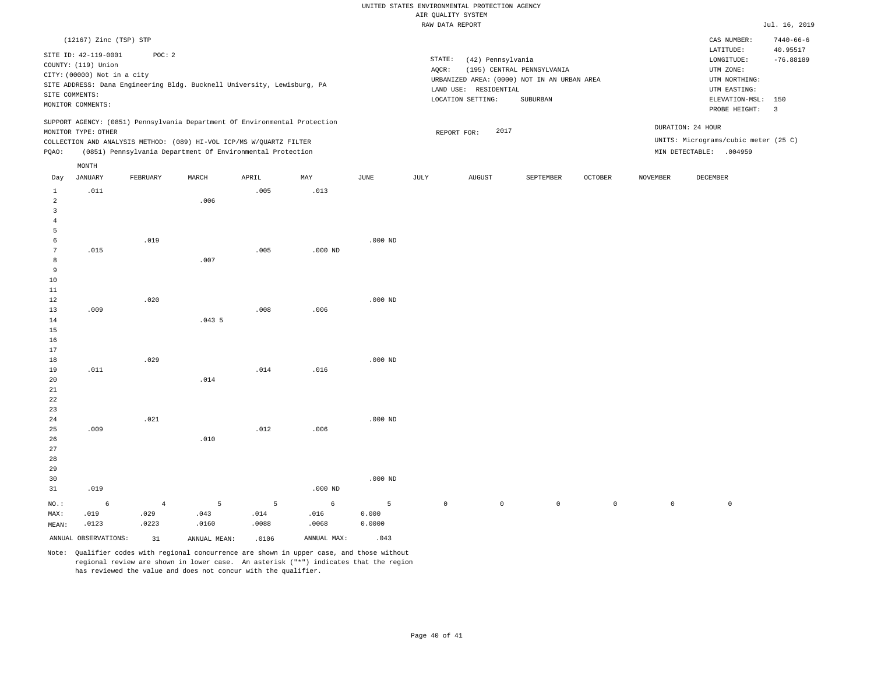|                     |                             |                                                                            |       |       |           |           |                               | RAW DATA REPORT       |                                             |                |                 |                                      | Jul. 16, 2019                  |  |
|---------------------|-----------------------------|----------------------------------------------------------------------------|-------|-------|-----------|-----------|-------------------------------|-----------------------|---------------------------------------------|----------------|-----------------|--------------------------------------|--------------------------------|--|
|                     | (12167) Zinc (TSP) STP      |                                                                            |       |       |           |           |                               |                       |                                             |                |                 | CAS NUMBER:<br>LATITUDE:             | $7440 - 66 - 6$<br>40.95517    |  |
|                     | SITE ID: 42-119-0001        | POC: 2                                                                     |       |       |           |           | STATE:                        | (42) Pennsylvania     |                                             |                |                 | LONGITUDE:                           | $-76.88189$                    |  |
|                     | COUNTY: (119) Union         |                                                                            |       |       |           |           | AQCR:                         |                       | (195) CENTRAL PENNSYLVANIA                  |                |                 | UTM ZONE:                            |                                |  |
|                     | CITY: (00000) Not in a city |                                                                            |       |       |           |           |                               |                       |                                             |                |                 | UTM NORTHING:                        |                                |  |
|                     |                             | SITE ADDRESS: Dana Engineering Bldg. Bucknell University, Lewisburg, PA    |       |       |           |           |                               |                       | URBANIZED AREA: (0000) NOT IN AN URBAN AREA |                |                 |                                      |                                |  |
|                     | SITE COMMENTS:              |                                                                            |       |       |           |           |                               | LAND USE: RESIDENTIAL |                                             |                |                 | UTM EASTING:<br>ELEVATION-MSL:       |                                |  |
|                     | MONITOR COMMENTS:           |                                                                            |       |       |           |           | LOCATION SETTING:<br>SUBURBAN |                       |                                             |                |                 |                                      | 150<br>$\overline{\mathbf{3}}$ |  |
|                     |                             | SUPPORT AGENCY: (0851) Pennsylvania Department Of Environmental Protection |       |       |           |           |                               |                       |                                             |                |                 | PROBE HEIGHT:                        |                                |  |
|                     | MONITOR TYPE: OTHER         |                                                                            |       |       |           |           | 2017<br>REPORT FOR:           |                       |                                             |                |                 | DURATION: 24 HOUR                    |                                |  |
|                     |                             | COLLECTION AND ANALYSIS METHOD: (089) HI-VOL ICP/MS W/QUARTZ FILTER        |       |       |           |           |                               |                       |                                             |                |                 | UNITS: Micrograms/cubic meter (25 C) |                                |  |
| PQAO:               |                             | (0851) Pennsylvania Department Of Environmental Protection                 |       |       |           |           |                               |                       |                                             |                |                 | MIN DETECTABLE: .004959              |                                |  |
|                     | MONTH                       |                                                                            |       |       |           |           |                               |                       |                                             |                |                 |                                      |                                |  |
| Day                 | JANUARY                     | FEBRUARY                                                                   | MARCH | APRIL | MAY       | JUNE      | JULY                          | <b>AUGUST</b>         | SEPTEMBER                                   | <b>OCTOBER</b> | <b>NOVEMBER</b> | DECEMBER                             |                                |  |
| $\mathbf{1}$        | .011                        |                                                                            |       | .005  | .013      |           |                               |                       |                                             |                |                 |                                      |                                |  |
| 2<br>$\overline{3}$ |                             |                                                                            | .006  |       |           |           |                               |                       |                                             |                |                 |                                      |                                |  |
| 4                   |                             |                                                                            |       |       |           |           |                               |                       |                                             |                |                 |                                      |                                |  |
| 5                   |                             |                                                                            |       |       |           |           |                               |                       |                                             |                |                 |                                      |                                |  |
| 6                   |                             | .019                                                                       |       |       |           | $.000$ ND |                               |                       |                                             |                |                 |                                      |                                |  |
| 7                   | .015                        |                                                                            |       | .005  | $.000$ ND |           |                               |                       |                                             |                |                 |                                      |                                |  |
| 8                   |                             |                                                                            | .007  |       |           |           |                               |                       |                                             |                |                 |                                      |                                |  |
| 9                   |                             |                                                                            |       |       |           |           |                               |                       |                                             |                |                 |                                      |                                |  |
| 10                  |                             |                                                                            |       |       |           |           |                               |                       |                                             |                |                 |                                      |                                |  |
| 11                  |                             |                                                                            |       |       |           |           |                               |                       |                                             |                |                 |                                      |                                |  |
| 12                  |                             | .020                                                                       |       |       |           | $.000$ ND |                               |                       |                                             |                |                 |                                      |                                |  |
| 13                  | .009                        |                                                                            |       | .008  | .006      |           |                               |                       |                                             |                |                 |                                      |                                |  |
| 14<br>15            |                             |                                                                            | .0435 |       |           |           |                               |                       |                                             |                |                 |                                      |                                |  |
| 16                  |                             |                                                                            |       |       |           |           |                               |                       |                                             |                |                 |                                      |                                |  |
| 17                  |                             |                                                                            |       |       |           |           |                               |                       |                                             |                |                 |                                      |                                |  |
| 18                  |                             | .029                                                                       |       |       |           | $.000$ ND |                               |                       |                                             |                |                 |                                      |                                |  |
| 19                  | .011                        |                                                                            |       | .014  | .016      |           |                               |                       |                                             |                |                 |                                      |                                |  |
| 20                  |                             |                                                                            | .014  |       |           |           |                               |                       |                                             |                |                 |                                      |                                |  |
| 21                  |                             |                                                                            |       |       |           |           |                               |                       |                                             |                |                 |                                      |                                |  |
| 22                  |                             |                                                                            |       |       |           |           |                               |                       |                                             |                |                 |                                      |                                |  |
| 23                  |                             |                                                                            |       |       |           |           |                               |                       |                                             |                |                 |                                      |                                |  |
| 24                  |                             | .021                                                                       |       |       |           | $.000$ ND |                               |                       |                                             |                |                 |                                      |                                |  |
| 25                  | .009                        |                                                                            |       | .012  | .006      |           |                               |                       |                                             |                |                 |                                      |                                |  |
| 26                  |                             |                                                                            | .010  |       |           |           |                               |                       |                                             |                |                 |                                      |                                |  |
| 27                  |                             |                                                                            |       |       |           |           |                               |                       |                                             |                |                 |                                      |                                |  |
| 28                  |                             |                                                                            |       |       |           |           |                               |                       |                                             |                |                 |                                      |                                |  |
| 29                  |                             |                                                                            |       |       |           |           |                               |                       |                                             |                |                 |                                      |                                |  |
| 30                  |                             |                                                                            |       |       |           | $.000$ ND |                               |                       |                                             |                |                 |                                      |                                |  |
| 31                  | .019                        |                                                                            |       |       | $.000$ ND |           |                               |                       |                                             |                |                 |                                      |                                |  |

6 .019 .0123 4 .029 .0223 5 .043 .0160 5 .014 .0088 6 .016 .0068 5 0.000 0.0000 0 0 0 0 0 0

ANNUAL OBSERVATIONS:  $31$  ANNUAL MEAN: .0106 ANNUAL MAX: .043

NO.: MAX: MEAN: